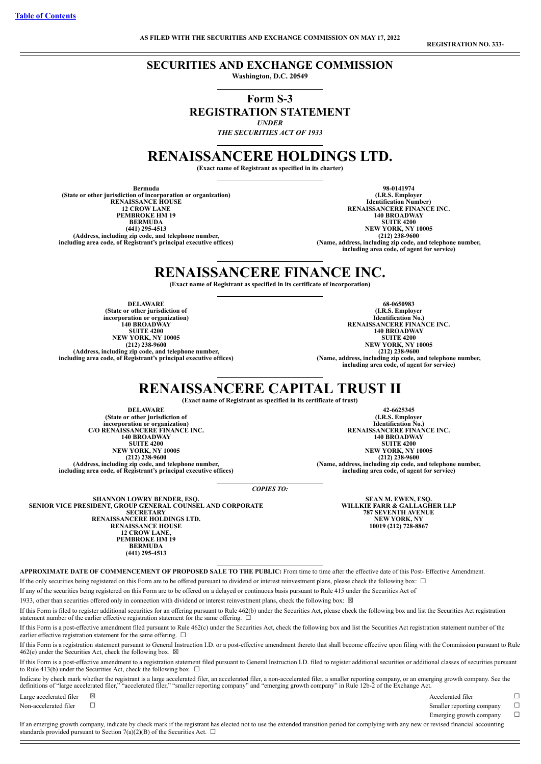**REGISTRATION NO. 333-**

# **SECURITIES AND EXCHANGE COMMISSION**

**Washington, D.C. 20549**

# **Form S-3 REGISTRATION STATEMENT** *UNDER*

*THE SECURITIES ACT OF 1933*

# **RENAISSANCERE HOLDINGS LTD.**

**(Exact name of Registrant as specified in its charter)**

**Bermuda (State or other jurisdiction of incorporation or organization) RENAISSANCE HOUSE 12 CROW LANE PEMBROKE HM 19 BERMUDA (441) 295-4513 (Address, including zip code, and telephone number, including area code, of Registrant's principal executive offices)**

**98-0141974 (I.R.S. Employer Identification Number) RENAISSANCERE FINANCE INC. 140 BROADWAY SUITE 4200 NEW YORK, NY 10005 (212) 238-9600 (Name, address, including zip code, and telephone number, including area code, of agent for service)**

# **RENAISSANCERE FINANCE INC.**

**(Exact name of Registrant as specified in its certificate of incorporation)**

**DELAWARE (State or other jurisdiction of incorporation or organization) 140 BROADWAY SUITE 4200 NEW YORK, NY 10005 (212) 238-9600 (Address, including zip code, and telephone number, including area code, of Registrant's principal executive offices)**

**68-0650983 (I.R.S. Employer Identification No.) RENAISSANCERE FINANCE INC. 140 BROADWAY SUITE 4200 NEW YORK, NY 10005 (212) 238-9600 (Name, address, including zip code, and telephone number, including area code, of agent for service)**

# **RENAISSANCERE CAPITAL TRUST II**

**(Exact name of Registrant as specified in its certificate of trust)**

**DELAWARE (State or other jurisdiction of incorporation or organization) C/O RENAISSANCERE FINANCE INC. 140 BROADWAY SUITE 4200 NEW YORK, NY 10005 (212) 238-9600 (Address, including zip code, and telephone number, including area code, of Registrant's principal executive offices)**

**42-6625345 (I.R.S. Employer Identification No.) RENAISSANCERE FINANCE INC. 140 BROADWAY SUITE 4200 NEW YORK, NY 10005 (212) 238-9600 (Name, address, including zip code, and telephone number, including area code, of agent for service)**

*COPIES TO:*

**SHANNON LOWRY BENDER, ESQ. SENIOR VICE PRESIDENT, GROUP GENERAL COUNSEL AND CORPORATE SECRETARY RENAISSANCERE HOLDINGS LTD. RENAISSANCE HOUSE 12 CROW LANE, PEMBROKE HM 19 BERMUDA (441) 295-4513**

**SEAN M. EWEN, ESQ. WILLKIE FARR & GALLAGHER LLP 787 SEVENTH AVENUE NEW YORK, NY 10019 (212) 728-8867**

**APPROXIMATE DATE OF COMMENCEMENT OF PROPOSED SALE TO THE PUBLIC:** From time to time after the effective date of this Post- Effective Amendment. If the only securities being registered on this Form are to be offered pursuant to dividend or interest reinvestment plans, please check the following box: ☐

If any of the securities being registered on this Form are to be offered on a delayed or continuous basis pursuant to Rule 415 under the Securities Act of

1933, other than securities offered only in connection with dividend or interest reinvestment plans, check the following box:  $\boxtimes$ 

If this Form is filed to register additional securities for an offering pursuant to Rule 462(b) under the Securities Act, please check the following box and list the Securities Act registration statement number of the earlier effective registration statement for the same offering.  $\Box$ 

If this Form is a post-effective amendment filed pursuant to Rule 462(c) under the Securities Act, check the following box and list the Securities Act registration statement number of the earlier effective registration statement for the same offering.  $\Box$ 

If this Form is a registration statement pursuant to General Instruction I.D. or a post-effective amendment thereto that shall become effective upon filing with the Commission pursuant to Rule 462(e) under the Securities Act, check the following box.  $\boxtimes$ 

If this Form is a post-effective amendment to a registration statement filed pursuant to General Instruction I.D. filed to register additional securities or additional classes of securities pursuant to Rule 413(b) under the Securities Act, check the following box.  $\Box$ 

Indicate by check mark whether the registrant is a large accelerated filer, an accelerated filer, a non-accelerated filer, a smaller reporting company, or an emerging growth company. See the definitions of "large accelerat

Large accelerated filer ⊠ and  $\Box$  Accelerated filer  $\Box$ 

Non-accelerated filer □ state  $\Box$ 

Emerging growth company  $□$ 

If an emerging growth company, indicate by check mark if the registrant has elected not to use the extended transition period for complying with any new or revised financial accounting standards provided pursuant to Section 7(a)(2)(B) of the Securities Act.  $\Box$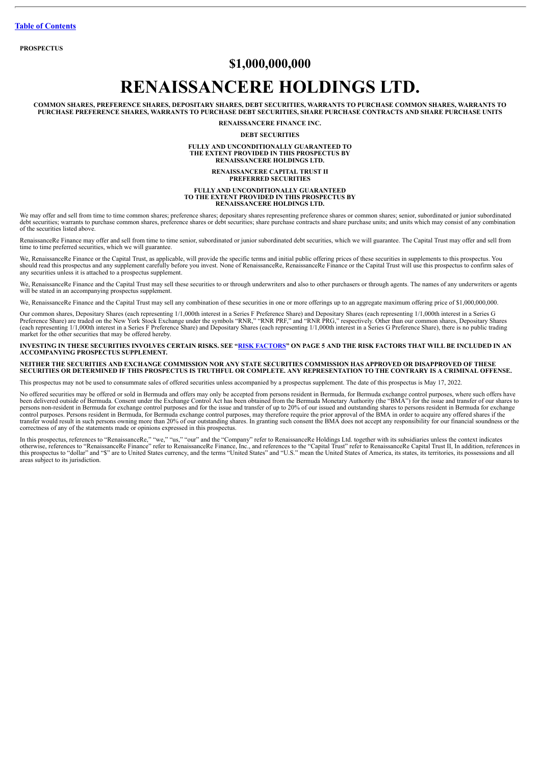**PROSPECTUS**

# **\$1,000,000,000**

# **RENAISSANCERE HOLDINGS LTD.**

**COMMON SHARES, PREFERENCE SHARES, DEPOSITARY SHARES, DEBT SECURITIES, WARRANTS TO PURCHASE COMMON SHARES, WARRANTS TO PURCHASE PREFERENCE SHARES, WARRANTS TO PURCHASE DEBT SECURITIES, SHARE PURCHASE CONTRACTS AND SHARE PURCHASE UNITS**

**RENAISSANCERE FINANCE INC.**

**DEBT SECURITIES**

## **FULLY AND UNCONDITIONALLY GUARANTEED TO THE EXTENT PROVIDED IN THIS PROSPECTUS BY RENAISSANCERE HOLDINGS LTD.**

#### **RENAISSANCERE CAPITAL TRUST II PREFERRED SECURITIES**

#### **FULLY AND UNCONDITIONALLY GUARANTEED TO THE EXTENT PROVIDED IN THIS PROSPECTUS BY RENAISSANCERE HOLDINGS LTD.**

We may offer and sell from time to time common shares; preference shares; depositary shares representing preference shares or common shares; senior, subordinated or junior subordinated<br>debt securities; warrants to purchase of the securities listed above.

RenaissanceRe Finance may offer and sell from time to time senior, subordinated or junior subordinated debt securities, which we will guarantee. The Capital Trust may offer and sell from time to time preferred securities, which we will guarantee.

We, RenaissanceRe Finance or the Capital Trust, as applicable, will provide the specific terms and initial public offering prices of these securities in supplements to this prospectus. You<br>should read this prospectus and a

We, RenaissanceRe Finance and the Capital Trust may sell these securities to or through underwriters and also to other purchasers or through agents. The names of any underwriters or agents will be stated in an accompanying prospectus supplement.

We, RenaissanceRe Finance and the Capital Trust may sell any combination of these securities in one or more offerings up to an aggregate maximum offering price of \$1,000,000,000.

Our common shares, Depositary Shares (each representing 1/1,000th interest in a Series F Preference Share) and Depositary Shares (each representing 1/1,000th interest in a Series G<br>Preference Share) are traded on the New Y market for the other securities that may be offered hereby.

#### INVESTING IN THESE SECURITIES INVOLVES CERTAIN RISKS. SEE "RISK [FACTORS"](#page-7-0) ON PAGE 5 AND THE RISK FACTORS THAT WILL BE INCLUDED IN AN **ACCOMPANYING PROSPECTUS SUPPLEMENT.**

#### NEITHER THE SECURITIES AND EXCHANGE COMMISSION NOR ANY STATE SECURITIES COMMISSION HAS APPROVED OR DISAPPROVED OF THESE SECURITIES OR DETERMINED IF THIS PROSPECTUS IS TRUTHFUL OR COMPLETE. ANY REPRESENTATION TO THE CONTRARY IS A CRIMINAL OFFENSE.

This prospectus may not be used to consummate sales of offered securities unless accompanied by a prospectus supplement. The date of this prospectus is May 17, 2022.

No offered securities may be offered or sold in Bermuda and offers may only be accepted from persons resident in Bermuda, for Bermuda exchange control purposes, where such offers have been delivered outside of Bermuda. Consent under the Exchange Control Act has been obtained from the Bermuda Monetary Authority (the "BMA") for the issue and transfer of our shares to<br>persons non-resident in Bermuda for ex control purposes. Persons resident in Bermuda, for Bermuda exchange control purposes, may therefore require the prior approval of the BMA in order to acquire any offered shares if the<br>transfer would result in such persons correctness of any of the statements made or opinions expressed in this prospectus.

In this prospectus, references to "RenaissanceRe," "we," "us," "our" and the "Company" refer to RenaissanceRe Holdings Ltd. together with its subsidiaries unless the context indicates<br>otherwise, references to "RenaissanceR this prospectus to "dollar" and "\$" are to United States currency, and the terms "United States" and "U.S." mean the United States of America, its states, its territories, its possessions and all the terms the United State areas subject to its jurisdiction.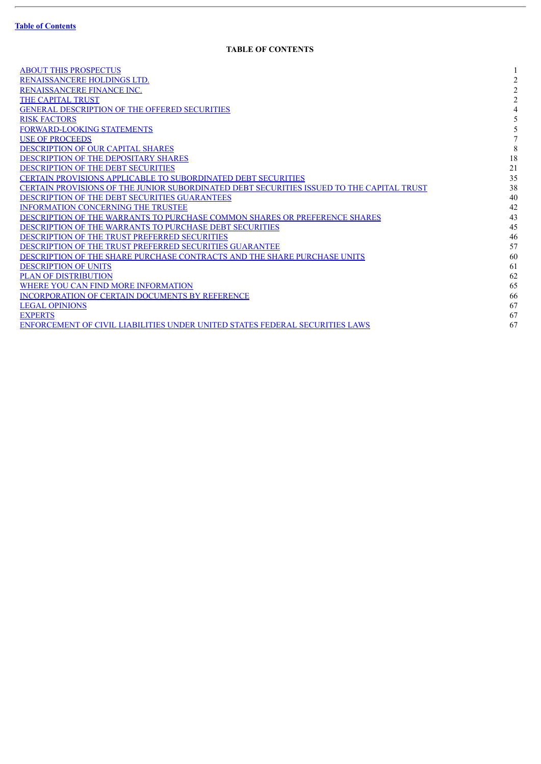$\overline{a}$ 

# **TABLE OF CONTENTS**

<span id="page-2-0"></span>

| <b>ABOUT THIS PROSPECTUS</b>                                                              |                |
|-------------------------------------------------------------------------------------------|----------------|
| RENAISSANCERE HOLDINGS LTD.                                                               | $\overline{2}$ |
| RENAISSANCERE FINANCE INC.                                                                | $\overline{2}$ |
| <b>THE CAPITAL TRUST</b>                                                                  | $\mathfrak{D}$ |
| <b>GENERAL DESCRIPTION OF THE OFFERED SECURITIES</b>                                      |                |
| <b>RISK FACTORS</b>                                                                       |                |
| FORWARD-LOOKING STATEMENTS                                                                |                |
| <b>USE OF PROCEEDS</b>                                                                    |                |
| DESCRIPTION OF OUR CAPITAL SHARES                                                         | 8              |
| DESCRIPTION OF THE DEPOSITARY SHARES                                                      | 18             |
| <b>DESCRIPTION OF THE DEBT SECURITIES</b>                                                 | 21             |
| CERTAIN PROVISIONS APPLICABLE TO SUBORDINATED DEBT SECURITIES                             | 35             |
| CERTAIN PROVISIONS OF THE JUNIOR SUBORDINATED DEBT SECURITIES ISSUED TO THE CAPITAL TRUST | 38             |
| <b>DESCRIPTION OF THE DEBT SECURITIES GUARANTEES</b>                                      | 40             |
| <b>INFORMATION CONCERNING THE TRUSTEE</b>                                                 | 42             |
| DESCRIPTION OF THE WARRANTS TO PURCHASE COMMON SHARES OR PREFERENCE SHARES                | 43             |
| <b>DESCRIPTION OF THE WARRANTS TO PURCHASE DEBT SECURITIES</b>                            | 45             |
| DESCRIPTION OF THE TRUST PREFERRED SECURITIES                                             | 46             |
| DESCRIPTION OF THE TRUST PREFERRED SECURITIES GUARANTEE                                   | 57             |
| DESCRIPTION OF THE SHARE PURCHASE CONTRACTS AND THE SHARE PURCHASE UNITS                  | 60             |
| <b>DESCRIPTION OF UNITS</b>                                                               | 61             |
| <b>PLAN OF DISTRIBUTION</b>                                                               | 62             |
| WHERE YOU CAN FIND MORE INFORMATION                                                       | 65             |
| <b>INCORPORATION OF CERTAIN DOCUMENTS BY REFERENCE</b>                                    | 66             |
| <b>LEGAL OPINIONS</b>                                                                     | 67             |
| <b>EXPERTS</b>                                                                            | 67             |
| ENFORCEMENT OF CIVIL LIABILITIES UNDER UNITED STATES FEDERAL SECURITIES LAWS              | 67             |
|                                                                                           |                |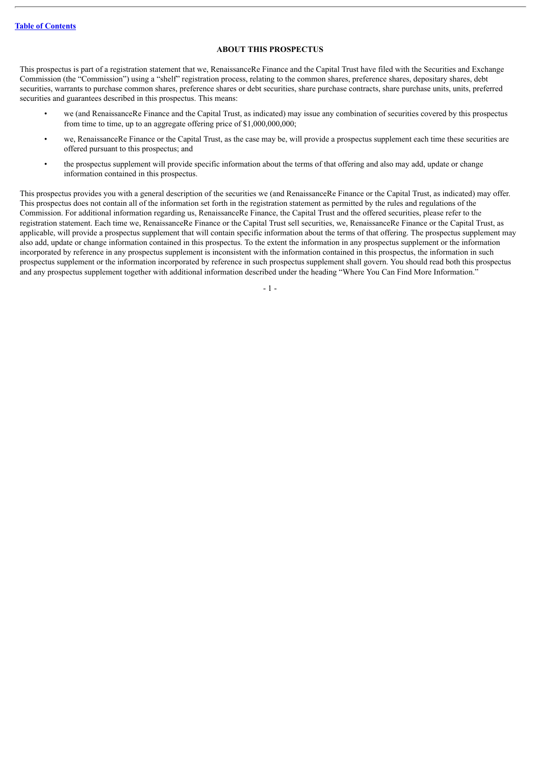# **ABOUT THIS PROSPECTUS**

<span id="page-3-0"></span>This prospectus is part of a registration statement that we, RenaissanceRe Finance and the Capital Trust have filed with the Securities and Exchange Commission (the "Commission") using a "shelf" registration process, relating to the common shares, preference shares, depositary shares, debt securities, warrants to purchase common shares, preference shares or debt securities, share purchase contracts, share purchase units, units, preferred securities and guarantees described in this prospectus. This means:

- we (and RenaissanceRe Finance and the Capital Trust, as indicated) may issue any combination of securities covered by this prospectus from time to time, up to an aggregate offering price of \$1,000,000,000;
- we, RenaissanceRe Finance or the Capital Trust, as the case may be, will provide a prospectus supplement each time these securities are offered pursuant to this prospectus; and
- the prospectus supplement will provide specific information about the terms of that offering and also may add, update or change information contained in this prospectus.

This prospectus provides you with a general description of the securities we (and RenaissanceRe Finance or the Capital Trust, as indicated) may offer. This prospectus does not contain all of the information set forth in the registration statement as permitted by the rules and regulations of the Commission. For additional information regarding us, RenaissanceRe Finance, the Capital Trust and the offered securities, please refer to the registration statement. Each time we, RenaissanceRe Finance or the Capital Trust sell securities, we, RenaissanceRe Finance or the Capital Trust, as applicable, will provide a prospectus supplement that will contain specific information about the terms of that offering. The prospectus supplement may also add, update or change information contained in this prospectus. To the extent the information in any prospectus supplement or the information incorporated by reference in any prospectus supplement is inconsistent with the information contained in this prospectus, the information in such prospectus supplement or the information incorporated by reference in such prospectus supplement shall govern. You should read both this prospectus and any prospectus supplement together with additional information described under the heading "Where You Can Find More Information."

- 1 -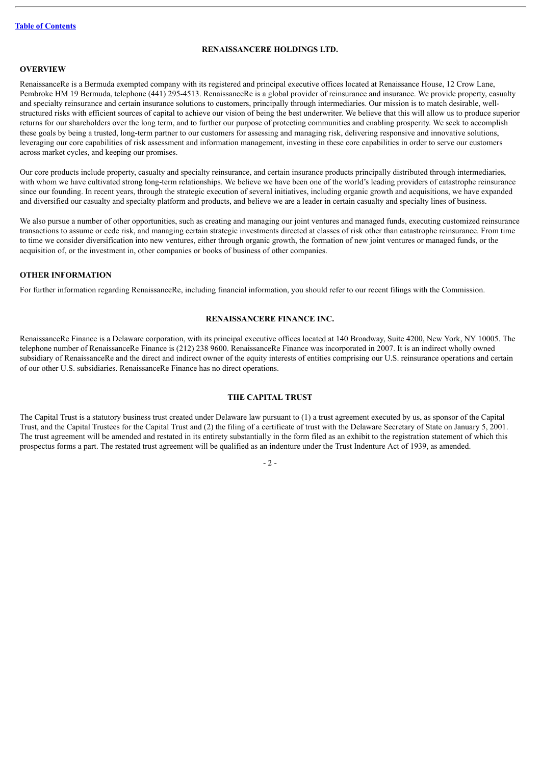# **RENAISSANCERE HOLDINGS LTD.**

#### <span id="page-4-0"></span>**OVERVIEW**

RenaissanceRe is a Bermuda exempted company with its registered and principal executive offices located at Renaissance House, 12 Crow Lane, Pembroke HM 19 Bermuda, telephone (441) 295-4513. RenaissanceRe is a global provider of reinsurance and insurance. We provide property, casualty and specialty reinsurance and certain insurance solutions to customers, principally through intermediaries. Our mission is to match desirable, wellstructured risks with efficient sources of capital to achieve our vision of being the best underwriter. We believe that this will allow us to produce superior returns for our shareholders over the long term, and to further our purpose of protecting communities and enabling prosperity. We seek to accomplish these goals by being a trusted, long-term partner to our customers for assessing and managing risk, delivering responsive and innovative solutions, leveraging our core capabilities of risk assessment and information management, investing in these core capabilities in order to serve our customers across market cycles, and keeping our promises.

Our core products include property, casualty and specialty reinsurance, and certain insurance products principally distributed through intermediaries, with whom we have cultivated strong long-term relationships. We believe we have been one of the world's leading providers of catastrophe reinsurance since our founding. In recent years, through the strategic execution of several initiatives, including organic growth and acquisitions, we have expanded and diversified our casualty and specialty platform and products, and believe we are a leader in certain casualty and specialty lines of business.

We also pursue a number of other opportunities, such as creating and managing our joint ventures and managed funds, executing customized reinsurance transactions to assume or cede risk, and managing certain strategic investments directed at classes of risk other than catastrophe reinsurance. From time to time we consider diversification into new ventures, either through organic growth, the formation of new joint ventures or managed funds, or the acquisition of, or the investment in, other companies or books of business of other companies.

# **OTHER INFORMATION**

For further information regarding RenaissanceRe, including financial information, you should refer to our recent filings with the Commission.

#### **RENAISSANCERE FINANCE INC.**

<span id="page-4-1"></span>RenaissanceRe Finance is a Delaware corporation, with its principal executive offices located at 140 Broadway, Suite 4200, New York, NY 10005. The telephone number of RenaissanceRe Finance is (212) 238 9600. RenaissanceRe Finance was incorporated in 2007. It is an indirect wholly owned subsidiary of RenaissanceRe and the direct and indirect owner of the equity interests of entities comprising our U.S. reinsurance operations and certain of our other U.S. subsidiaries. RenaissanceRe Finance has no direct operations.

#### **THE CAPITAL TRUST**

<span id="page-4-2"></span>The Capital Trust is a statutory business trust created under Delaware law pursuant to (1) a trust agreement executed by us, as sponsor of the Capital Trust, and the Capital Trustees for the Capital Trust and (2) the filing of a certificate of trust with the Delaware Secretary of State on January 5, 2001. The trust agreement will be amended and restated in its entirety substantially in the form filed as an exhibit to the registration statement of which this prospectus forms a part. The restated trust agreement will be qualified as an indenture under the Trust Indenture Act of 1939, as amended.

 $-2-$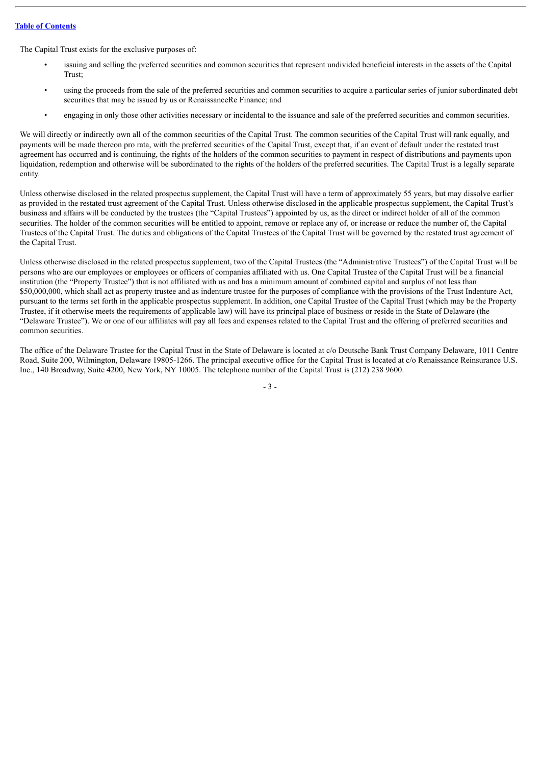The Capital Trust exists for the exclusive purposes of:

- issuing and selling the preferred securities and common securities that represent undivided beneficial interests in the assets of the Capital Trust;
- using the proceeds from the sale of the preferred securities and common securities to acquire a particular series of junior subordinated debt securities that may be issued by us or RenaissanceRe Finance; and
- engaging in only those other activities necessary or incidental to the issuance and sale of the preferred securities and common securities.

We will directly or indirectly own all of the common securities of the Capital Trust. The common securities of the Capital Trust will rank equally, and payments will be made thereon pro rata, with the preferred securities of the Capital Trust, except that, if an event of default under the restated trust agreement has occurred and is continuing, the rights of the holders of the common securities to payment in respect of distributions and payments upon liquidation, redemption and otherwise will be subordinated to the rights of the holders of the preferred securities. The Capital Trust is a legally separate entity.

Unless otherwise disclosed in the related prospectus supplement, the Capital Trust will have a term of approximately 55 years, but may dissolve earlier as provided in the restated trust agreement of the Capital Trust. Unless otherwise disclosed in the applicable prospectus supplement, the Capital Trust's business and affairs will be conducted by the trustees (the "Capital Trustees") appointed by us, as the direct or indirect holder of all of the common securities. The holder of the common securities will be entitled to appoint, remove or replace any of, or increase or reduce the number of, the Capital Trustees of the Capital Trust. The duties and obligations of the Capital Trustees of the Capital Trust will be governed by the restated trust agreement of the Capital Trust.

Unless otherwise disclosed in the related prospectus supplement, two of the Capital Trustees (the "Administrative Trustees") of the Capital Trust will be persons who are our employees or employees or officers of companies affiliated with us. One Capital Trustee of the Capital Trust will be a financial institution (the "Property Trustee") that is not affiliated with us and has a minimum amount of combined capital and surplus of not less than \$50,000,000, which shall act as property trustee and as indenture trustee for the purposes of compliance with the provisions of the Trust Indenture Act, pursuant to the terms set forth in the applicable prospectus supplement. In addition, one Capital Trustee of the Capital Trust (which may be the Property Trustee, if it otherwise meets the requirements of applicable law) will have its principal place of business or reside in the State of Delaware (the "Delaware Trustee"). We or one of our affiliates will pay all fees and expenses related to the Capital Trust and the offering of preferred securities and common securities.

The office of the Delaware Trustee for the Capital Trust in the State of Delaware is located at c/o Deutsche Bank Trust Company Delaware, 1011 Centre Road, Suite 200, Wilmington, Delaware 19805-1266. The principal executive office for the Capital Trust is located at c/o Renaissance Reinsurance U.S. Inc., 140 Broadway, Suite 4200, New York, NY 10005. The telephone number of the Capital Trust is (212) 238 9600.

- 3 -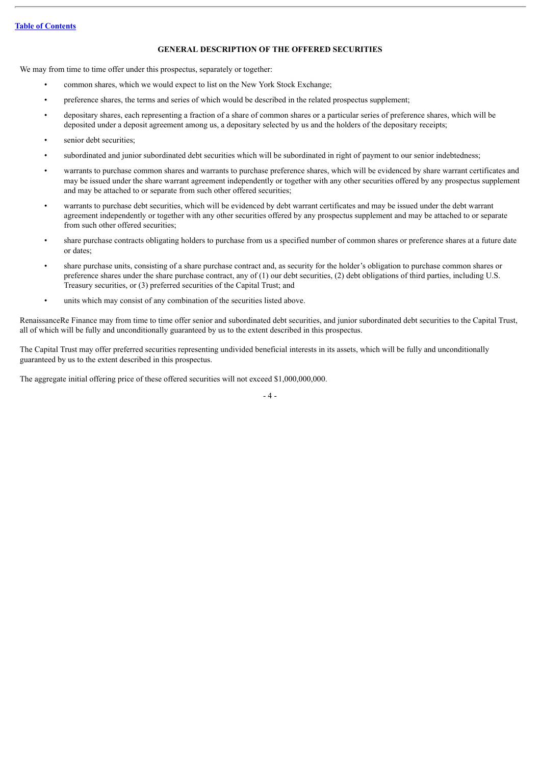# **GENERAL DESCRIPTION OF THE OFFERED SECURITIES**

<span id="page-6-0"></span>We may from time to time offer under this prospectus, separately or together:

- common shares, which we would expect to list on the New York Stock Exchange;
- preference shares, the terms and series of which would be described in the related prospectus supplement;
- depositary shares, each representing a fraction of a share of common shares or a particular series of preference shares, which will be deposited under a deposit agreement among us, a depositary selected by us and the holders of the depositary receipts;
- senior debt securities;
- subordinated and junior subordinated debt securities which will be subordinated in right of payment to our senior indebtedness;
- warrants to purchase common shares and warrants to purchase preference shares, which will be evidenced by share warrant certificates and may be issued under the share warrant agreement independently or together with any other securities offered by any prospectus supplement and may be attached to or separate from such other offered securities;
- warrants to purchase debt securities, which will be evidenced by debt warrant certificates and may be issued under the debt warrant agreement independently or together with any other securities offered by any prospectus supplement and may be attached to or separate from such other offered securities;
- share purchase contracts obligating holders to purchase from us a specified number of common shares or preference shares at a future date or dates;
- share purchase units, consisting of a share purchase contract and, as security for the holder's obligation to purchase common shares or preference shares under the share purchase contract, any of (1) our debt securities, (2) debt obligations of third parties, including U.S. Treasury securities, or (3) preferred securities of the Capital Trust; and
- units which may consist of any combination of the securities listed above.

RenaissanceRe Finance may from time to time offer senior and subordinated debt securities, and junior subordinated debt securities to the Capital Trust, all of which will be fully and unconditionally guaranteed by us to the extent described in this prospectus.

The Capital Trust may offer preferred securities representing undivided beneficial interests in its assets, which will be fully and unconditionally guaranteed by us to the extent described in this prospectus.

The aggregate initial offering price of these offered securities will not exceed \$1,000,000,000.

 $-4-$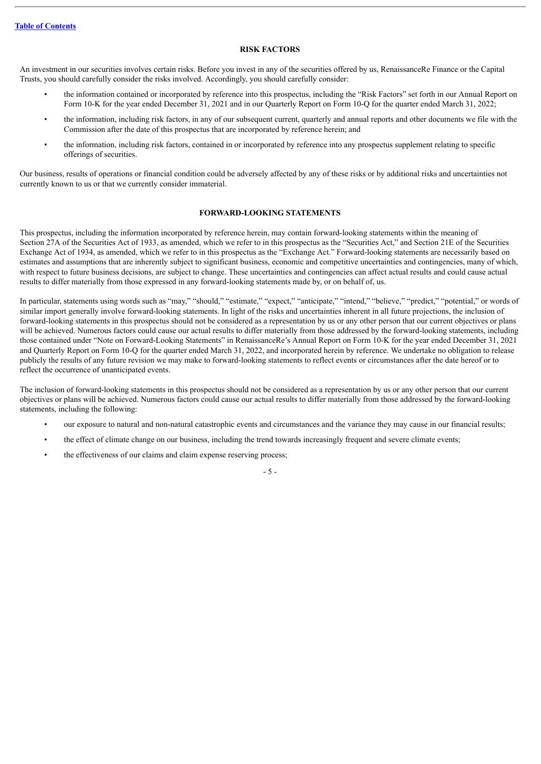### **RISK FACTORS**

<span id="page-7-0"></span>An investment in our securities involves certain risks. Before you invest in any of the securities offered by us, RenaissanceRe Finance or the Capital Trusts, you should carefully consider the risks involved. Accordingly, you should carefully consider:

- the information contained or incorporated by reference into this prospectus, including the "Risk Factors" set forth in our Annual Report on Form 10-K for the year ended December 31, 2021 and in our Quarterly Report on Form 10-Q for the quarter ended March 31, 2022;
- the information, including risk factors, in any of our subsequent current, quarterly and annual reports and other documents we file with the Commission after the date of this prospectus that are incorporated by reference herein; and
- the information, including risk factors, contained in or incorporated by reference into any prospectus supplement relating to specific offerings of securities.

Our business, results of operations or financial condition could be adversely affected by any of these risks or by additional risks and uncertainties not currently known to us or that we currently consider immaterial.

# **FORWARD-LOOKING STATEMENTS**

<span id="page-7-1"></span>This prospectus, including the information incorporated by reference herein, may contain forward-looking statements within the meaning of Section 27A of the Securities Act of 1933, as amended, which we refer to in this prospectus as the "Securities Act," and Section 21E of the Securities Exchange Act of 1934, as amended, which we refer to in this prospectus as the "Exchange Act." Forward-looking statements are necessarily based on estimates and assumptions that are inherently subject to significant business, economic and competitive uncertainties and contingencies, many of which, with respect to future business decisions, are subject to change. These uncertainties and contingencies can affect actual results and could cause actual results to differ materially from those expressed in any forward-looking statements made by, or on behalf of, us.

In particular, statements using words such as "may," "should," "estimate," "expect," "anticipate," "intend," "believe," "predict," "potential," or words of similar import generally involve forward-looking statements. In light of the risks and uncertainties inherent in all future projections, the inclusion of forward-looking statements in this prospectus should not be considered as a representation by us or any other person that our current objectives or plans will be achieved. Numerous factors could cause our actual results to differ materially from those addressed by the forward-looking statements, including those contained under "Note on Forward-Looking Statements" in RenaissanceRe's Annual Report on Form 10-K for the year ended December 31, 2021 and Quarterly Report on Form 10-Q for the quarter ended March 31, 2022, and incorporated herein by reference. We undertake no obligation to release publicly the results of any future revision we may make to forward-looking statements to reflect events or circumstances after the date hereof or to reflect the occurrence of unanticipated events.

The inclusion of forward-looking statements in this prospectus should not be considered as a representation by us or any other person that our current objectives or plans will be achieved. Numerous factors could cause our actual results to differ materially from those addressed by the forward-looking statements, including the following:

- our exposure to natural and non-natural catastrophic events and circumstances and the variance they may cause in our financial results;
- the effect of climate change on our business, including the trend towards increasingly frequent and severe climate events;
- the effectiveness of our claims and claim expense reserving process;

- 5 -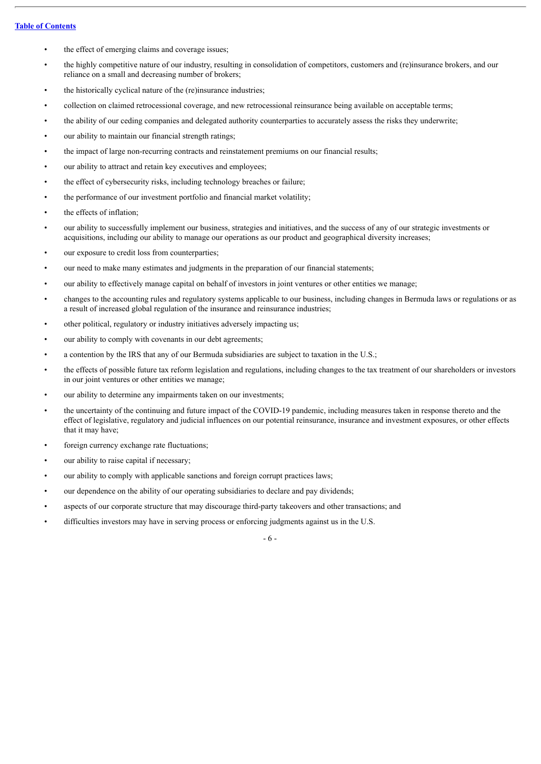- the effect of emerging claims and coverage issues;
- the highly competitive nature of our industry, resulting in consolidation of competitors, customers and (re)insurance brokers, and our reliance on a small and decreasing number of brokers;
- the historically cyclical nature of the (re)insurance industries;
- collection on claimed retrocessional coverage, and new retrocessional reinsurance being available on acceptable terms;
- the ability of our ceding companies and delegated authority counterparties to accurately assess the risks they underwrite;
- our ability to maintain our financial strength ratings;
- the impact of large non-recurring contracts and reinstatement premiums on our financial results;
- our ability to attract and retain key executives and employees;
- the effect of cybersecurity risks, including technology breaches or failure;
- the performance of our investment portfolio and financial market volatility;
- the effects of inflation:
- our ability to successfully implement our business, strategies and initiatives, and the success of any of our strategic investments or acquisitions, including our ability to manage our operations as our product and geographical diversity increases;
- our exposure to credit loss from counterparties;
- our need to make many estimates and judgments in the preparation of our financial statements;
- our ability to effectively manage capital on behalf of investors in joint ventures or other entities we manage;
- changes to the accounting rules and regulatory systems applicable to our business, including changes in Bermuda laws or regulations or as a result of increased global regulation of the insurance and reinsurance industries;
- other political, regulatory or industry initiatives adversely impacting us;
- our ability to comply with covenants in our debt agreements;
- a contention by the IRS that any of our Bermuda subsidiaries are subject to taxation in the U.S.;
- the effects of possible future tax reform legislation and regulations, including changes to the tax treatment of our shareholders or investors in our joint ventures or other entities we manage;
- our ability to determine any impairments taken on our investments;
- the uncertainty of the continuing and future impact of the COVID-19 pandemic, including measures taken in response thereto and the effect of legislative, regulatory and judicial influences on our potential reinsurance, insurance and investment exposures, or other effects that it may have;
- foreign currency exchange rate fluctuations;
- our ability to raise capital if necessary;
- our ability to comply with applicable sanctions and foreign corrupt practices laws;
- our dependence on the ability of our operating subsidiaries to declare and pay dividends;
- aspects of our corporate structure that may discourage third-party takeovers and other transactions; and
- difficulties investors may have in serving process or enforcing judgments against us in the U.S.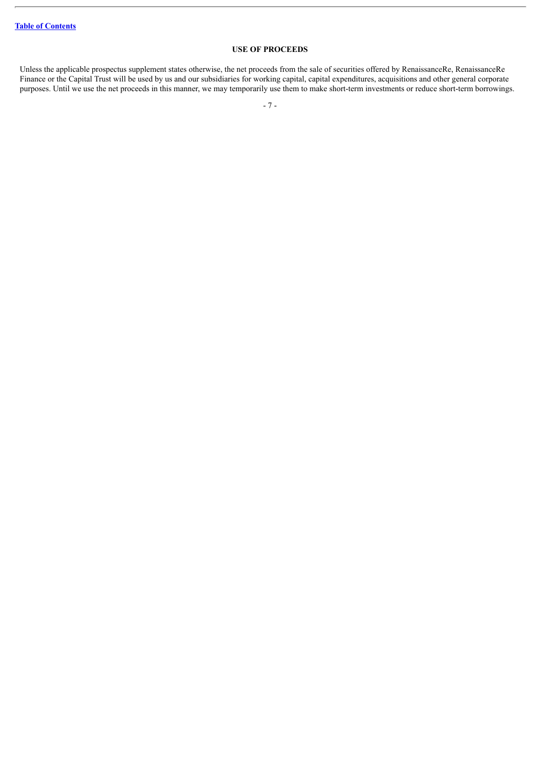# **USE OF PROCEEDS**

<span id="page-9-0"></span>Unless the applicable prospectus supplement states otherwise, the net proceeds from the sale of securities offered by RenaissanceRe, RenaissanceRe Finance or the Capital Trust will be used by us and our subsidiaries for working capital, capital expenditures, acquisitions and other general corporate purposes. Until we use the net proceeds in this manner, we may temporarily use them to make short-term investments or reduce short-term borrowings.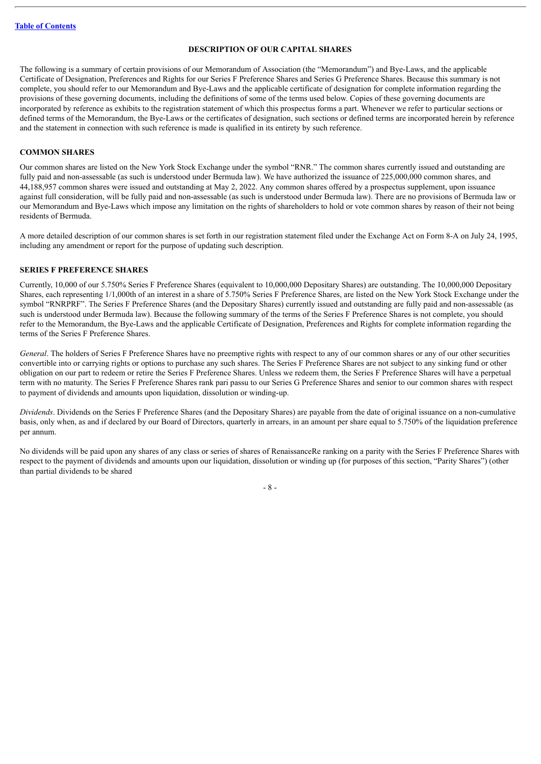# **DESCRIPTION OF OUR CAPITAL SHARES**

<span id="page-10-0"></span>The following is a summary of certain provisions of our Memorandum of Association (the "Memorandum") and Bye-Laws, and the applicable Certificate of Designation, Preferences and Rights for our Series F Preference Shares and Series G Preference Shares. Because this summary is not complete, you should refer to our Memorandum and Bye-Laws and the applicable certificate of designation for complete information regarding the provisions of these governing documents, including the definitions of some of the terms used below. Copies of these governing documents are incorporated by reference as exhibits to the registration statement of which this prospectus forms a part. Whenever we refer to particular sections or defined terms of the Memorandum, the Bye-Laws or the certificates of designation, such sections or defined terms are incorporated herein by reference and the statement in connection with such reference is made is qualified in its entirety by such reference.

#### **COMMON SHARES**

Our common shares are listed on the New York Stock Exchange under the symbol "RNR." The common shares currently issued and outstanding are fully paid and non-assessable (as such is understood under Bermuda law). We have authorized the issuance of 225,000,000 common shares, and 44,188,957 common shares were issued and outstanding at May 2, 2022. Any common shares offered by a prospectus supplement, upon issuance against full consideration, will be fully paid and non-assessable (as such is understood under Bermuda law). There are no provisions of Bermuda law or our Memorandum and Bye-Laws which impose any limitation on the rights of shareholders to hold or vote common shares by reason of their not being residents of Bermuda.

A more detailed description of our common shares is set forth in our registration statement filed under the Exchange Act on Form 8-A on July 24, 1995, including any amendment or report for the purpose of updating such description.

#### **SERIES F PREFERENCE SHARES**

Currently, 10,000 of our 5.750% Series F Preference Shares (equivalent to 10,000,000 Depositary Shares) are outstanding. The 10,000,000 Depositary Shares, each representing 1/1,000th of an interest in a share of 5.750% Series F Preference Shares, are listed on the New York Stock Exchange under the symbol "RNRPRF". The Series F Preference Shares (and the Depositary Shares) currently issued and outstanding are fully paid and non-assessable (as such is understood under Bermuda law). Because the following summary of the terms of the Series F Preference Shares is not complete, you should refer to the Memorandum, the Bye-Laws and the applicable Certificate of Designation, Preferences and Rights for complete information regarding the terms of the Series F Preference Shares.

*General*. The holders of Series F Preference Shares have no preemptive rights with respect to any of our common shares or any of our other securities convertible into or carrying rights or options to purchase any such shares. The Series F Preference Shares are not subject to any sinking fund or other obligation on our part to redeem or retire the Series F Preference Shares. Unless we redeem them, the Series F Preference Shares will have a perpetual term with no maturity. The Series F Preference Shares rank pari passu to our Series G Preference Shares and senior to our common shares with respect to payment of dividends and amounts upon liquidation, dissolution or winding-up.

*Dividends*. Dividends on the Series F Preference Shares (and the Depositary Shares) are payable from the date of original issuance on a non-cumulative basis, only when, as and if declared by our Board of Directors, quarterly in arrears, in an amount per share equal to 5.750% of the liquidation preference per annum.

No dividends will be paid upon any shares of any class or series of shares of RenaissanceRe ranking on a parity with the Series F Preference Shares with respect to the payment of dividends and amounts upon our liquidation, dissolution or winding up (for purposes of this section, "Parity Shares") (other than partial dividends to be shared

- 8 -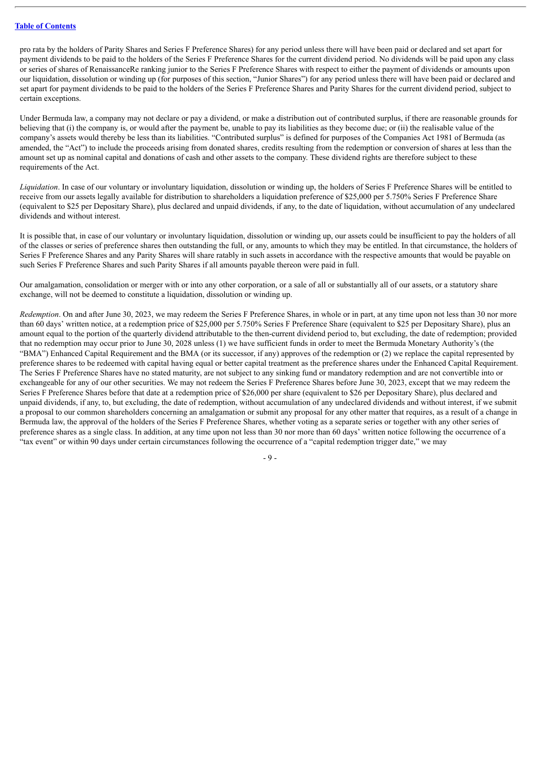pro rata by the holders of Parity Shares and Series F Preference Shares) for any period unless there will have been paid or declared and set apart for payment dividends to be paid to the holders of the Series F Preference Shares for the current dividend period. No dividends will be paid upon any class or series of shares of RenaissanceRe ranking junior to the Series F Preference Shares with respect to either the payment of dividends or amounts upon our liquidation, dissolution or winding up (for purposes of this section, "Junior Shares") for any period unless there will have been paid or declared and set apart for payment dividends to be paid to the holders of the Series F Preference Shares and Parity Shares for the current dividend period, subject to certain exceptions.

Under Bermuda law, a company may not declare or pay a dividend, or make a distribution out of contributed surplus, if there are reasonable grounds for believing that (i) the company is, or would after the payment be, unable to pay its liabilities as they become due; or (ii) the realisable value of the company's assets would thereby be less than its liabilities. "Contributed surplus" is defined for purposes of the Companies Act 1981 of Bermuda (as amended, the "Act") to include the proceeds arising from donated shares, credits resulting from the redemption or conversion of shares at less than the amount set up as nominal capital and donations of cash and other assets to the company. These dividend rights are therefore subject to these requirements of the Act.

*Liquidation*. In case of our voluntary or involuntary liquidation, dissolution or winding up, the holders of Series F Preference Shares will be entitled to receive from our assets legally available for distribution to shareholders a liquidation preference of \$25,000 per 5.750% Series F Preference Share (equivalent to \$25 per Depositary Share), plus declared and unpaid dividends, if any, to the date of liquidation, without accumulation of any undeclared dividends and without interest.

It is possible that, in case of our voluntary or involuntary liquidation, dissolution or winding up, our assets could be insufficient to pay the holders of all of the classes or series of preference shares then outstanding the full, or any, amounts to which they may be entitled. In that circumstance, the holders of Series F Preference Shares and any Parity Shares will share ratably in such assets in accordance with the respective amounts that would be payable on such Series F Preference Shares and such Parity Shares if all amounts payable thereon were paid in full.

Our amalgamation, consolidation or merger with or into any other corporation, or a sale of all or substantially all of our assets, or a statutory share exchange, will not be deemed to constitute a liquidation, dissolution or winding up.

*Redemption*. On and after June 30, 2023, we may redeem the Series F Preference Shares, in whole or in part, at any time upon not less than 30 nor more than 60 days' written notice, at a redemption price of \$25,000 per 5.750% Series F Preference Share (equivalent to \$25 per Depositary Share), plus an amount equal to the portion of the quarterly dividend attributable to the then-current dividend period to, but excluding, the date of redemption; provided that no redemption may occur prior to June 30, 2028 unless (1) we have sufficient funds in order to meet the Bermuda Monetary Authority's (the "BMA") Enhanced Capital Requirement and the BMA (or its successor, if any) approves of the redemption or (2) we replace the capital represented by preference shares to be redeemed with capital having equal or better capital treatment as the preference shares under the Enhanced Capital Requirement. The Series F Preference Shares have no stated maturity, are not subject to any sinking fund or mandatory redemption and are not convertible into or exchangeable for any of our other securities. We may not redeem the Series F Preference Shares before June 30, 2023, except that we may redeem the Series F Preference Shares before that date at a redemption price of \$26,000 per share (equivalent to \$26 per Depositary Share), plus declared and unpaid dividends, if any, to, but excluding, the date of redemption, without accumulation of any undeclared dividends and without interest, if we submit a proposal to our common shareholders concerning an amalgamation or submit any proposal for any other matter that requires, as a result of a change in Bermuda law, the approval of the holders of the Series F Preference Shares, whether voting as a separate series or together with any other series of preference shares as a single class. In addition, at any time upon not less than 30 nor more than 60 days' written notice following the occurrence of a "tax event" or within 90 days under certain circumstances following the occurrence of a "capital redemption trigger date," we may

 $-$  9  $-$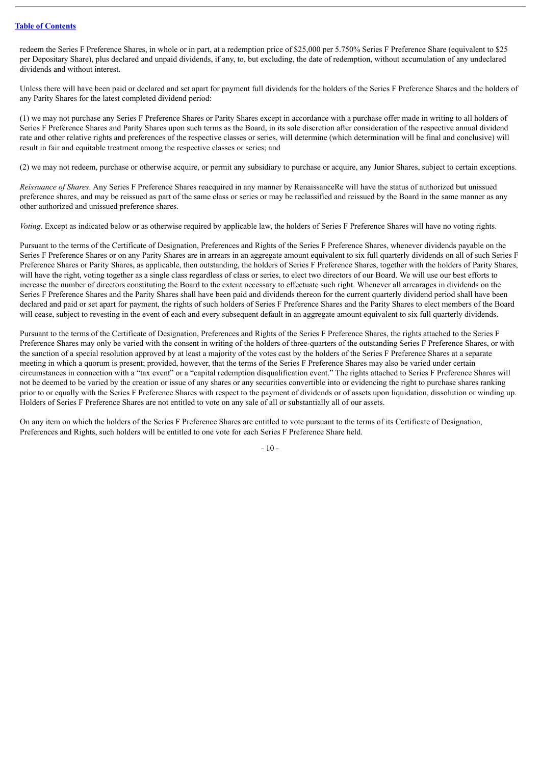redeem the Series F Preference Shares, in whole or in part, at a redemption price of \$25,000 per 5.750% Series F Preference Share (equivalent to \$25 per Depositary Share), plus declared and unpaid dividends, if any, to, but excluding, the date of redemption, without accumulation of any undeclared dividends and without interest.

Unless there will have been paid or declared and set apart for payment full dividends for the holders of the Series F Preference Shares and the holders of any Parity Shares for the latest completed dividend period:

(1) we may not purchase any Series F Preference Shares or Parity Shares except in accordance with a purchase offer made in writing to all holders of Series F Preference Shares and Parity Shares upon such terms as the Board, in its sole discretion after consideration of the respective annual dividend rate and other relative rights and preferences of the respective classes or series, will determine (which determination will be final and conclusive) will result in fair and equitable treatment among the respective classes or series; and

(2) we may not redeem, purchase or otherwise acquire, or permit any subsidiary to purchase or acquire, any Junior Shares, subject to certain exceptions.

*Reissuance of Shares*. Any Series F Preference Shares reacquired in any manner by RenaissanceRe will have the status of authorized but unissued preference shares, and may be reissued as part of the same class or series or may be reclassified and reissued by the Board in the same manner as any other authorized and unissued preference shares.

*Voting*. Except as indicated below or as otherwise required by applicable law, the holders of Series F Preference Shares will have no voting rights.

Pursuant to the terms of the Certificate of Designation, Preferences and Rights of the Series F Preference Shares, whenever dividends payable on the Series F Preference Shares or on any Parity Shares are in arrears in an aggregate amount equivalent to six full quarterly dividends on all of such Series F Preference Shares or Parity Shares, as applicable, then outstanding, the holders of Series F Preference Shares, together with the holders of Parity Shares, will have the right, voting together as a single class regardless of class or series, to elect two directors of our Board. We will use our best efforts to increase the number of directors constituting the Board to the extent necessary to effectuate such right. Whenever all arrearages in dividends on the Series F Preference Shares and the Parity Shares shall have been paid and dividends thereon for the current quarterly dividend period shall have been declared and paid or set apart for payment, the rights of such holders of Series F Preference Shares and the Parity Shares to elect members of the Board will cease, subject to revesting in the event of each and every subsequent default in an aggregate amount equivalent to six full quarterly dividends.

Pursuant to the terms of the Certificate of Designation, Preferences and Rights of the Series F Preference Shares, the rights attached to the Series F Preference Shares may only be varied with the consent in writing of the holders of three-quarters of the outstanding Series F Preference Shares, or with the sanction of a special resolution approved by at least a majority of the votes cast by the holders of the Series F Preference Shares at a separate meeting in which a quorum is present; provided, however, that the terms of the Series F Preference Shares may also be varied under certain circumstances in connection with a "tax event" or a "capital redemption disqualification event." The rights attached to Series F Preference Shares will not be deemed to be varied by the creation or issue of any shares or any securities convertible into or evidencing the right to purchase shares ranking prior to or equally with the Series F Preference Shares with respect to the payment of dividends or of assets upon liquidation, dissolution or winding up. Holders of Series F Preference Shares are not entitled to vote on any sale of all or substantially all of our assets.

On any item on which the holders of the Series F Preference Shares are entitled to vote pursuant to the terms of its Certificate of Designation, Preferences and Rights, such holders will be entitled to one vote for each Series F Preference Share held.

 $-10-$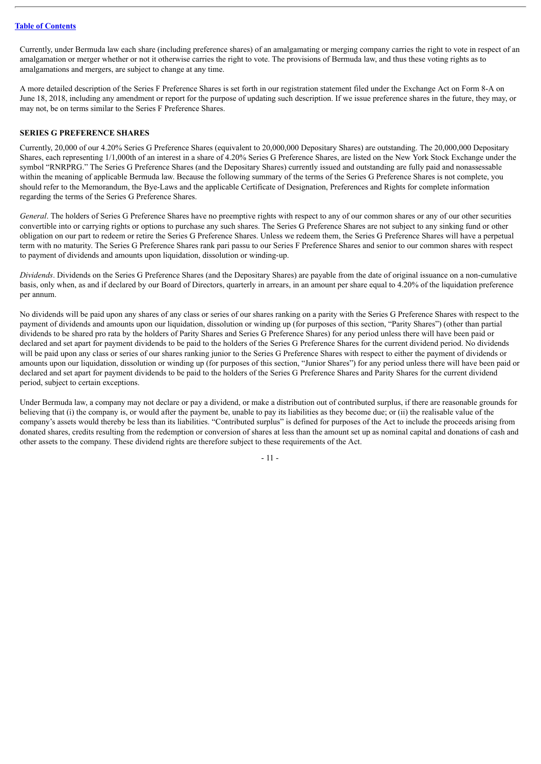Currently, under Bermuda law each share (including preference shares) of an amalgamating or merging company carries the right to vote in respect of an amalgamation or merger whether or not it otherwise carries the right to vote. The provisions of Bermuda law, and thus these voting rights as to amalgamations and mergers, are subject to change at any time.

A more detailed description of the Series F Preference Shares is set forth in our registration statement filed under the Exchange Act on Form 8-A on June 18, 2018, including any amendment or report for the purpose of updating such description. If we issue preference shares in the future, they may, or may not, be on terms similar to the Series F Preference Shares.

#### **SERIES G PREFERENCE SHARES**

Currently, 20,000 of our 4.20% Series G Preference Shares (equivalent to 20,000,000 Depositary Shares) are outstanding. The 20,000,000 Depositary Shares, each representing 1/1,000th of an interest in a share of 4.20% Series G Preference Shares, are listed on the New York Stock Exchange under the symbol "RNRPRG." The Series G Preference Shares (and the Depositary Shares) currently issued and outstanding are fully paid and nonassessable within the meaning of applicable Bermuda law. Because the following summary of the terms of the Series G Preference Shares is not complete, you should refer to the Memorandum, the Bye-Laws and the applicable Certificate of Designation, Preferences and Rights for complete information regarding the terms of the Series G Preference Shares.

*General*. The holders of Series G Preference Shares have no preemptive rights with respect to any of our common shares or any of our other securities convertible into or carrying rights or options to purchase any such shares. The Series G Preference Shares are not subject to any sinking fund or other obligation on our part to redeem or retire the Series G Preference Shares. Unless we redeem them, the Series G Preference Shares will have a perpetual term with no maturity. The Series G Preference Shares rank pari passu to our Series F Preference Shares and senior to our common shares with respect to payment of dividends and amounts upon liquidation, dissolution or winding-up.

*Dividends*. Dividends on the Series G Preference Shares (and the Depositary Shares) are payable from the date of original issuance on a non-cumulative basis, only when, as and if declared by our Board of Directors, quarterly in arrears, in an amount per share equal to 4.20% of the liquidation preference per annum.

No dividends will be paid upon any shares of any class or series of our shares ranking on a parity with the Series G Preference Shares with respect to the payment of dividends and amounts upon our liquidation, dissolution or winding up (for purposes of this section, "Parity Shares") (other than partial dividends to be shared pro rata by the holders of Parity Shares and Series G Preference Shares) for any period unless there will have been paid or declared and set apart for payment dividends to be paid to the holders of the Series G Preference Shares for the current dividend period. No dividends will be paid upon any class or series of our shares ranking junior to the Series G Preference Shares with respect to either the payment of dividends or amounts upon our liquidation, dissolution or winding up (for purposes of this section, "Junior Shares") for any period unless there will have been paid or declared and set apart for payment dividends to be paid to the holders of the Series G Preference Shares and Parity Shares for the current dividend period, subject to certain exceptions.

Under Bermuda law, a company may not declare or pay a dividend, or make a distribution out of contributed surplus, if there are reasonable grounds for believing that (i) the company is, or would after the payment be, unable to pay its liabilities as they become due; or (ii) the realisable value of the company's assets would thereby be less than its liabilities. "Contributed surplus" is defined for purposes of the Act to include the proceeds arising from donated shares, credits resulting from the redemption or conversion of shares at less than the amount set up as nominal capital and donations of cash and other assets to the company. These dividend rights are therefore subject to these requirements of the Act.

 $-11 -$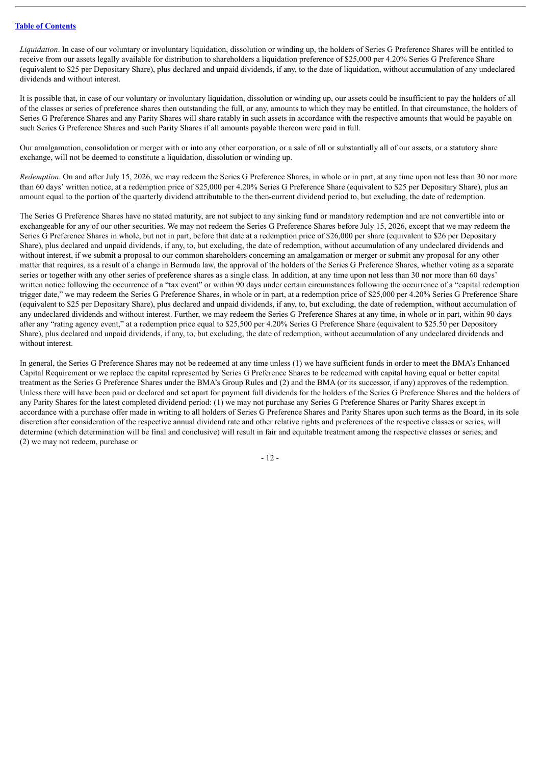*Liquidation*. In case of our voluntary or involuntary liquidation, dissolution or winding up, the holders of Series G Preference Shares will be entitled to receive from our assets legally available for distribution to shareholders a liquidation preference of \$25,000 per 4.20% Series G Preference Share (equivalent to \$25 per Depositary Share), plus declared and unpaid dividends, if any, to the date of liquidation, without accumulation of any undeclared dividends and without interest.

It is possible that, in case of our voluntary or involuntary liquidation, dissolution or winding up, our assets could be insufficient to pay the holders of all of the classes or series of preference shares then outstanding the full, or any, amounts to which they may be entitled. In that circumstance, the holders of Series G Preference Shares and any Parity Shares will share ratably in such assets in accordance with the respective amounts that would be payable on such Series G Preference Shares and such Parity Shares if all amounts payable thereon were paid in full.

Our amalgamation, consolidation or merger with or into any other corporation, or a sale of all or substantially all of our assets, or a statutory share exchange, will not be deemed to constitute a liquidation, dissolution or winding up.

*Redemption*. On and after July 15, 2026, we may redeem the Series G Preference Shares, in whole or in part, at any time upon not less than 30 nor more than 60 days' written notice, at a redemption price of \$25,000 per 4.20% Series G Preference Share (equivalent to \$25 per Depositary Share), plus an amount equal to the portion of the quarterly dividend attributable to the then-current dividend period to, but excluding, the date of redemption.

The Series G Preference Shares have no stated maturity, are not subject to any sinking fund or mandatory redemption and are not convertible into or exchangeable for any of our other securities. We may not redeem the Series G Preference Shares before July 15, 2026, except that we may redeem the Series G Preference Shares in whole, but not in part, before that date at a redemption price of \$26,000 per share (equivalent to \$26 per Depositary Share), plus declared and unpaid dividends, if any, to, but excluding, the date of redemption, without accumulation of any undeclared dividends and without interest, if we submit a proposal to our common shareholders concerning an amalgamation or merger or submit any proposal for any other matter that requires, as a result of a change in Bermuda law, the approval of the holders of the Series G Preference Shares, whether voting as a separate series or together with any other series of preference shares as a single class. In addition, at any time upon not less than 30 nor more than 60 days' written notice following the occurrence of a "tax event" or within 90 days under certain circumstances following the occurrence of a "capital redemption" trigger date," we may redeem the Series G Preference Shares, in whole or in part, at a redemption price of \$25,000 per 4.20% Series G Preference Share (equivalent to \$25 per Depositary Share), plus declared and unpaid dividends, if any, to, but excluding, the date of redemption, without accumulation of any undeclared dividends and without interest. Further, we may redeem the Series G Preference Shares at any time, in whole or in part, within 90 days after any "rating agency event," at a redemption price equal to \$25,500 per 4.20% Series G Preference Share (equivalent to \$25.50 per Depository Share), plus declared and unpaid dividends, if any, to, but excluding, the date of redemption, without accumulation of any undeclared dividends and without interest.

In general, the Series G Preference Shares may not be redeemed at any time unless (1) we have sufficient funds in order to meet the BMA's Enhanced Capital Requirement or we replace the capital represented by Series G Preference Shares to be redeemed with capital having equal or better capital treatment as the Series G Preference Shares under the BMA's Group Rules and (2) and the BMA (or its successor, if any) approves of the redemption. Unless there will have been paid or declared and set apart for payment full dividends for the holders of the Series G Preference Shares and the holders of any Parity Shares for the latest completed dividend period: (1) we may not purchase any Series G Preference Shares or Parity Shares except in accordance with a purchase offer made in writing to all holders of Series G Preference Shares and Parity Shares upon such terms as the Board, in its sole discretion after consideration of the respective annual dividend rate and other relative rights and preferences of the respective classes or series, will determine (which determination will be final and conclusive) will result in fair and equitable treatment among the respective classes or series; and (2) we may not redeem, purchase or

- 12 -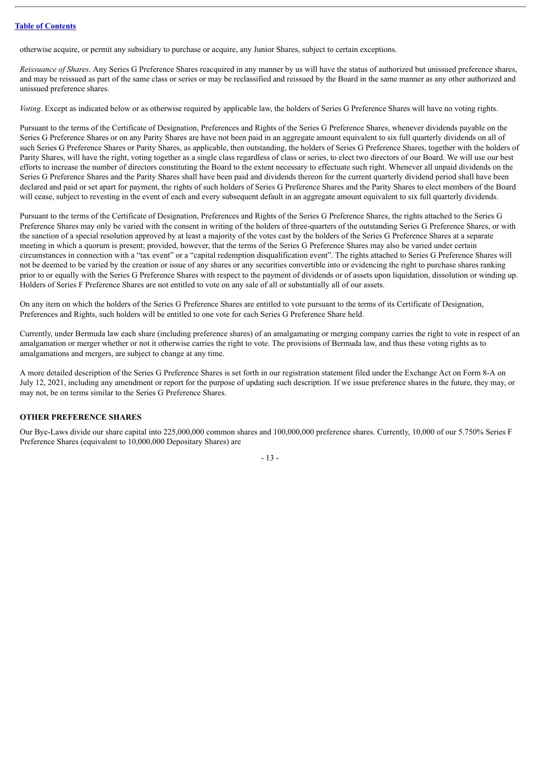otherwise acquire, or permit any subsidiary to purchase or acquire, any Junior Shares, subject to certain exceptions.

*Reissuance of Shares*. Any Series G Preference Shares reacquired in any manner by us will have the status of authorized but unissued preference shares, and may be reissued as part of the same class or series or may be reclassified and reissued by the Board in the same manner as any other authorized and unissued preference shares.

*Voting*. Except as indicated below or as otherwise required by applicable law, the holders of Series G Preference Shares will have no voting rights.

Pursuant to the terms of the Certificate of Designation, Preferences and Rights of the Series G Preference Shares, whenever dividends payable on the Series G Preference Shares or on any Parity Shares are have not been paid in an aggregate amount equivalent to six full quarterly dividends on all of such Series G Preference Shares or Parity Shares, as applicable, then outstanding, the holders of Series G Preference Shares, together with the holders of Parity Shares, will have the right, voting together as a single class regardless of class or series, to elect two directors of our Board. We will use our best efforts to increase the number of directors constituting the Board to the extent necessary to effectuate such right. Whenever all unpaid dividends on the Series G Preference Shares and the Parity Shares shall have been paid and dividends thereon for the current quarterly dividend period shall have been declared and paid or set apart for payment, the rights of such holders of Series G Preference Shares and the Parity Shares to elect members of the Board will cease, subject to revesting in the event of each and every subsequent default in an aggregate amount equivalent to six full quarterly dividends.

Pursuant to the terms of the Certificate of Designation, Preferences and Rights of the Series G Preference Shares, the rights attached to the Series G Preference Shares may only be varied with the consent in writing of the holders of three-quarters of the outstanding Series G Preference Shares, or with the sanction of a special resolution approved by at least a majority of the votes cast by the holders of the Series G Preference Shares at a separate meeting in which a quorum is present; provided, however, that the terms of the Series G Preference Shares may also be varied under certain circumstances in connection with a "tax event" or a "capital redemption disqualification event". The rights attached to Series G Preference Shares will not be deemed to be varied by the creation or issue of any shares or any securities convertible into or evidencing the right to purchase shares ranking prior to or equally with the Series G Preference Shares with respect to the payment of dividends or of assets upon liquidation, dissolution or winding up. Holders of Series F Preference Shares are not entitled to vote on any sale of all or substantially all of our assets.

On any item on which the holders of the Series G Preference Shares are entitled to vote pursuant to the terms of its Certificate of Designation, Preferences and Rights, such holders will be entitled to one vote for each Series G Preference Share held.

Currently, under Bermuda law each share (including preference shares) of an amalgamating or merging company carries the right to vote in respect of an amalgamation or merger whether or not it otherwise carries the right to vote. The provisions of Bermuda law, and thus these voting rights as to amalgamations and mergers, are subject to change at any time.

A more detailed description of the Series G Preference Shares is set forth in our registration statement filed under the Exchange Act on Form 8-A on July 12, 2021, including any amendment or report for the purpose of updating such description. If we issue preference shares in the future, they may, or may not, be on terms similar to the Series G Preference Shares.

# **OTHER PREFERENCE SHARES**

Our Bye-Laws divide our share capital into 225,000,000 common shares and 100,000,000 preference shares. Currently, 10,000 of our 5.750% Series F Preference Shares (equivalent to 10,000,000 Depositary Shares) are

- 13 -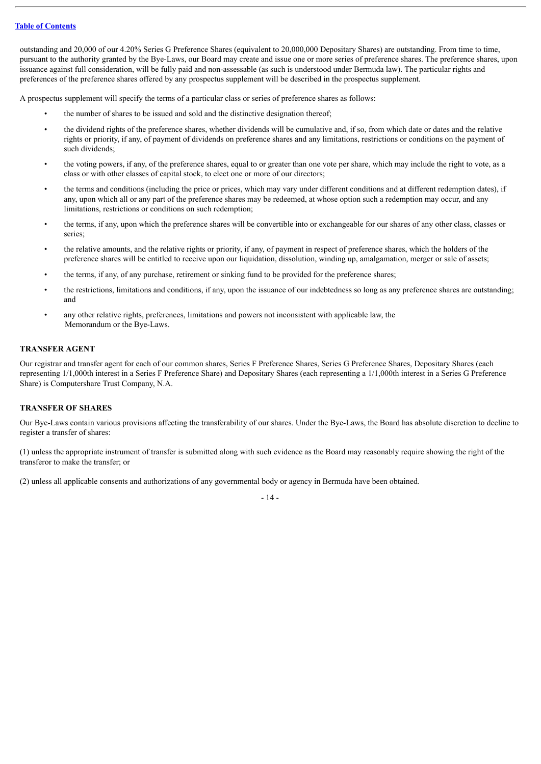outstanding and 20,000 of our 4.20% Series G Preference Shares (equivalent to 20,000,000 Depositary Shares) are outstanding. From time to time, pursuant to the authority granted by the Bye-Laws, our Board may create and issue one or more series of preference shares. The preference shares, upon issuance against full consideration, will be fully paid and non-assessable (as such is understood under Bermuda law). The particular rights and preferences of the preference shares offered by any prospectus supplement will be described in the prospectus supplement.

A prospectus supplement will specify the terms of a particular class or series of preference shares as follows:

- the number of shares to be issued and sold and the distinctive designation thereof;
- the dividend rights of the preference shares, whether dividends will be cumulative and, if so, from which date or dates and the relative rights or priority, if any, of payment of dividends on preference shares and any limitations, restrictions or conditions on the payment of such dividends;
- the voting powers, if any, of the preference shares, equal to or greater than one vote per share, which may include the right to vote, as a class or with other classes of capital stock, to elect one or more of our directors;
- the terms and conditions (including the price or prices, which may vary under different conditions and at different redemption dates), if any, upon which all or any part of the preference shares may be redeemed, at whose option such a redemption may occur, and any limitations, restrictions or conditions on such redemption;
- the terms, if any, upon which the preference shares will be convertible into or exchangeable for our shares of any other class, classes or series;
- the relative amounts, and the relative rights or priority, if any, of payment in respect of preference shares, which the holders of the preference shares will be entitled to receive upon our liquidation, dissolution, winding up, amalgamation, merger or sale of assets;
- the terms, if any, of any purchase, retirement or sinking fund to be provided for the preference shares;
- the restrictions, limitations and conditions, if any, upon the issuance of our indebtedness so long as any preference shares are outstanding; and
- any other relative rights, preferences, limitations and powers not inconsistent with applicable law, the Memorandum or the Bye-Laws.

# **TRANSFER AGENT**

Our registrar and transfer agent for each of our common shares, Series F Preference Shares, Series G Preference Shares, Depositary Shares (each representing 1/1,000th interest in a Series F Preference Share) and Depositary Shares (each representing a 1/1,000th interest in a Series G Preference Share) is Computershare Trust Company, N.A.

# **TRANSFER OF SHARES**

Our Bye-Laws contain various provisions affecting the transferability of our shares. Under the Bye-Laws, the Board has absolute discretion to decline to register a transfer of shares:

(1) unless the appropriate instrument of transfer is submitted along with such evidence as the Board may reasonably require showing the right of the transferor to make the transfer; or

(2) unless all applicable consents and authorizations of any governmental body or agency in Bermuda have been obtained.

- 14 -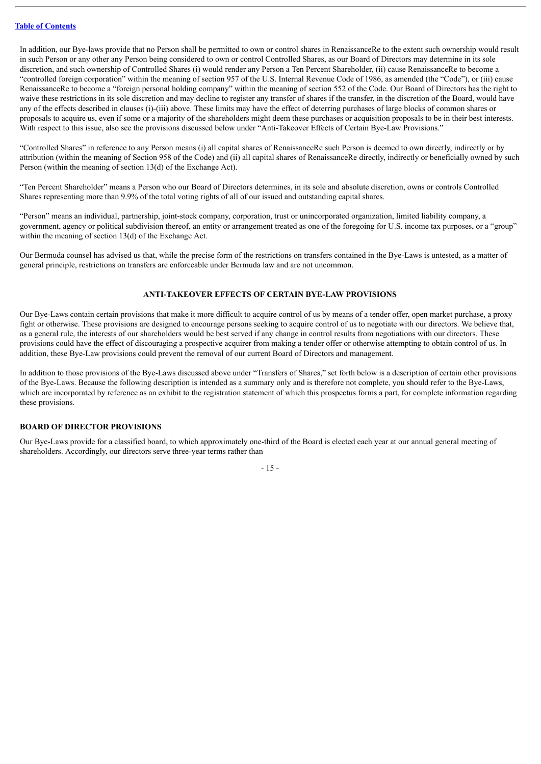In addition, our Bye-laws provide that no Person shall be permitted to own or control shares in RenaissanceRe to the extent such ownership would result in such Person or any other any Person being considered to own or control Controlled Shares, as our Board of Directors may determine in its sole discretion, and such ownership of Controlled Shares (i) would render any Person a Ten Percent Shareholder, (ii) cause RenaissanceRe to become a "controlled foreign corporation" within the meaning of section 957 of the U.S. Internal Revenue Code of 1986, as amended (the "Code"), or (iii) cause RenaissanceRe to become a "foreign personal holding company" within the meaning of section 552 of the Code. Our Board of Directors has the right to waive these restrictions in its sole discretion and may decline to register any transfer of shares if the transfer, in the discretion of the Board, would have any of the effects described in clauses (i)-(iii) above. These limits may have the effect of deterring purchases of large blocks of common shares or proposals to acquire us, even if some or a majority of the shareholders might deem these purchases or acquisition proposals to be in their best interests. With respect to this issue, also see the provisions discussed below under "Anti-Takeover Effects of Certain Bye-Law Provisions."

"Controlled Shares" in reference to any Person means (i) all capital shares of RenaissanceRe such Person is deemed to own directly, indirectly or by attribution (within the meaning of Section 958 of the Code) and (ii) all capital shares of RenaissanceRe directly, indirectly or beneficially owned by such Person (within the meaning of section 13(d) of the Exchange Act).

"Ten Percent Shareholder" means a Person who our Board of Directors determines, in its sole and absolute discretion, owns or controls Controlled Shares representing more than 9.9% of the total voting rights of all of our issued and outstanding capital shares.

"Person" means an individual, partnership, joint-stock company, corporation, trust or unincorporated organization, limited liability company, a government, agency or political subdivision thereof, an entity or arrangement treated as one of the foregoing for U.S. income tax purposes, or a "group" within the meaning of section 13(d) of the Exchange Act.

Our Bermuda counsel has advised us that, while the precise form of the restrictions on transfers contained in the Bye-Laws is untested, as a matter of general principle, restrictions on transfers are enforceable under Bermuda law and are not uncommon.

# **ANTI-TAKEOVER EFFECTS OF CERTAIN BYE-LAW PROVISIONS**

Our Bye-Laws contain certain provisions that make it more difficult to acquire control of us by means of a tender offer, open market purchase, a proxy fight or otherwise. These provisions are designed to encourage persons seeking to acquire control of us to negotiate with our directors. We believe that, as a general rule, the interests of our shareholders would be best served if any change in control results from negotiations with our directors. These provisions could have the effect of discouraging a prospective acquirer from making a tender offer or otherwise attempting to obtain control of us. In addition, these Bye-Law provisions could prevent the removal of our current Board of Directors and management.

In addition to those provisions of the Bye-Laws discussed above under "Transfers of Shares," set forth below is a description of certain other provisions of the Bye-Laws. Because the following description is intended as a summary only and is therefore not complete, you should refer to the Bye-Laws, which are incorporated by reference as an exhibit to the registration statement of which this prospectus forms a part, for complete information regarding these provisions.

# **BOARD OF DIRECTOR PROVISIONS**

Our Bye-Laws provide for a classified board, to which approximately one-third of the Board is elected each year at our annual general meeting of shareholders. Accordingly, our directors serve three-year terms rather than

- 15 -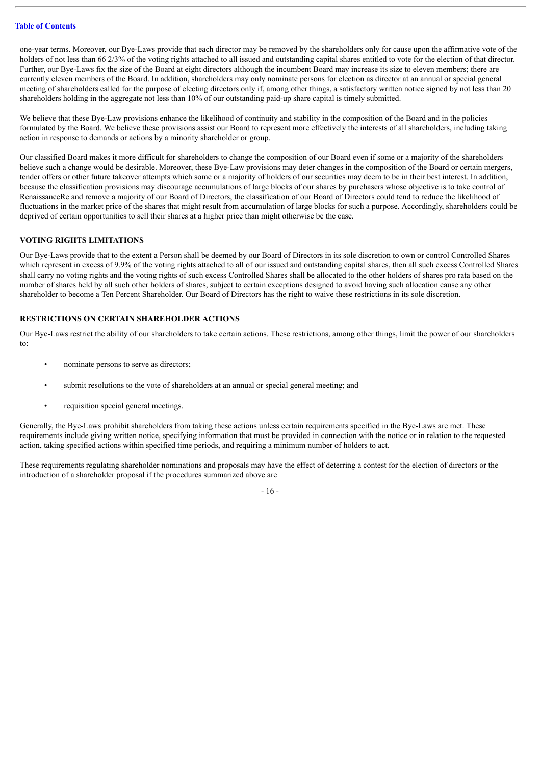one-year terms. Moreover, our Bye-Laws provide that each director may be removed by the shareholders only for cause upon the affirmative vote of the holders of not less than 66 2/3% of the voting rights attached to all issued and outstanding capital shares entitled to vote for the election of that director. Further, our Bye-Laws fix the size of the Board at eight directors although the incumbent Board may increase its size to eleven members; there are currently eleven members of the Board. In addition, shareholders may only nominate persons for election as director at an annual or special general meeting of shareholders called for the purpose of electing directors only if, among other things, a satisfactory written notice signed by not less than 20 shareholders holding in the aggregate not less than 10% of our outstanding paid-up share capital is timely submitted.

We believe that these Bye-Law provisions enhance the likelihood of continuity and stability in the composition of the Board and in the policies formulated by the Board. We believe these provisions assist our Board to represent more effectively the interests of all shareholders, including taking action in response to demands or actions by a minority shareholder or group.

Our classified Board makes it more difficult for shareholders to change the composition of our Board even if some or a majority of the shareholders believe such a change would be desirable. Moreover, these Bye-Law provisions may deter changes in the composition of the Board or certain mergers, tender offers or other future takeover attempts which some or a majority of holders of our securities may deem to be in their best interest. In addition, because the classification provisions may discourage accumulations of large blocks of our shares by purchasers whose objective is to take control of RenaissanceRe and remove a majority of our Board of Directors, the classification of our Board of Directors could tend to reduce the likelihood of fluctuations in the market price of the shares that might result from accumulation of large blocks for such a purpose. Accordingly, shareholders could be deprived of certain opportunities to sell their shares at a higher price than might otherwise be the case.

# **VOTING RIGHTS LIMITATIONS**

Our Bye-Laws provide that to the extent a Person shall be deemed by our Board of Directors in its sole discretion to own or control Controlled Shares which represent in excess of 9.9% of the voting rights attached to all of our issued and outstanding capital shares, then all such excess Controlled Shares shall carry no voting rights and the voting rights of such excess Controlled Shares shall be allocated to the other holders of shares pro rata based on the number of shares held by all such other holders of shares, subject to certain exceptions designed to avoid having such allocation cause any other shareholder to become a Ten Percent Shareholder. Our Board of Directors has the right to waive these restrictions in its sole discretion.

# **RESTRICTIONS ON CERTAIN SHAREHOLDER ACTIONS**

Our Bye-Laws restrict the ability of our shareholders to take certain actions. These restrictions, among other things, limit the power of our shareholders to:

- nominate persons to serve as directors;
- submit resolutions to the vote of shareholders at an annual or special general meeting; and
- requisition special general meetings.

Generally, the Bye-Laws prohibit shareholders from taking these actions unless certain requirements specified in the Bye-Laws are met. These requirements include giving written notice, specifying information that must be provided in connection with the notice or in relation to the requested action, taking specified actions within specified time periods, and requiring a minimum number of holders to act.

These requirements regulating shareholder nominations and proposals may have the effect of deterring a contest for the election of directors or the introduction of a shareholder proposal if the procedures summarized above are

- 16 -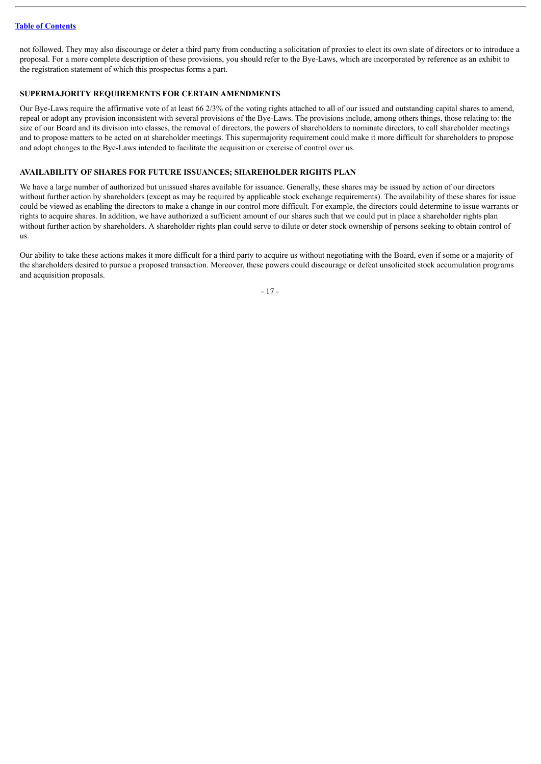not followed. They may also discourage or deter a third party from conducting a solicitation of proxies to elect its own slate of directors or to introduce a proposal. For a more complete description of these provisions, you should refer to the Bye-Laws, which are incorporated by reference as an exhibit to the registration statement of which this prospectus forms a part.

# **SUPERMAJORITY REQUIREMENTS FOR CERTAIN AMENDMENTS**

Our Bye-Laws require the affirmative vote of at least 66 2/3% of the voting rights attached to all of our issued and outstanding capital shares to amend, repeal or adopt any provision inconsistent with several provisions of the Bye-Laws. The provisions include, among others things, those relating to: the size of our Board and its division into classes, the removal of directors, the powers of shareholders to nominate directors, to call shareholder meetings and to propose matters to be acted on at shareholder meetings. This supermajority requirement could make it more difficult for shareholders to propose and adopt changes to the Bye-Laws intended to facilitate the acquisition or exercise of control over us.

## **AVAILABILITY OF SHARES FOR FUTURE ISSUANCES; SHAREHOLDER RIGHTS PLAN**

We have a large number of authorized but unissued shares available for issuance. Generally, these shares may be issued by action of our directors without further action by shareholders (except as may be required by applicable stock exchange requirements). The availability of these shares for issue could be viewed as enabling the directors to make a change in our control more difficult. For example, the directors could determine to issue warrants or rights to acquire shares. In addition, we have authorized a sufficient amount of our shares such that we could put in place a shareholder rights plan without further action by shareholders. A shareholder rights plan could serve to dilute or deter stock ownership of persons seeking to obtain control of us.

Our ability to take these actions makes it more difficult for a third party to acquire us without negotiating with the Board, even if some or a majority of the shareholders desired to pursue a proposed transaction. Moreover, these powers could discourage or defeat unsolicited stock accumulation programs and acquisition proposals.

- 17 -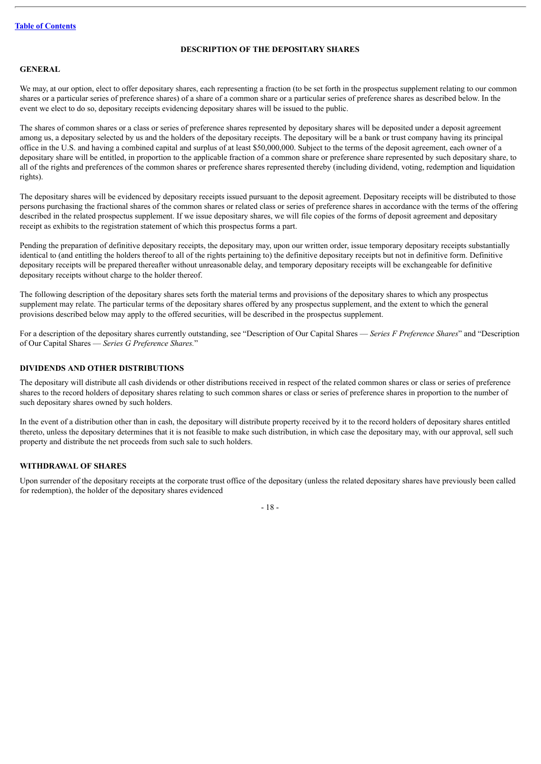# **DESCRIPTION OF THE DEPOSITARY SHARES**

# <span id="page-20-0"></span>**GENERAL**

We may, at our option, elect to offer depositary shares, each representing a fraction (to be set forth in the prospectus supplement relating to our common shares or a particular series of preference shares) of a share of a common share or a particular series of preference shares as described below. In the event we elect to do so, depositary receipts evidencing depositary shares will be issued to the public.

The shares of common shares or a class or series of preference shares represented by depositary shares will be deposited under a deposit agreement among us, a depositary selected by us and the holders of the depositary receipts. The depositary will be a bank or trust company having its principal office in the U.S. and having a combined capital and surplus of at least \$50,000,000. Subject to the terms of the deposit agreement, each owner of a depositary share will be entitled, in proportion to the applicable fraction of a common share or preference share represented by such depositary share, to all of the rights and preferences of the common shares or preference shares represented thereby (including dividend, voting, redemption and liquidation rights).

The depositary shares will be evidenced by depositary receipts issued pursuant to the deposit agreement. Depositary receipts will be distributed to those persons purchasing the fractional shares of the common shares or related class or series of preference shares in accordance with the terms of the offering described in the related prospectus supplement. If we issue depositary shares, we will file copies of the forms of deposit agreement and depositary receipt as exhibits to the registration statement of which this prospectus forms a part.

Pending the preparation of definitive depositary receipts, the depositary may, upon our written order, issue temporary depositary receipts substantially identical to (and entitling the holders thereof to all of the rights pertaining to) the definitive depositary receipts but not in definitive form. Definitive depositary receipts will be prepared thereafter without unreasonable delay, and temporary depositary receipts will be exchangeable for definitive depositary receipts without charge to the holder thereof.

The following description of the depositary shares sets forth the material terms and provisions of the depositary shares to which any prospectus supplement may relate. The particular terms of the depositary shares offered by any prospectus supplement, and the extent to which the general provisions described below may apply to the offered securities, will be described in the prospectus supplement.

For a description of the depositary shares currently outstanding, see "Description of Our Capital Shares — *Series F Preference Shares*" and "Description of Our Capital Shares — *Series G Preference Shares.*"

# **DIVIDENDS AND OTHER DISTRIBUTIONS**

The depositary will distribute all cash dividends or other distributions received in respect of the related common shares or class or series of preference shares to the record holders of depositary shares relating to such common shares or class or series of preference shares in proportion to the number of such depositary shares owned by such holders.

In the event of a distribution other than in cash, the depositary will distribute property received by it to the record holders of depositary shares entitled thereto, unless the depositary determines that it is not feasible to make such distribution, in which case the depositary may, with our approval, sell such property and distribute the net proceeds from such sale to such holders.

#### **WITHDRAWAL OF SHARES**

Upon surrender of the depositary receipts at the corporate trust office of the depositary (unless the related depositary shares have previously been called for redemption), the holder of the depositary shares evidenced

- 18 -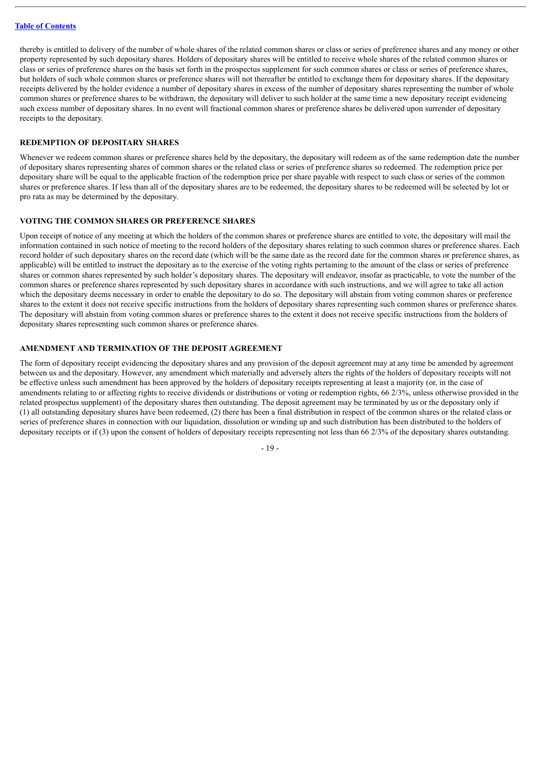thereby is entitled to delivery of the number of whole shares of the related common shares or class or series of preference shares and any money or other property represented by such depositary shares. Holders of depositary shares will be entitled to receive whole shares of the related common shares or class or series of preference shares on the basis set forth in the prospectus supplement for such common shares or class or series of preference shares, but holders of such whole common shares or preference shares will not thereafter be entitled to exchange them for depositary shares. If the depositary receipts delivered by the holder evidence a number of depositary shares in excess of the number of depositary shares representing the number of whole common shares or preference shares to be withdrawn, the depositary will deliver to such holder at the same time a new depositary receipt evidencing such excess number of depositary shares. In no event will fractional common shares or preference shares be delivered upon surrender of depositary receipts to the depositary.

#### **REDEMPTION OF DEPOSITARY SHARES**

Whenever we redeem common shares or preference shares held by the depositary, the depositary will redeem as of the same redemption date the number of depositary shares representing shares of common shares or the related class or series of preference shares so redeemed. The redemption price per depositary share will be equal to the applicable fraction of the redemption price per share payable with respect to such class or series of the common shares or preference shares. If less than all of the depositary shares are to be redeemed, the depositary shares to be redeemed will be selected by lot or pro rata as may be determined by the depositary.

#### **VOTING THE COMMON SHARES OR PREFERENCE SHARES**

Upon receipt of notice of any meeting at which the holders of the common shares or preference shares are entitled to vote, the depositary will mail the information contained in such notice of meeting to the record holders of the depositary shares relating to such common shares or preference shares. Each record holder of such depositary shares on the record date (which will be the same date as the record date for the common shares or preference shares, as applicable) will be entitled to instruct the depositary as to the exercise of the voting rights pertaining to the amount of the class or series of preference shares or common shares represented by such holder's depositary shares. The depositary will endeavor, insofar as practicable, to vote the number of the common shares or preference shares represented by such depositary shares in accordance with such instructions, and we will agree to take all action which the depositary deems necessary in order to enable the depositary to do so. The depositary will abstain from voting common shares or preference shares to the extent it does not receive specific instructions from the holders of depositary shares representing such common shares or preference shares. The depositary will abstain from voting common shares or preference shares to the extent it does not receive specific instructions from the holders of depositary shares representing such common shares or preference shares.

# **AMENDMENT AND TERMINATION OF THE DEPOSIT AGREEMENT**

The form of depositary receipt evidencing the depositary shares and any provision of the deposit agreement may at any time be amended by agreement between us and the depositary. However, any amendment which materially and adversely alters the rights of the holders of depositary receipts will not be effective unless such amendment has been approved by the holders of depositary receipts representing at least a majority (or, in the case of amendments relating to or affecting rights to receive dividends or distributions or voting or redemption rights, 66 2/3%, unless otherwise provided in the related prospectus supplement) of the depositary shares then outstanding. The deposit agreement may be terminated by us or the depositary only if (1) all outstanding depositary shares have been redeemed, (2) there has been a final distribution in respect of the common shares or the related class or series of preference shares in connection with our liquidation, dissolution or winding up and such distribution has been distributed to the holders of depositary receipts or if (3) upon the consent of holders of depositary receipts representing not less than 66 2/3% of the depositary shares outstanding.

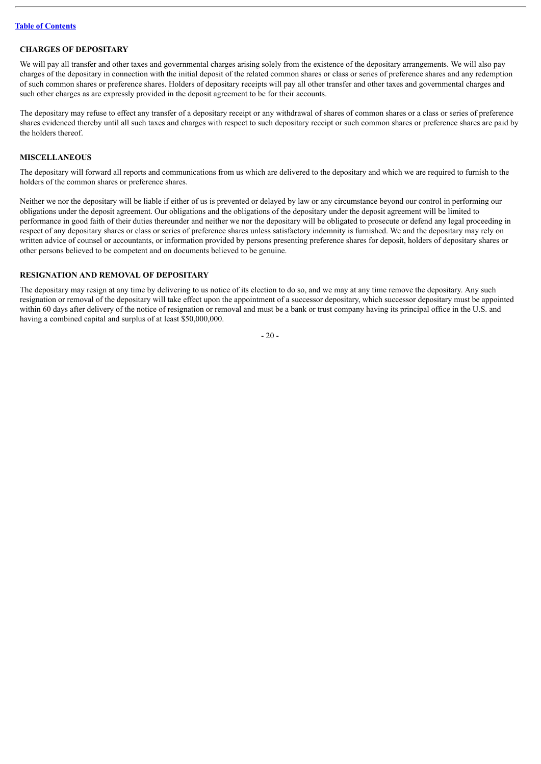# **CHARGES OF DEPOSITARY**

We will pay all transfer and other taxes and governmental charges arising solely from the existence of the depositary arrangements. We will also pay charges of the depositary in connection with the initial deposit of the related common shares or class or series of preference shares and any redemption of such common shares or preference shares. Holders of depositary receipts will pay all other transfer and other taxes and governmental charges and such other charges as are expressly provided in the deposit agreement to be for their accounts.

The depositary may refuse to effect any transfer of a depositary receipt or any withdrawal of shares of common shares or a class or series of preference shares evidenced thereby until all such taxes and charges with respect to such depositary receipt or such common shares or preference shares are paid by the holders thereof.

# **MISCELLANEOUS**

The depositary will forward all reports and communications from us which are delivered to the depositary and which we are required to furnish to the holders of the common shares or preference shares.

Neither we nor the depositary will be liable if either of us is prevented or delayed by law or any circumstance beyond our control in performing our obligations under the deposit agreement. Our obligations and the obligations of the depositary under the deposit agreement will be limited to performance in good faith of their duties thereunder and neither we nor the depositary will be obligated to prosecute or defend any legal proceeding in respect of any depositary shares or class or series of preference shares unless satisfactory indemnity is furnished. We and the depositary may rely on written advice of counsel or accountants, or information provided by persons presenting preference shares for deposit, holders of depositary shares or other persons believed to be competent and on documents believed to be genuine.

# **RESIGNATION AND REMOVAL OF DEPOSITARY**

The depositary may resign at any time by delivering to us notice of its election to do so, and we may at any time remove the depositary. Any such resignation or removal of the depositary will take effect upon the appointment of a successor depositary, which successor depositary must be appointed within 60 days after delivery of the notice of resignation or removal and must be a bank or trust company having its principal office in the U.S. and having a combined capital and surplus of at least \$50,000,000.

 $-20-$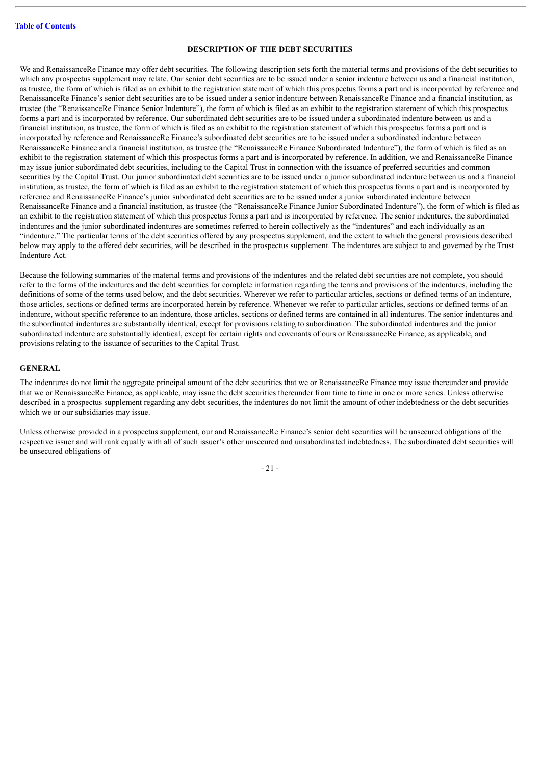# **DESCRIPTION OF THE DEBT SECURITIES**

<span id="page-23-0"></span>We and RenaissanceRe Finance may offer debt securities. The following description sets forth the material terms and provisions of the debt securities to which any prospectus supplement may relate. Our senior debt securities are to be issued under a senior indenture between us and a financial institution, as trustee, the form of which is filed as an exhibit to the registration statement of which this prospectus forms a part and is incorporated by reference and RenaissanceRe Finance's senior debt securities are to be issued under a senior indenture between RenaissanceRe Finance and a financial institution, as trustee (the "RenaissanceRe Finance Senior Indenture"), the form of which is filed as an exhibit to the registration statement of which this prospectus forms a part and is incorporated by reference. Our subordinated debt securities are to be issued under a subordinated indenture between us and a financial institution, as trustee, the form of which is filed as an exhibit to the registration statement of which this prospectus forms a part and is incorporated by reference and RenaissanceRe Finance's subordinated debt securities are to be issued under a subordinated indenture between RenaissanceRe Finance and a financial institution, as trustee (the "RenaissanceRe Finance Subordinated Indenture"), the form of which is filed as an exhibit to the registration statement of which this prospectus forms a part and is incorporated by reference. In addition, we and RenaissanceRe Finance may issue junior subordinated debt securities, including to the Capital Trust in connection with the issuance of preferred securities and common securities by the Capital Trust. Our junior subordinated debt securities are to be issued under a junior subordinated indenture between us and a financial institution, as trustee, the form of which is filed as an exhibit to the registration statement of which this prospectus forms a part and is incorporated by reference and RenaissanceRe Finance's junior subordinated debt securities are to be issued under a junior subordinated indenture between RenaissanceRe Finance and a financial institution, as trustee (the "RenaissanceRe Finance Junior Subordinated Indenture"), the form of which is filed as an exhibit to the registration statement of which this prospectus forms a part and is incorporated by reference. The senior indentures, the subordinated indentures and the junior subordinated indentures are sometimes referred to herein collectively as the "indentures" and each individually as an "indenture." The particular terms of the debt securities offered by any prospectus supplement, and the extent to which the general provisions described below may apply to the offered debt securities, will be described in the prospectus supplement. The indentures are subject to and governed by the Trust Indenture Act.

Because the following summaries of the material terms and provisions of the indentures and the related debt securities are not complete, you should refer to the forms of the indentures and the debt securities for complete information regarding the terms and provisions of the indentures, including the definitions of some of the terms used below, and the debt securities. Wherever we refer to particular articles, sections or defined terms of an indenture, those articles, sections or defined terms are incorporated herein by reference. Whenever we refer to particular articles, sections or defined terms of an indenture, without specific reference to an indenture, those articles, sections or defined terms are contained in all indentures. The senior indentures and the subordinated indentures are substantially identical, except for provisions relating to subordination. The subordinated indentures and the junior subordinated indenture are substantially identical, except for certain rights and covenants of ours or RenaissanceRe Finance, as applicable, and provisions relating to the issuance of securities to the Capital Trust.

#### **GENERAL**

The indentures do not limit the aggregate principal amount of the debt securities that we or RenaissanceRe Finance may issue thereunder and provide that we or RenaissanceRe Finance, as applicable, may issue the debt securities thereunder from time to time in one or more series. Unless otherwise described in a prospectus supplement regarding any debt securities, the indentures do not limit the amount of other indebtedness or the debt securities which we or our subsidiaries may issue.

Unless otherwise provided in a prospectus supplement, our and RenaissanceRe Finance's senior debt securities will be unsecured obligations of the respective issuer and will rank equally with all of such issuer's other unsecured and unsubordinated indebtedness. The subordinated debt securities will be unsecured obligations of

 $-21 -$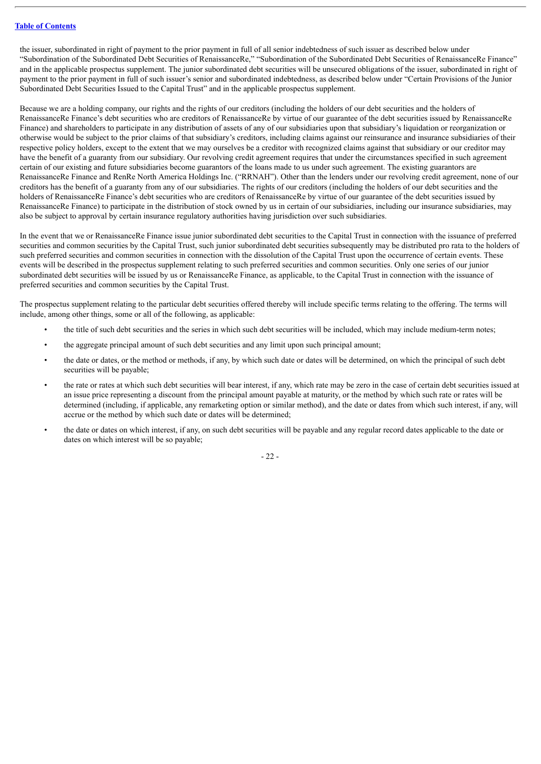the issuer, subordinated in right of payment to the prior payment in full of all senior indebtedness of such issuer as described below under "Subordination of the Subordinated Debt Securities of RenaissanceRe," "Subordination of the Subordinated Debt Securities of RenaissanceRe Finance" and in the applicable prospectus supplement. The junior subordinated debt securities will be unsecured obligations of the issuer, subordinated in right of payment to the prior payment in full of such issuer's senior and subordinated indebtedness, as described below under "Certain Provisions of the Junior Subordinated Debt Securities Issued to the Capital Trust" and in the applicable prospectus supplement.

Because we are a holding company, our rights and the rights of our creditors (including the holders of our debt securities and the holders of RenaissanceRe Finance's debt securities who are creditors of RenaissanceRe by virtue of our guarantee of the debt securities issued by RenaissanceRe Finance) and shareholders to participate in any distribution of assets of any of our subsidiaries upon that subsidiary's liquidation or reorganization or otherwise would be subject to the prior claims of that subsidiary's creditors, including claims against our reinsurance and insurance subsidiaries of their respective policy holders, except to the extent that we may ourselves be a creditor with recognized claims against that subsidiary or our creditor may have the benefit of a guaranty from our subsidiary. Our revolving credit agreement requires that under the circumstances specified in such agreement certain of our existing and future subsidiaries become guarantors of the loans made to us under such agreement. The existing guarantors are RenaissanceRe Finance and RenRe North America Holdings Inc. ("RRNAH"). Other than the lenders under our revolving credit agreement, none of our creditors has the benefit of a guaranty from any of our subsidiaries. The rights of our creditors (including the holders of our debt securities and the holders of RenaissanceRe Finance's debt securities who are creditors of RenaissanceRe by virtue of our guarantee of the debt securities issued by RenaissanceRe Finance) to participate in the distribution of stock owned by us in certain of our subsidiaries, including our insurance subsidiaries, may also be subject to approval by certain insurance regulatory authorities having jurisdiction over such subsidiaries.

In the event that we or RenaissanceRe Finance issue junior subordinated debt securities to the Capital Trust in connection with the issuance of preferred securities and common securities by the Capital Trust, such junior subordinated debt securities subsequently may be distributed pro rata to the holders of such preferred securities and common securities in connection with the dissolution of the Capital Trust upon the occurrence of certain events. These events will be described in the prospectus supplement relating to such preferred securities and common securities. Only one series of our junior subordinated debt securities will be issued by us or RenaissanceRe Finance, as applicable, to the Capital Trust in connection with the issuance of preferred securities and common securities by the Capital Trust.

The prospectus supplement relating to the particular debt securities offered thereby will include specific terms relating to the offering. The terms will include, among other things, some or all of the following, as applicable:

- the title of such debt securities and the series in which such debt securities will be included, which may include medium-term notes;
- the aggregate principal amount of such debt securities and any limit upon such principal amount;
- the date or dates, or the method or methods, if any, by which such date or dates will be determined, on which the principal of such debt securities will be payable;
- the rate or rates at which such debt securities will bear interest, if any, which rate may be zero in the case of certain debt securities issued at an issue price representing a discount from the principal amount payable at maturity, or the method by which such rate or rates will be determined (including, if applicable, any remarketing option or similar method), and the date or dates from which such interest, if any, will accrue or the method by which such date or dates will be determined;
- the date or dates on which interest, if any, on such debt securities will be payable and any regular record dates applicable to the date or dates on which interest will be so payable;

- 22 -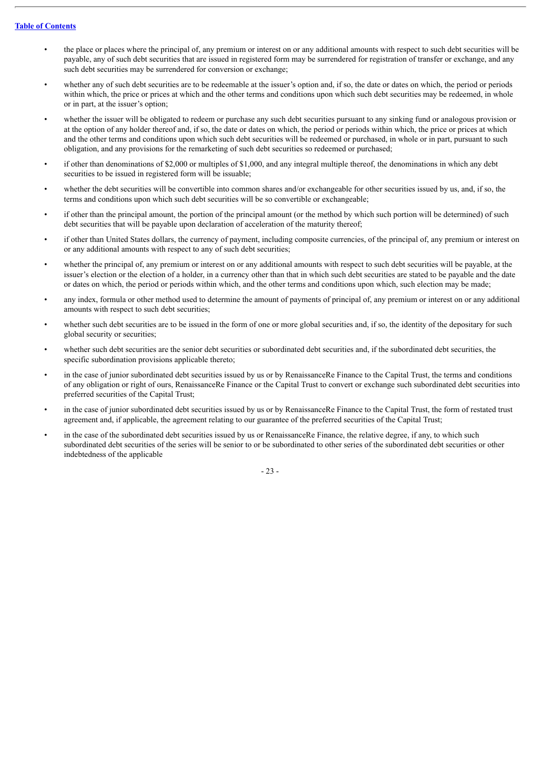- the place or places where the principal of, any premium or interest on or any additional amounts with respect to such debt securities will be payable, any of such debt securities that are issued in registered form may be surrendered for registration of transfer or exchange, and any such debt securities may be surrendered for conversion or exchange;
- whether any of such debt securities are to be redeemable at the issuer's option and, if so, the date or dates on which, the period or periods within which, the price or prices at which and the other terms and conditions upon which such debt securities may be redeemed, in whole or in part, at the issuer's option;
- whether the issuer will be obligated to redeem or purchase any such debt securities pursuant to any sinking fund or analogous provision or at the option of any holder thereof and, if so, the date or dates on which, the period or periods within which, the price or prices at which and the other terms and conditions upon which such debt securities will be redeemed or purchased, in whole or in part, pursuant to such obligation, and any provisions for the remarketing of such debt securities so redeemed or purchased;
- if other than denominations of \$2,000 or multiples of \$1,000, and any integral multiple thereof, the denominations in which any debt securities to be issued in registered form will be issuable;
- whether the debt securities will be convertible into common shares and/or exchangeable for other securities issued by us, and, if so, the terms and conditions upon which such debt securities will be so convertible or exchangeable;
- if other than the principal amount, the portion of the principal amount (or the method by which such portion will be determined) of such debt securities that will be payable upon declaration of acceleration of the maturity thereof;
- if other than United States dollars, the currency of payment, including composite currencies, of the principal of, any premium or interest on or any additional amounts with respect to any of such debt securities;
- whether the principal of, any premium or interest on or any additional amounts with respect to such debt securities will be payable, at the issuer's election or the election of a holder, in a currency other than that in which such debt securities are stated to be payable and the date or dates on which, the period or periods within which, and the other terms and conditions upon which, such election may be made;
- any index, formula or other method used to determine the amount of payments of principal of, any premium or interest on or any additional amounts with respect to such debt securities;
- whether such debt securities are to be issued in the form of one or more global securities and, if so, the identity of the depositary for such global security or securities;
- whether such debt securities are the senior debt securities or subordinated debt securities and, if the subordinated debt securities, the specific subordination provisions applicable thereto;
- in the case of junior subordinated debt securities issued by us or by RenaissanceRe Finance to the Capital Trust, the terms and conditions of any obligation or right of ours, RenaissanceRe Finance or the Capital Trust to convert or exchange such subordinated debt securities into preferred securities of the Capital Trust;
- in the case of junior subordinated debt securities issued by us or by RenaissanceRe Finance to the Capital Trust, the form of restated trust agreement and, if applicable, the agreement relating to our guarantee of the preferred securities of the Capital Trust;
- in the case of the subordinated debt securities issued by us or RenaissanceRe Finance, the relative degree, if any, to which such subordinated debt securities of the series will be senior to or be subordinated to other series of the subordinated debt securities or other indebtedness of the applicable

- 23 -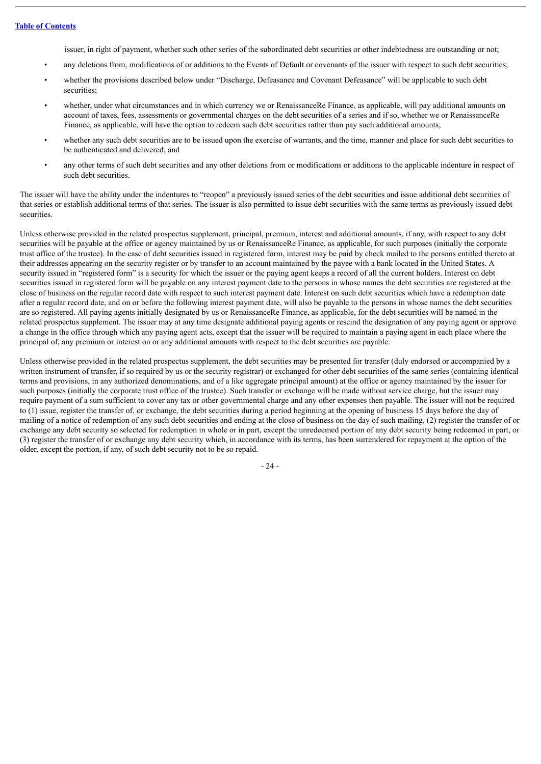issuer, in right of payment, whether such other series of the subordinated debt securities or other indebtedness are outstanding or not;

- any deletions from, modifications of or additions to the Events of Default or covenants of the issuer with respect to such debt securities;
- whether the provisions described below under "Discharge, Defeasance and Covenant Defeasance" will be applicable to such debt securities:
- whether, under what circumstances and in which currency we or RenaissanceRe Finance, as applicable, will pay additional amounts on account of taxes, fees, assessments or governmental charges on the debt securities of a series and if so, whether we or RenaissanceRe Finance, as applicable, will have the option to redeem such debt securities rather than pay such additional amounts;
- whether any such debt securities are to be issued upon the exercise of warrants, and the time, manner and place for such debt securities to be authenticated and delivered; and
- any other terms of such debt securities and any other deletions from or modifications or additions to the applicable indenture in respect of such debt securities.

The issuer will have the ability under the indentures to "reopen" a previously issued series of the debt securities and issue additional debt securities of that series or establish additional terms of that series. The issuer is also permitted to issue debt securities with the same terms as previously issued debt securities.

Unless otherwise provided in the related prospectus supplement, principal, premium, interest and additional amounts, if any, with respect to any debt securities will be payable at the office or agency maintained by us or RenaissanceRe Finance, as applicable, for such purposes (initially the corporate trust office of the trustee). In the case of debt securities issued in registered form, interest may be paid by check mailed to the persons entitled thereto at their addresses appearing on the security register or by transfer to an account maintained by the payee with a bank located in the United States. A security issued in "registered form" is a security for which the issuer or the paying agent keeps a record of all the current holders. Interest on debt securities issued in registered form will be payable on any interest payment date to the persons in whose names the debt securities are registered at the close of business on the regular record date with respect to such interest payment date. Interest on such debt securities which have a redemption date after a regular record date, and on or before the following interest payment date, will also be payable to the persons in whose names the debt securities are so registered. All paying agents initially designated by us or RenaissanceRe Finance, as applicable, for the debt securities will be named in the related prospectus supplement. The issuer may at any time designate additional paying agents or rescind the designation of any paying agent or approve a change in the office through which any paying agent acts, except that the issuer will be required to maintain a paying agent in each place where the principal of, any premium or interest on or any additional amounts with respect to the debt securities are payable.

Unless otherwise provided in the related prospectus supplement, the debt securities may be presented for transfer (duly endorsed or accompanied by a written instrument of transfer, if so required by us or the security registrar) or exchanged for other debt securities of the same series (containing identical terms and provisions, in any authorized denominations, and of a like aggregate principal amount) at the office or agency maintained by the issuer for such purposes (initially the corporate trust office of the trustee). Such transfer or exchange will be made without service charge, but the issuer may require payment of a sum sufficient to cover any tax or other governmental charge and any other expenses then payable. The issuer will not be required to (1) issue, register the transfer of, or exchange, the debt securities during a period beginning at the opening of business 15 days before the day of mailing of a notice of redemption of any such debt securities and ending at the close of business on the day of such mailing, (2) register the transfer of or exchange any debt security so selected for redemption in whole or in part, except the unredeemed portion of any debt security being redeemed in part, or (3) register the transfer of or exchange any debt security which, in accordance with its terms, has been surrendered for repayment at the option of the older, except the portion, if any, of such debt security not to be so repaid.

- 24 -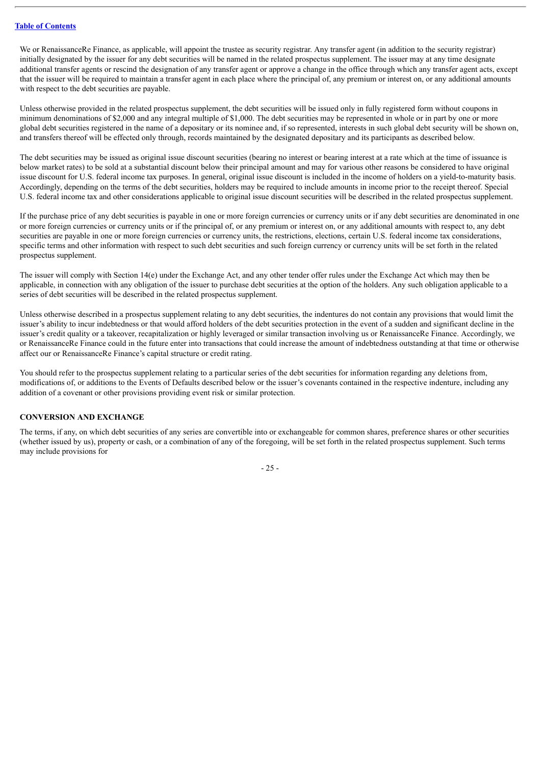We or RenaissanceRe Finance, as applicable, will appoint the trustee as security registrar. Any transfer agent (in addition to the security registrar) initially designated by the issuer for any debt securities will be named in the related prospectus supplement. The issuer may at any time designate additional transfer agents or rescind the designation of any transfer agent or approve a change in the office through which any transfer agent acts, except that the issuer will be required to maintain a transfer agent in each place where the principal of, any premium or interest on, or any additional amounts with respect to the debt securities are payable.

Unless otherwise provided in the related prospectus supplement, the debt securities will be issued only in fully registered form without coupons in minimum denominations of \$2,000 and any integral multiple of \$1,000. The debt securities may be represented in whole or in part by one or more global debt securities registered in the name of a depositary or its nominee and, if so represented, interests in such global debt security will be shown on, and transfers thereof will be effected only through, records maintained by the designated depositary and its participants as described below.

The debt securities may be issued as original issue discount securities (bearing no interest or bearing interest at a rate which at the time of issuance is below market rates) to be sold at a substantial discount below their principal amount and may for various other reasons be considered to have original issue discount for U.S. federal income tax purposes. In general, original issue discount is included in the income of holders on a yield-to-maturity basis. Accordingly, depending on the terms of the debt securities, holders may be required to include amounts in income prior to the receipt thereof. Special U.S. federal income tax and other considerations applicable to original issue discount securities will be described in the related prospectus supplement.

If the purchase price of any debt securities is payable in one or more foreign currencies or currency units or if any debt securities are denominated in one or more foreign currencies or currency units or if the principal of, or any premium or interest on, or any additional amounts with respect to, any debt securities are payable in one or more foreign currencies or currency units, the restrictions, elections, certain U.S. federal income tax considerations, specific terms and other information with respect to such debt securities and such foreign currency or currency units will be set forth in the related prospectus supplement.

The issuer will comply with Section 14(e) under the Exchange Act, and any other tender offer rules under the Exchange Act which may then be applicable, in connection with any obligation of the issuer to purchase debt securities at the option of the holders. Any such obligation applicable to a series of debt securities will be described in the related prospectus supplement.

Unless otherwise described in a prospectus supplement relating to any debt securities, the indentures do not contain any provisions that would limit the issuer's ability to incur indebtedness or that would afford holders of the debt securities protection in the event of a sudden and significant decline in the issuer's credit quality or a takeover, recapitalization or highly leveraged or similar transaction involving us or RenaissanceRe Finance. Accordingly, we or RenaissanceRe Finance could in the future enter into transactions that could increase the amount of indebtedness outstanding at that time or otherwise affect our or RenaissanceRe Finance's capital structure or credit rating.

You should refer to the prospectus supplement relating to a particular series of the debt securities for information regarding any deletions from, modifications of, or additions to the Events of Defaults described below or the issuer's covenants contained in the respective indenture, including any addition of a covenant or other provisions providing event risk or similar protection.

# **CONVERSION AND EXCHANGE**

The terms, if any, on which debt securities of any series are convertible into or exchangeable for common shares, preference shares or other securities (whether issued by us), property or cash, or a combination of any of the foregoing, will be set forth in the related prospectus supplement. Such terms may include provisions for

- 25 -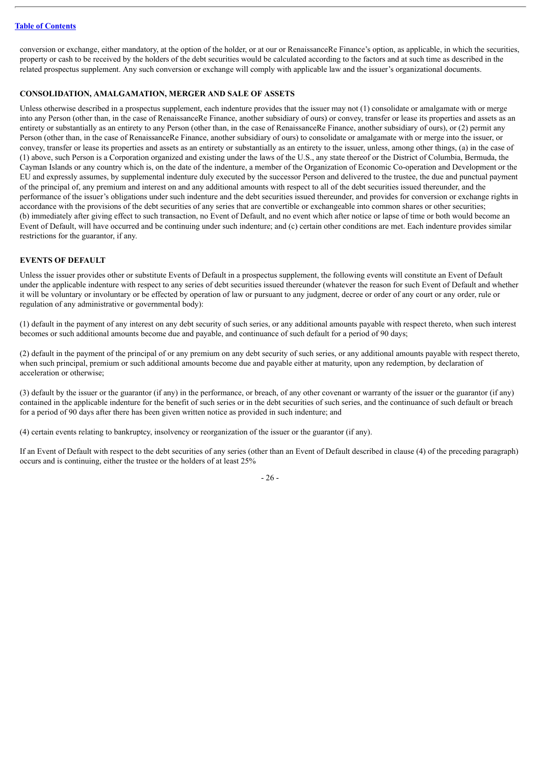conversion or exchange, either mandatory, at the option of the holder, or at our or RenaissanceRe Finance's option, as applicable, in which the securities, property or cash to be received by the holders of the debt securities would be calculated according to the factors and at such time as described in the related prospectus supplement. Any such conversion or exchange will comply with applicable law and the issuer's organizational documents.

# **CONSOLIDATION, AMALGAMATION, MERGER AND SALE OF ASSETS**

Unless otherwise described in a prospectus supplement, each indenture provides that the issuer may not (1) consolidate or amalgamate with or merge into any Person (other than, in the case of RenaissanceRe Finance, another subsidiary of ours) or convey, transfer or lease its properties and assets as an entirety or substantially as an entirety to any Person (other than, in the case of RenaissanceRe Finance, another subsidiary of ours), or (2) permit any Person (other than, in the case of RenaissanceRe Finance, another subsidiary of ours) to consolidate or amalgamate with or merge into the issuer, or convey, transfer or lease its properties and assets as an entirety or substantially as an entirety to the issuer, unless, among other things, (a) in the case of (1) above, such Person is a Corporation organized and existing under the laws of the U.S., any state thereof or the District of Columbia, Bermuda, the Cayman Islands or any country which is, on the date of the indenture, a member of the Organization of Economic Co-operation and Development or the EU and expressly assumes, by supplemental indenture duly executed by the successor Person and delivered to the trustee, the due and punctual payment of the principal of, any premium and interest on and any additional amounts with respect to all of the debt securities issued thereunder, and the performance of the issuer's obligations under such indenture and the debt securities issued thereunder, and provides for conversion or exchange rights in accordance with the provisions of the debt securities of any series that are convertible or exchangeable into common shares or other securities; (b) immediately after giving effect to such transaction, no Event of Default, and no event which after notice or lapse of time or both would become an Event of Default, will have occurred and be continuing under such indenture; and (c) certain other conditions are met. Each indenture provides similar restrictions for the guarantor, if any.

# **EVENTS OF DEFAULT**

Unless the issuer provides other or substitute Events of Default in a prospectus supplement, the following events will constitute an Event of Default under the applicable indenture with respect to any series of debt securities issued thereunder (whatever the reason for such Event of Default and whether it will be voluntary or involuntary or be effected by operation of law or pursuant to any judgment, decree or order of any court or any order, rule or regulation of any administrative or governmental body):

(1) default in the payment of any interest on any debt security of such series, or any additional amounts payable with respect thereto, when such interest becomes or such additional amounts become due and payable, and continuance of such default for a period of 90 days;

(2) default in the payment of the principal of or any premium on any debt security of such series, or any additional amounts payable with respect thereto, when such principal, premium or such additional amounts become due and payable either at maturity, upon any redemption, by declaration of acceleration or otherwise;

(3) default by the issuer or the guarantor (if any) in the performance, or breach, of any other covenant or warranty of the issuer or the guarantor (if any) contained in the applicable indenture for the benefit of such series or in the debt securities of such series, and the continuance of such default or breach for a period of 90 days after there has been given written notice as provided in such indenture; and

(4) certain events relating to bankruptcy, insolvency or reorganization of the issuer or the guarantor (if any).

If an Event of Default with respect to the debt securities of any series (other than an Event of Default described in clause (4) of the preceding paragraph) occurs and is continuing, either the trustee or the holders of at least 25%

- 26 -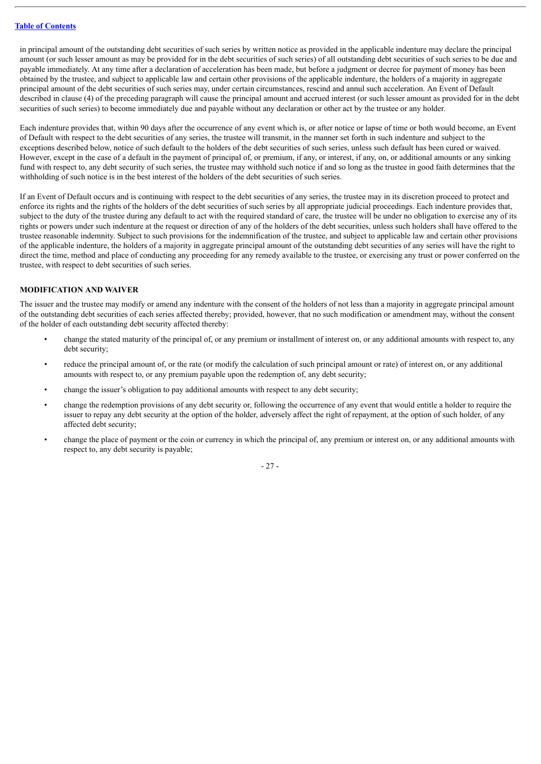in principal amount of the outstanding debt securities of such series by written notice as provided in the applicable indenture may declare the principal amount (or such lesser amount as may be provided for in the debt securities of such series) of all outstanding debt securities of such series to be due and payable immediately. At any time after a declaration of acceleration has been made, but before a judgment or decree for payment of money has been obtained by the trustee, and subject to applicable law and certain other provisions of the applicable indenture, the holders of a majority in aggregate principal amount of the debt securities of such series may, under certain circumstances, rescind and annul such acceleration. An Event of Default described in clause (4) of the preceding paragraph will cause the principal amount and accrued interest (or such lesser amount as provided for in the debt securities of such series) to become immediately due and payable without any declaration or other act by the trustee or any holder.

Each indenture provides that, within 90 days after the occurrence of any event which is, or after notice or lapse of time or both would become, an Event of Default with respect to the debt securities of any series, the trustee will transmit, in the manner set forth in such indenture and subject to the exceptions described below, notice of such default to the holders of the debt securities of such series, unless such default has been cured or waived. However, except in the case of a default in the payment of principal of, or premium, if any, or interest, if any, on, or additional amounts or any sinking fund with respect to, any debt security of such series, the trustee may withhold such notice if and so long as the trustee in good faith determines that the withholding of such notice is in the best interest of the holders of the debt securities of such series.

If an Event of Default occurs and is continuing with respect to the debt securities of any series, the trustee may in its discretion proceed to protect and enforce its rights and the rights of the holders of the debt securities of such series by all appropriate judicial proceedings. Each indenture provides that, subject to the duty of the trustee during any default to act with the required standard of care, the trustee will be under no obligation to exercise any of its rights or powers under such indenture at the request or direction of any of the holders of the debt securities, unless such holders shall have offered to the trustee reasonable indemnity. Subject to such provisions for the indemnification of the trustee, and subject to applicable law and certain other provisions of the applicable indenture, the holders of a majority in aggregate principal amount of the outstanding debt securities of any series will have the right to direct the time, method and place of conducting any proceeding for any remedy available to the trustee, or exercising any trust or power conferred on the trustee, with respect to debt securities of such series.

# **MODIFICATION AND WAIVER**

The issuer and the trustee may modify or amend any indenture with the consent of the holders of not less than a majority in aggregate principal amount of the outstanding debt securities of each series affected thereby; provided, however, that no such modification or amendment may, without the consent of the holder of each outstanding debt security affected thereby:

- change the stated maturity of the principal of, or any premium or installment of interest on, or any additional amounts with respect to, any debt security;
- reduce the principal amount of, or the rate (or modify the calculation of such principal amount or rate) of interest on, or any additional amounts with respect to, or any premium payable upon the redemption of, any debt security;
- change the issuer's obligation to pay additional amounts with respect to any debt security;
- change the redemption provisions of any debt security or, following the occurrence of any event that would entitle a holder to require the issuer to repay any debt security at the option of the holder, adversely affect the right of repayment, at the option of such holder, of any affected debt security;
- change the place of payment or the coin or currency in which the principal of, any premium or interest on, or any additional amounts with respect to, any debt security is payable;

- 27 -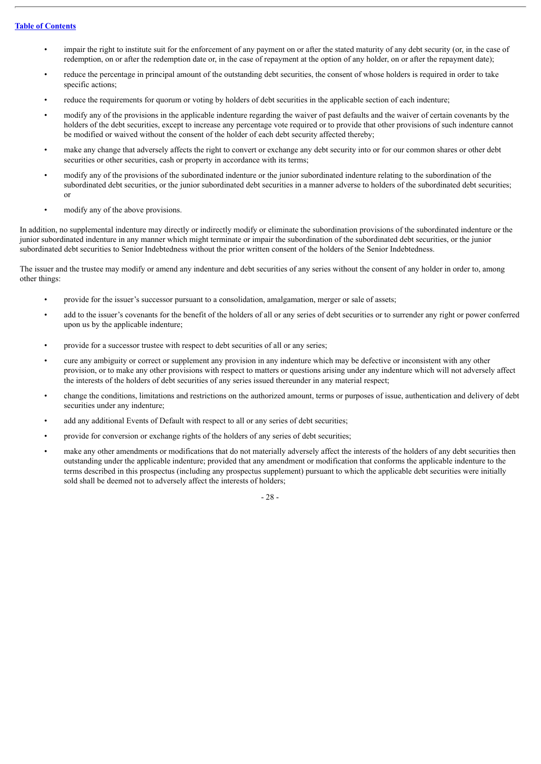- impair the right to institute suit for the enforcement of any payment on or after the stated maturity of any debt security (or, in the case of redemption, on or after the redemption date or, in the case of repayment at the option of any holder, on or after the repayment date);
- reduce the percentage in principal amount of the outstanding debt securities, the consent of whose holders is required in order to take specific actions;
- reduce the requirements for quorum or voting by holders of debt securities in the applicable section of each indenture;
- modify any of the provisions in the applicable indenture regarding the waiver of past defaults and the waiver of certain covenants by the holders of the debt securities, except to increase any percentage vote required or to provide that other provisions of such indenture cannot be modified or waived without the consent of the holder of each debt security affected thereby;
- make any change that adversely affects the right to convert or exchange any debt security into or for our common shares or other debt securities or other securities, cash or property in accordance with its terms;
- modify any of the provisions of the subordinated indenture or the junior subordinated indenture relating to the subordination of the subordinated debt securities, or the junior subordinated debt securities in a manner adverse to holders of the subordinated debt securities; or
- modify any of the above provisions.

In addition, no supplemental indenture may directly or indirectly modify or eliminate the subordination provisions of the subordinated indenture or the junior subordinated indenture in any manner which might terminate or impair the subordination of the subordinated debt securities, or the junior subordinated debt securities to Senior Indebtedness without the prior written consent of the holders of the Senior Indebtedness.

The issuer and the trustee may modify or amend any indenture and debt securities of any series without the consent of any holder in order to, among other things:

- provide for the issuer's successor pursuant to a consolidation, amalgamation, merger or sale of assets;
- add to the issuer's covenants for the benefit of the holders of all or any series of debt securities or to surrender any right or power conferred upon us by the applicable indenture;
- provide for a successor trustee with respect to debt securities of all or any series;
- cure any ambiguity or correct or supplement any provision in any indenture which may be defective or inconsistent with any other provision, or to make any other provisions with respect to matters or questions arising under any indenture which will not adversely affect the interests of the holders of debt securities of any series issued thereunder in any material respect;
- change the conditions, limitations and restrictions on the authorized amount, terms or purposes of issue, authentication and delivery of debt securities under any indenture;
- add any additional Events of Default with respect to all or any series of debt securities;
- provide for conversion or exchange rights of the holders of any series of debt securities;
- make any other amendments or modifications that do not materially adversely affect the interests of the holders of any debt securities then outstanding under the applicable indenture; provided that any amendment or modification that conforms the applicable indenture to the terms described in this prospectus (including any prospectus supplement) pursuant to which the applicable debt securities were initially sold shall be deemed not to adversely affect the interests of holders;

- 28 -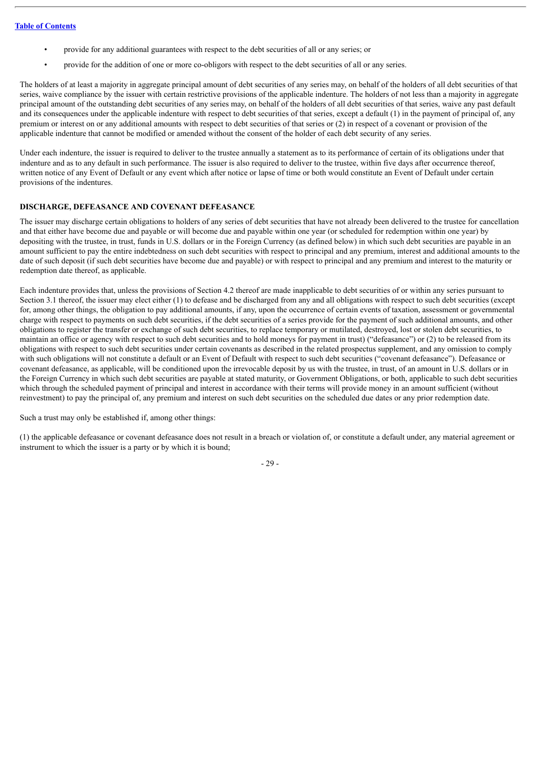- provide for any additional guarantees with respect to the debt securities of all or any series; or
- provide for the addition of one or more co-obligors with respect to the debt securities of all or any series.

The holders of at least a majority in aggregate principal amount of debt securities of any series may, on behalf of the holders of all debt securities of that series, waive compliance by the issuer with certain restrictive provisions of the applicable indenture. The holders of not less than a majority in aggregate principal amount of the outstanding debt securities of any series may, on behalf of the holders of all debt securities of that series, waive any past default and its consequences under the applicable indenture with respect to debt securities of that series, except a default (1) in the payment of principal of, any premium or interest on or any additional amounts with respect to debt securities of that series or (2) in respect of a covenant or provision of the applicable indenture that cannot be modified or amended without the consent of the holder of each debt security of any series.

Under each indenture, the issuer is required to deliver to the trustee annually a statement as to its performance of certain of its obligations under that indenture and as to any default in such performance. The issuer is also required to deliver to the trustee, within five days after occurrence thereof, written notice of any Event of Default or any event which after notice or lapse of time or both would constitute an Event of Default under certain provisions of the indentures.

# **DISCHARGE, DEFEASANCE AND COVENANT DEFEASANCE**

The issuer may discharge certain obligations to holders of any series of debt securities that have not already been delivered to the trustee for cancellation and that either have become due and payable or will become due and payable within one year (or scheduled for redemption within one year) by depositing with the trustee, in trust, funds in U.S. dollars or in the Foreign Currency (as defined below) in which such debt securities are payable in an amount sufficient to pay the entire indebtedness on such debt securities with respect to principal and any premium, interest and additional amounts to the date of such deposit (if such debt securities have become due and payable) or with respect to principal and any premium and interest to the maturity or redemption date thereof, as applicable.

Each indenture provides that, unless the provisions of Section 4.2 thereof are made inapplicable to debt securities of or within any series pursuant to Section 3.1 thereof, the issuer may elect either (1) to defease and be discharged from any and all obligations with respect to such debt securities (except for, among other things, the obligation to pay additional amounts, if any, upon the occurrence of certain events of taxation, assessment or governmental charge with respect to payments on such debt securities, if the debt securities of a series provide for the payment of such additional amounts, and other obligations to register the transfer or exchange of such debt securities, to replace temporary or mutilated, destroyed, lost or stolen debt securities, to maintain an office or agency with respect to such debt securities and to hold moneys for payment in trust) ("defeasance") or (2) to be released from its obligations with respect to such debt securities under certain covenants as described in the related prospectus supplement, and any omission to comply with such obligations will not constitute a default or an Event of Default with respect to such debt securities ("covenant defeasance"). Defeasance or covenant defeasance, as applicable, will be conditioned upon the irrevocable deposit by us with the trustee, in trust, of an amount in U.S. dollars or in the Foreign Currency in which such debt securities are payable at stated maturity, or Government Obligations, or both, applicable to such debt securities which through the scheduled payment of principal and interest in accordance with their terms will provide money in an amount sufficient (without reinvestment) to pay the principal of, any premium and interest on such debt securities on the scheduled due dates or any prior redemption date.

Such a trust may only be established if, among other things:

(1) the applicable defeasance or covenant defeasance does not result in a breach or violation of, or constitute a default under, any material agreement or instrument to which the issuer is a party or by which it is bound;

- 29 -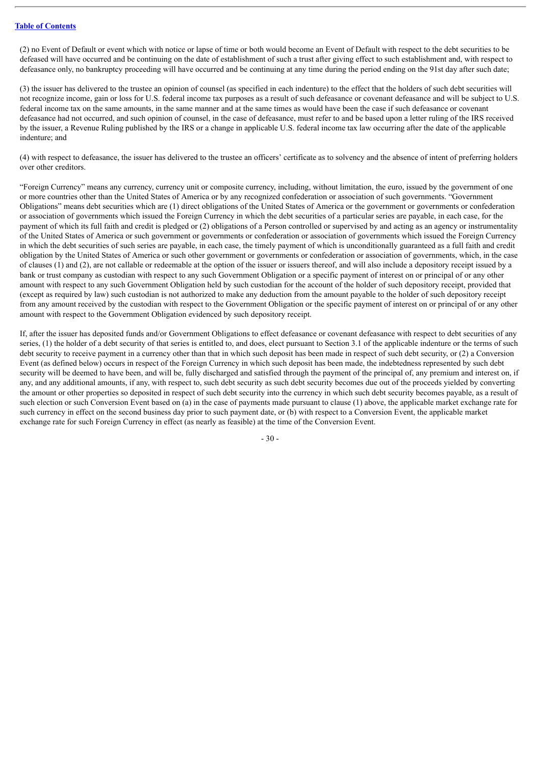(2) no Event of Default or event which with notice or lapse of time or both would become an Event of Default with respect to the debt securities to be defeased will have occurred and be continuing on the date of establishment of such a trust after giving effect to such establishment and, with respect to defeasance only, no bankruptcy proceeding will have occurred and be continuing at any time during the period ending on the 91st day after such date;

(3) the issuer has delivered to the trustee an opinion of counsel (as specified in each indenture) to the effect that the holders of such debt securities will not recognize income, gain or loss for U.S. federal income tax purposes as a result of such defeasance or covenant defeasance and will be subject to U.S. federal income tax on the same amounts, in the same manner and at the same times as would have been the case if such defeasance or covenant defeasance had not occurred, and such opinion of counsel, in the case of defeasance, must refer to and be based upon a letter ruling of the IRS received by the issuer, a Revenue Ruling published by the IRS or a change in applicable U.S. federal income tax law occurring after the date of the applicable indenture; and

(4) with respect to defeasance, the issuer has delivered to the trustee an officers' certificate as to solvency and the absence of intent of preferring holders over other creditors.

"Foreign Currency" means any currency, currency unit or composite currency, including, without limitation, the euro, issued by the government of one or more countries other than the United States of America or by any recognized confederation or association of such governments. "Government Obligations" means debt securities which are (1) direct obligations of the United States of America or the government or governments or confederation or association of governments which issued the Foreign Currency in which the debt securities of a particular series are payable, in each case, for the payment of which its full faith and credit is pledged or (2) obligations of a Person controlled or supervised by and acting as an agency or instrumentality of the United States of America or such government or governments or confederation or association of governments which issued the Foreign Currency in which the debt securities of such series are payable, in each case, the timely payment of which is unconditionally guaranteed as a full faith and credit obligation by the United States of America or such other government or governments or confederation or association of governments, which, in the case of clauses (1) and (2), are not callable or redeemable at the option of the issuer or issuers thereof, and will also include a depository receipt issued by a bank or trust company as custodian with respect to any such Government Obligation or a specific payment of interest on or principal of or any other amount with respect to any such Government Obligation held by such custodian for the account of the holder of such depository receipt, provided that (except as required by law) such custodian is not authorized to make any deduction from the amount payable to the holder of such depository receipt from any amount received by the custodian with respect to the Government Obligation or the specific payment of interest on or principal of or any other amount with respect to the Government Obligation evidenced by such depository receipt.

If, after the issuer has deposited funds and/or Government Obligations to effect defeasance or covenant defeasance with respect to debt securities of any series, (1) the holder of a debt security of that series is entitled to, and does, elect pursuant to Section 3.1 of the applicable indenture or the terms of such debt security to receive payment in a currency other than that in which such deposit has been made in respect of such debt security, or (2) a Conversion Event (as defined below) occurs in respect of the Foreign Currency in which such deposit has been made, the indebtedness represented by such debt security will be deemed to have been, and will be, fully discharged and satisfied through the payment of the principal of, any premium and interest on, if any, and any additional amounts, if any, with respect to, such debt security as such debt security becomes due out of the proceeds yielded by converting the amount or other properties so deposited in respect of such debt security into the currency in which such debt security becomes payable, as a result of such election or such Conversion Event based on (a) in the case of payments made pursuant to clause (1) above, the applicable market exchange rate for such currency in effect on the second business day prior to such payment date, or (b) with respect to a Conversion Event, the applicable market exchange rate for such Foreign Currency in effect (as nearly as feasible) at the time of the Conversion Event.

- 30 -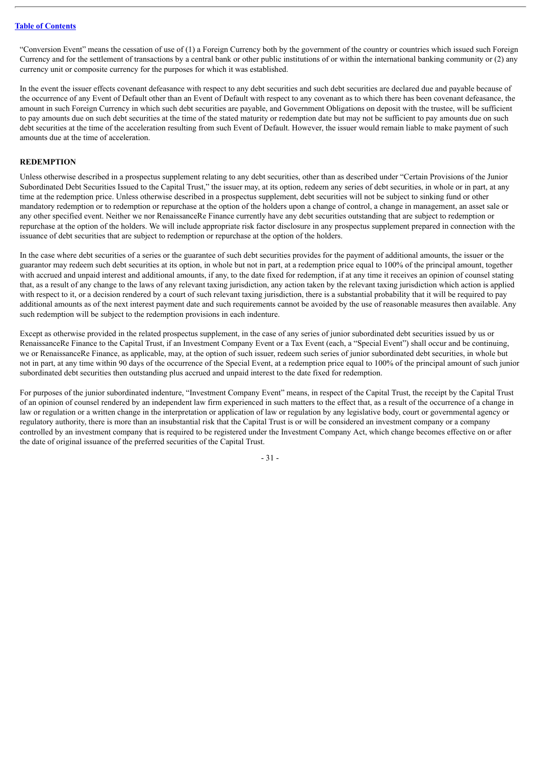"Conversion Event" means the cessation of use of (1) a Foreign Currency both by the government of the country or countries which issued such Foreign Currency and for the settlement of transactions by a central bank or other public institutions of or within the international banking community or (2) any currency unit or composite currency for the purposes for which it was established.

In the event the issuer effects covenant defeasance with respect to any debt securities and such debt securities are declared due and payable because of the occurrence of any Event of Default other than an Event of Default with respect to any covenant as to which there has been covenant defeasance, the amount in such Foreign Currency in which such debt securities are payable, and Government Obligations on deposit with the trustee, will be sufficient to pay amounts due on such debt securities at the time of the stated maturity or redemption date but may not be sufficient to pay amounts due on such debt securities at the time of the acceleration resulting from such Event of Default. However, the issuer would remain liable to make payment of such amounts due at the time of acceleration.

#### **REDEMPTION**

Unless otherwise described in a prospectus supplement relating to any debt securities, other than as described under "Certain Provisions of the Junior Subordinated Debt Securities Issued to the Capital Trust," the issuer may, at its option, redeem any series of debt securities, in whole or in part, at any time at the redemption price. Unless otherwise described in a prospectus supplement, debt securities will not be subject to sinking fund or other mandatory redemption or to redemption or repurchase at the option of the holders upon a change of control, a change in management, an asset sale or any other specified event. Neither we nor RenaissanceRe Finance currently have any debt securities outstanding that are subject to redemption or repurchase at the option of the holders. We will include appropriate risk factor disclosure in any prospectus supplement prepared in connection with the issuance of debt securities that are subject to redemption or repurchase at the option of the holders.

In the case where debt securities of a series or the guarantee of such debt securities provides for the payment of additional amounts, the issuer or the guarantor may redeem such debt securities at its option, in whole but not in part, at a redemption price equal to 100% of the principal amount, together with accrued and unpaid interest and additional amounts, if any, to the date fixed for redemption, if at any time it receives an opinion of counsel stating that, as a result of any change to the laws of any relevant taxing jurisdiction, any action taken by the relevant taxing jurisdiction which action is applied with respect to it, or a decision rendered by a court of such relevant taxing jurisdiction, there is a substantial probability that it will be required to pay additional amounts as of the next interest payment date and such requirements cannot be avoided by the use of reasonable measures then available. Any such redemption will be subject to the redemption provisions in each indenture.

Except as otherwise provided in the related prospectus supplement, in the case of any series of junior subordinated debt securities issued by us or RenaissanceRe Finance to the Capital Trust, if an Investment Company Event or a Tax Event (each, a "Special Event") shall occur and be continuing, we or RenaissanceRe Finance, as applicable, may, at the option of such issuer, redeem such series of junior subordinated debt securities, in whole but not in part, at any time within 90 days of the occurrence of the Special Event, at a redemption price equal to 100% of the principal amount of such junior subordinated debt securities then outstanding plus accrued and unpaid interest to the date fixed for redemption.

For purposes of the junior subordinated indenture, "Investment Company Event" means, in respect of the Capital Trust, the receipt by the Capital Trust of an opinion of counsel rendered by an independent law firm experienced in such matters to the effect that, as a result of the occurrence of a change in law or regulation or a written change in the interpretation or application of law or regulation by any legislative body, court or governmental agency or regulatory authority, there is more than an insubstantial risk that the Capital Trust is or will be considered an investment company or a company controlled by an investment company that is required to be registered under the Investment Company Act, which change becomes effective on or after the date of original issuance of the preferred securities of the Capital Trust.

- 31 -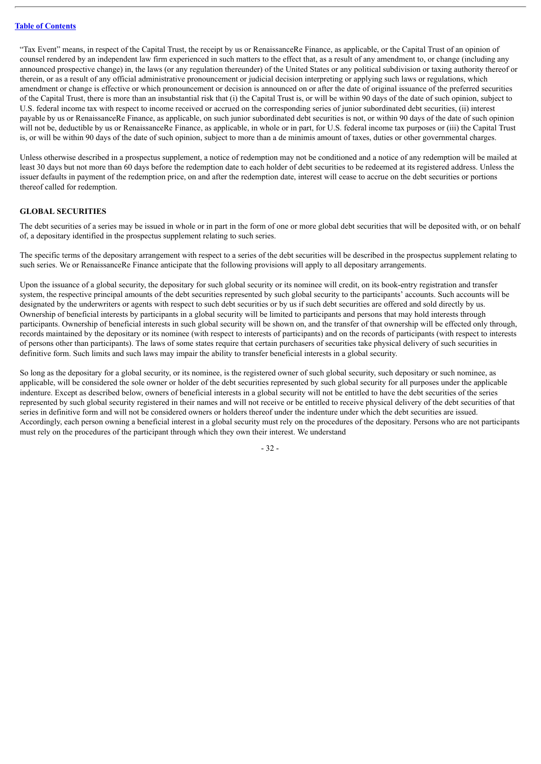"Tax Event" means, in respect of the Capital Trust, the receipt by us or RenaissanceRe Finance, as applicable, or the Capital Trust of an opinion of counsel rendered by an independent law firm experienced in such matters to the effect that, as a result of any amendment to, or change (including any announced prospective change) in, the laws (or any regulation thereunder) of the United States or any political subdivision or taxing authority thereof or therein, or as a result of any official administrative pronouncement or judicial decision interpreting or applying such laws or regulations, which amendment or change is effective or which pronouncement or decision is announced on or after the date of original issuance of the preferred securities of the Capital Trust, there is more than an insubstantial risk that (i) the Capital Trust is, or will be within 90 days of the date of such opinion, subject to U.S. federal income tax with respect to income received or accrued on the corresponding series of junior subordinated debt securities, (ii) interest payable by us or RenaissanceRe Finance, as applicable, on such junior subordinated debt securities is not, or within 90 days of the date of such opinion will not be, deductible by us or RenaissanceRe Finance, as applicable, in whole or in part, for U.S. federal income tax purposes or (iii) the Capital Trust is, or will be within 90 days of the date of such opinion, subject to more than a de minimis amount of taxes, duties or other governmental charges.

Unless otherwise described in a prospectus supplement, a notice of redemption may not be conditioned and a notice of any redemption will be mailed at least 30 days but not more than 60 days before the redemption date to each holder of debt securities to be redeemed at its registered address. Unless the issuer defaults in payment of the redemption price, on and after the redemption date, interest will cease to accrue on the debt securities or portions thereof called for redemption.

#### **GLOBAL SECURITIES**

The debt securities of a series may be issued in whole or in part in the form of one or more global debt securities that will be deposited with, or on behalf of, a depositary identified in the prospectus supplement relating to such series.

The specific terms of the depositary arrangement with respect to a series of the debt securities will be described in the prospectus supplement relating to such series. We or RenaissanceRe Finance anticipate that the following provisions will apply to all depositary arrangements.

Upon the issuance of a global security, the depositary for such global security or its nominee will credit, on its book-entry registration and transfer system, the respective principal amounts of the debt securities represented by such global security to the participants' accounts. Such accounts will be designated by the underwriters or agents with respect to such debt securities or by us if such debt securities are offered and sold directly by us. Ownership of beneficial interests by participants in a global security will be limited to participants and persons that may hold interests through participants. Ownership of beneficial interests in such global security will be shown on, and the transfer of that ownership will be effected only through, records maintained by the depositary or its nominee (with respect to interests of participants) and on the records of participants (with respect to interests of persons other than participants). The laws of some states require that certain purchasers of securities take physical delivery of such securities in definitive form. Such limits and such laws may impair the ability to transfer beneficial interests in a global security.

So long as the depositary for a global security, or its nominee, is the registered owner of such global security, such depositary or such nominee, as applicable, will be considered the sole owner or holder of the debt securities represented by such global security for all purposes under the applicable indenture. Except as described below, owners of beneficial interests in a global security will not be entitled to have the debt securities of the series represented by such global security registered in their names and will not receive or be entitled to receive physical delivery of the debt securities of that series in definitive form and will not be considered owners or holders thereof under the indenture under which the debt securities are issued. Accordingly, each person owning a beneficial interest in a global security must rely on the procedures of the depositary. Persons who are not participants must rely on the procedures of the participant through which they own their interest. We understand

- 32 -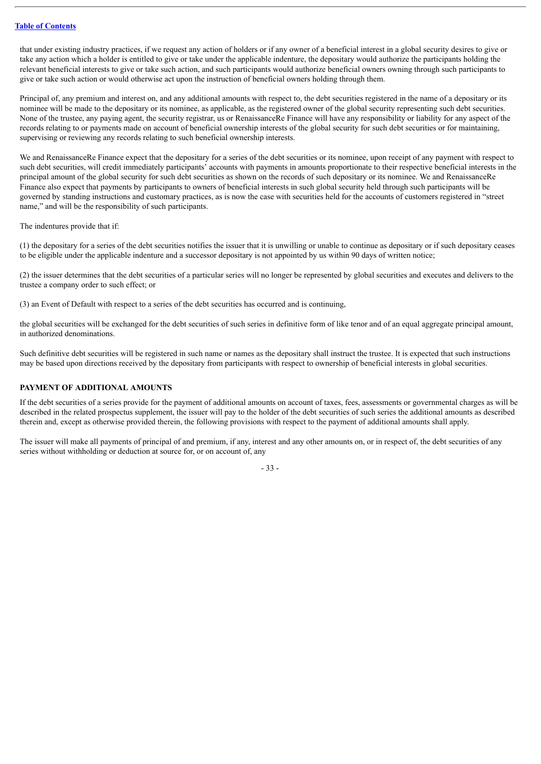that under existing industry practices, if we request any action of holders or if any owner of a beneficial interest in a global security desires to give or take any action which a holder is entitled to give or take under the applicable indenture, the depositary would authorize the participants holding the relevant beneficial interests to give or take such action, and such participants would authorize beneficial owners owning through such participants to give or take such action or would otherwise act upon the instruction of beneficial owners holding through them.

Principal of, any premium and interest on, and any additional amounts with respect to, the debt securities registered in the name of a depositary or its nominee will be made to the depositary or its nominee, as applicable, as the registered owner of the global security representing such debt securities. None of the trustee, any paying agent, the security registrar, us or RenaissanceRe Finance will have any responsibility or liability for any aspect of the records relating to or payments made on account of beneficial ownership interests of the global security for such debt securities or for maintaining, supervising or reviewing any records relating to such beneficial ownership interests.

We and RenaissanceRe Finance expect that the depositary for a series of the debt securities or its nominee, upon receipt of any payment with respect to such debt securities, will credit immediately participants' accounts with payments in amounts proportionate to their respective beneficial interests in the principal amount of the global security for such debt securities as shown on the records of such depositary or its nominee. We and RenaissanceRe Finance also expect that payments by participants to owners of beneficial interests in such global security held through such participants will be governed by standing instructions and customary practices, as is now the case with securities held for the accounts of customers registered in "street name," and will be the responsibility of such participants.

The indentures provide that if:

(1) the depositary for a series of the debt securities notifies the issuer that it is unwilling or unable to continue as depositary or if such depositary ceases to be eligible under the applicable indenture and a successor depositary is not appointed by us within 90 days of written notice;

(2) the issuer determines that the debt securities of a particular series will no longer be represented by global securities and executes and delivers to the trustee a company order to such effect; or

(3) an Event of Default with respect to a series of the debt securities has occurred and is continuing,

the global securities will be exchanged for the debt securities of such series in definitive form of like tenor and of an equal aggregate principal amount, in authorized denominations.

Such definitive debt securities will be registered in such name or names as the depositary shall instruct the trustee. It is expected that such instructions may be based upon directions received by the depositary from participants with respect to ownership of beneficial interests in global securities.

# **PAYMENT OF ADDITIONAL AMOUNTS**

If the debt securities of a series provide for the payment of additional amounts on account of taxes, fees, assessments or governmental charges as will be described in the related prospectus supplement, the issuer will pay to the holder of the debt securities of such series the additional amounts as described therein and, except as otherwise provided therein, the following provisions with respect to the payment of additional amounts shall apply.

The issuer will make all payments of principal of and premium, if any, interest and any other amounts on, or in respect of, the debt securities of any series without withholding or deduction at source for, or on account of, any

- 33 -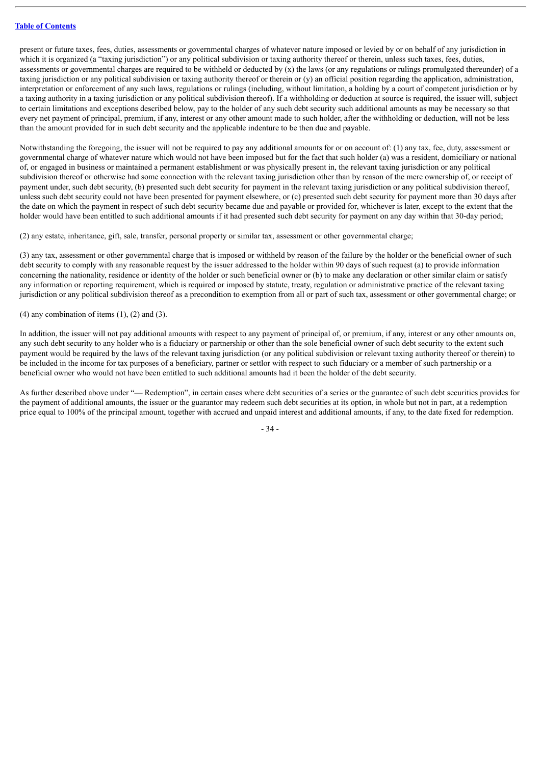present or future taxes, fees, duties, assessments or governmental charges of whatever nature imposed or levied by or on behalf of any jurisdiction in which it is organized (a "taxing jurisdiction") or any political subdivision or taxing authority thereof or therein, unless such taxes, fees, duties, assessments or governmental charges are required to be withheld or deducted by (x) the laws (or any regulations or rulings promulgated thereunder) of a taxing jurisdiction or any political subdivision or taxing authority thereof or therein or (y) an official position regarding the application, administration, interpretation or enforcement of any such laws, regulations or rulings (including, without limitation, a holding by a court of competent jurisdiction or by a taxing authority in a taxing jurisdiction or any political subdivision thereof). If a withholding or deduction at source is required, the issuer will, subject to certain limitations and exceptions described below, pay to the holder of any such debt security such additional amounts as may be necessary so that every net payment of principal, premium, if any, interest or any other amount made to such holder, after the withholding or deduction, will not be less than the amount provided for in such debt security and the applicable indenture to be then due and payable.

Notwithstanding the foregoing, the issuer will not be required to pay any additional amounts for or on account of: (1) any tax, fee, duty, assessment or governmental charge of whatever nature which would not have been imposed but for the fact that such holder (a) was a resident, domiciliary or national of, or engaged in business or maintained a permanent establishment or was physically present in, the relevant taxing jurisdiction or any political subdivision thereof or otherwise had some connection with the relevant taxing jurisdiction other than by reason of the mere ownership of, or receipt of payment under, such debt security, (b) presented such debt security for payment in the relevant taxing jurisdiction or any political subdivision thereof, unless such debt security could not have been presented for payment elsewhere, or (c) presented such debt security for payment more than 30 days after the date on which the payment in respect of such debt security became due and payable or provided for, whichever is later, except to the extent that the holder would have been entitled to such additional amounts if it had presented such debt security for payment on any day within that 30-day period;

(2) any estate, inheritance, gift, sale, transfer, personal property or similar tax, assessment or other governmental charge;

(3) any tax, assessment or other governmental charge that is imposed or withheld by reason of the failure by the holder or the beneficial owner of such debt security to comply with any reasonable request by the issuer addressed to the holder within 90 days of such request (a) to provide information concerning the nationality, residence or identity of the holder or such beneficial owner or (b) to make any declaration or other similar claim or satisfy any information or reporting requirement, which is required or imposed by statute, treaty, regulation or administrative practice of the relevant taxing jurisdiction or any political subdivision thereof as a precondition to exemption from all or part of such tax, assessment or other governmental charge; or

 $(4)$  any combination of items  $(1)$ ,  $(2)$  and  $(3)$ .

In addition, the issuer will not pay additional amounts with respect to any payment of principal of, or premium, if any, interest or any other amounts on, any such debt security to any holder who is a fiduciary or partnership or other than the sole beneficial owner of such debt security to the extent such payment would be required by the laws of the relevant taxing jurisdiction (or any political subdivision or relevant taxing authority thereof or therein) to be included in the income for tax purposes of a beneficiary, partner or settlor with respect to such fiduciary or a member of such partnership or a beneficial owner who would not have been entitled to such additional amounts had it been the holder of the debt security.

As further described above under "— Redemption", in certain cases where debt securities of a series or the guarantee of such debt securities provides for the payment of additional amounts, the issuer or the guarantor may redeem such debt securities at its option, in whole but not in part, at a redemption price equal to 100% of the principal amount, together with accrued and unpaid interest and additional amounts, if any, to the date fixed for redemption.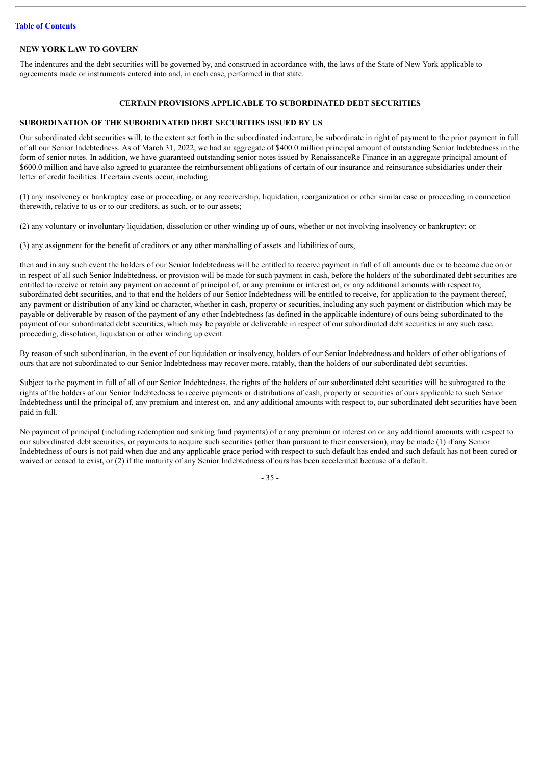## **NEW YORK LAW TO GOVERN**

The indentures and the debt securities will be governed by, and construed in accordance with, the laws of the State of New York applicable to agreements made or instruments entered into and, in each case, performed in that state.

## **CERTAIN PROVISIONS APPLICABLE TO SUBORDINATED DEBT SECURITIES**

# **SUBORDINATION OF THE SUBORDINATED DEBT SECURITIES ISSUED BY US**

Our subordinated debt securities will, to the extent set forth in the subordinated indenture, be subordinate in right of payment to the prior payment in full of all our Senior Indebtedness. As of March 31, 2022, we had an aggregate of \$400.0 million principal amount of outstanding Senior Indebtedness in the form of senior notes. In addition, we have guaranteed outstanding senior notes issued by RenaissanceRe Finance in an aggregate principal amount of \$600.0 million and have also agreed to guarantee the reimbursement obligations of certain of our insurance and reinsurance subsidiaries under their letter of credit facilities. If certain events occur, including:

(1) any insolvency or bankruptcy case or proceeding, or any receivership, liquidation, reorganization or other similar case or proceeding in connection therewith, relative to us or to our creditors, as such, or to our assets;

(2) any voluntary or involuntary liquidation, dissolution or other winding up of ours, whether or not involving insolvency or bankruptcy; or

(3) any assignment for the benefit of creditors or any other marshalling of assets and liabilities of ours,

then and in any such event the holders of our Senior Indebtedness will be entitled to receive payment in full of all amounts due or to become due on or in respect of all such Senior Indebtedness, or provision will be made for such payment in cash, before the holders of the subordinated debt securities are entitled to receive or retain any payment on account of principal of, or any premium or interest on, or any additional amounts with respect to, subordinated debt securities, and to that end the holders of our Senior Indebtedness will be entitled to receive, for application to the payment thereof, any payment or distribution of any kind or character, whether in cash, property or securities, including any such payment or distribution which may be payable or deliverable by reason of the payment of any other Indebtedness (as defined in the applicable indenture) of ours being subordinated to the payment of our subordinated debt securities, which may be payable or deliverable in respect of our subordinated debt securities in any such case, proceeding, dissolution, liquidation or other winding up event.

By reason of such subordination, in the event of our liquidation or insolvency, holders of our Senior Indebtedness and holders of other obligations of ours that are not subordinated to our Senior Indebtedness may recover more, ratably, than the holders of our subordinated debt securities.

Subject to the payment in full of all of our Senior Indebtedness, the rights of the holders of our subordinated debt securities will be subrogated to the rights of the holders of our Senior Indebtedness to receive payments or distributions of cash, property or securities of ours applicable to such Senior Indebtedness until the principal of, any premium and interest on, and any additional amounts with respect to, our subordinated debt securities have been paid in full.

No payment of principal (including redemption and sinking fund payments) of or any premium or interest on or any additional amounts with respect to our subordinated debt securities, or payments to acquire such securities (other than pursuant to their conversion), may be made (1) if any Senior Indebtedness of ours is not paid when due and any applicable grace period with respect to such default has ended and such default has not been cured or waived or ceased to exist, or (2) if the maturity of any Senior Indebtedness of ours has been accelerated because of a default.

- 35 -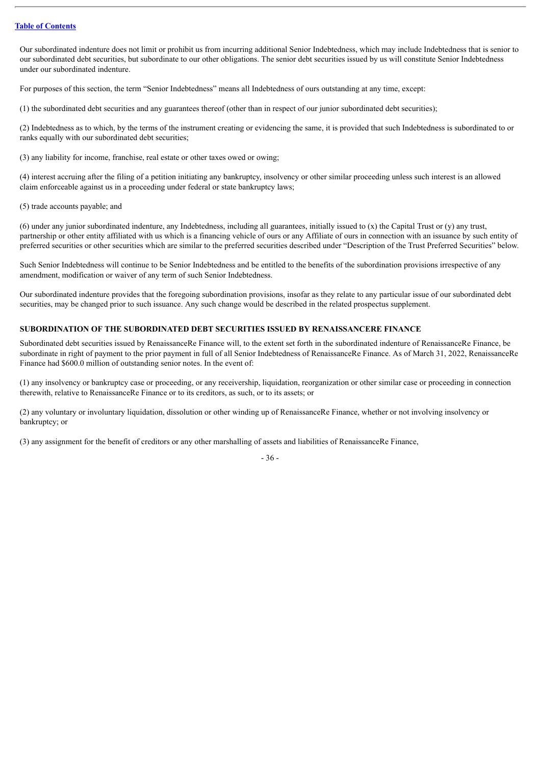Our subordinated indenture does not limit or prohibit us from incurring additional Senior Indebtedness, which may include Indebtedness that is senior to our subordinated debt securities, but subordinate to our other obligations. The senior debt securities issued by us will constitute Senior Indebtedness under our subordinated indenture.

For purposes of this section, the term "Senior Indebtedness" means all Indebtedness of ours outstanding at any time, except:

(1) the subordinated debt securities and any guarantees thereof (other than in respect of our junior subordinated debt securities);

(2) Indebtedness as to which, by the terms of the instrument creating or evidencing the same, it is provided that such Indebtedness is subordinated to or ranks equally with our subordinated debt securities;

(3) any liability for income, franchise, real estate or other taxes owed or owing;

(4) interest accruing after the filing of a petition initiating any bankruptcy, insolvency or other similar proceeding unless such interest is an allowed claim enforceable against us in a proceeding under federal or state bankruptcy laws;

#### (5) trade accounts payable; and

(6) under any junior subordinated indenture, any Indebtedness, including all guarantees, initially issued to (x) the Capital Trust or (y) any trust, partnership or other entity affiliated with us which is a financing vehicle of ours or any Affiliate of ours in connection with an issuance by such entity of preferred securities or other securities which are similar to the preferred securities described under "Description of the Trust Preferred Securities" below.

Such Senior Indebtedness will continue to be Senior Indebtedness and be entitled to the benefits of the subordination provisions irrespective of any amendment, modification or waiver of any term of such Senior Indebtedness.

Our subordinated indenture provides that the foregoing subordination provisions, insofar as they relate to any particular issue of our subordinated debt securities, may be changed prior to such issuance. Any such change would be described in the related prospectus supplement.

## **SUBORDINATION OF THE SUBORDINATED DEBT SECURITIES ISSUED BY RENAISSANCERE FINANCE**

Subordinated debt securities issued by RenaissanceRe Finance will, to the extent set forth in the subordinated indenture of RenaissanceRe Finance, be subordinate in right of payment to the prior payment in full of all Senior Indebtedness of RenaissanceRe Finance. As of March 31, 2022, RenaissanceRe Finance had \$600.0 million of outstanding senior notes. In the event of:

(1) any insolvency or bankruptcy case or proceeding, or any receivership, liquidation, reorganization or other similar case or proceeding in connection therewith, relative to RenaissanceRe Finance or to its creditors, as such, or to its assets; or

(2) any voluntary or involuntary liquidation, dissolution or other winding up of RenaissanceRe Finance, whether or not involving insolvency or bankruptcy; or

(3) any assignment for the benefit of creditors or any other marshalling of assets and liabilities of RenaissanceRe Finance,

- 36 -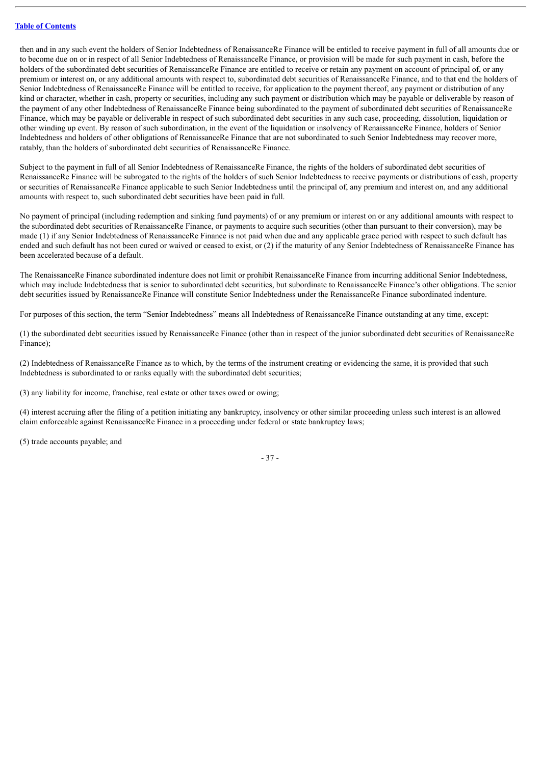then and in any such event the holders of Senior Indebtedness of RenaissanceRe Finance will be entitled to receive payment in full of all amounts due or to become due on or in respect of all Senior Indebtedness of RenaissanceRe Finance, or provision will be made for such payment in cash, before the holders of the subordinated debt securities of RenaissanceRe Finance are entitled to receive or retain any payment on account of principal of, or any premium or interest on, or any additional amounts with respect to, subordinated debt securities of RenaissanceRe Finance, and to that end the holders of Senior Indebtedness of RenaissanceRe Finance will be entitled to receive, for application to the payment thereof, any payment or distribution of any kind or character, whether in cash, property or securities, including any such payment or distribution which may be payable or deliverable by reason of the payment of any other Indebtedness of RenaissanceRe Finance being subordinated to the payment of subordinated debt securities of RenaissanceRe Finance, which may be payable or deliverable in respect of such subordinated debt securities in any such case, proceeding, dissolution, liquidation or other winding up event. By reason of such subordination, in the event of the liquidation or insolvency of RenaissanceRe Finance, holders of Senior Indebtedness and holders of other obligations of RenaissanceRe Finance that are not subordinated to such Senior Indebtedness may recover more, ratably, than the holders of subordinated debt securities of RenaissanceRe Finance.

Subject to the payment in full of all Senior Indebtedness of RenaissanceRe Finance, the rights of the holders of subordinated debt securities of RenaissanceRe Finance will be subrogated to the rights of the holders of such Senior Indebtedness to receive payments or distributions of cash, property or securities of RenaissanceRe Finance applicable to such Senior Indebtedness until the principal of, any premium and interest on, and any additional amounts with respect to, such subordinated debt securities have been paid in full.

No payment of principal (including redemption and sinking fund payments) of or any premium or interest on or any additional amounts with respect to the subordinated debt securities of RenaissanceRe Finance, or payments to acquire such securities (other than pursuant to their conversion), may be made (1) if any Senior Indebtedness of RenaissanceRe Finance is not paid when due and any applicable grace period with respect to such default has ended and such default has not been cured or waived or ceased to exist, or (2) if the maturity of any Senior Indebtedness of RenaissanceRe Finance has been accelerated because of a default.

The RenaissanceRe Finance subordinated indenture does not limit or prohibit RenaissanceRe Finance from incurring additional Senior Indebtedness, which may include Indebtedness that is senior to subordinated debt securities, but subordinate to RenaissanceRe Finance's other obligations. The senior debt securities issued by RenaissanceRe Finance will constitute Senior Indebtedness under the RenaissanceRe Finance subordinated indenture.

For purposes of this section, the term "Senior Indebtedness" means all Indebtedness of RenaissanceRe Finance outstanding at any time, except:

(1) the subordinated debt securities issued by RenaissanceRe Finance (other than in respect of the junior subordinated debt securities of RenaissanceRe Finance);

(2) Indebtedness of RenaissanceRe Finance as to which, by the terms of the instrument creating or evidencing the same, it is provided that such Indebtedness is subordinated to or ranks equally with the subordinated debt securities;

(3) any liability for income, franchise, real estate or other taxes owed or owing;

(4) interest accruing after the filing of a petition initiating any bankruptcy, insolvency or other similar proceeding unless such interest is an allowed claim enforceable against RenaissanceRe Finance in a proceeding under federal or state bankruptcy laws;

(5) trade accounts payable; and

- 37 -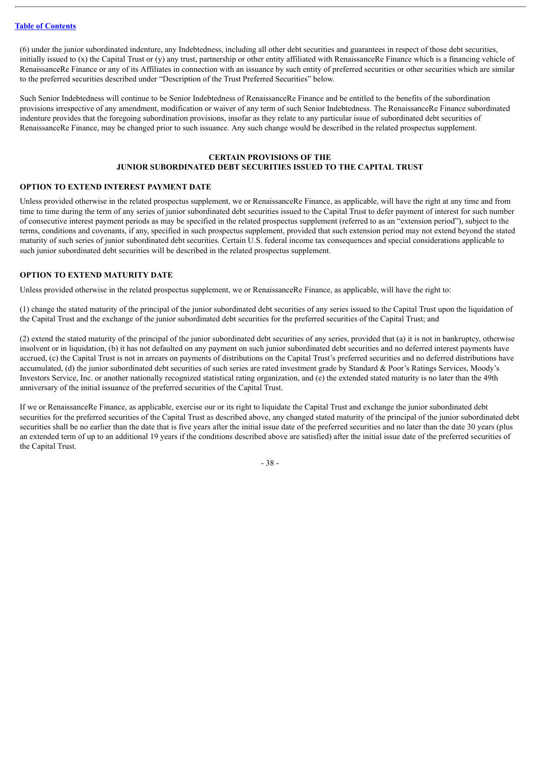(6) under the junior subordinated indenture, any Indebtedness, including all other debt securities and guarantees in respect of those debt securities, initially issued to (x) the Capital Trust or (y) any trust, partnership or other entity affiliated with RenaissanceRe Finance which is a financing vehicle of RenaissanceRe Finance or any of its Affiliates in connection with an issuance by such entity of preferred securities or other securities which are similar to the preferred securities described under "Description of the Trust Preferred Securities" below.

Such Senior Indebtedness will continue to be Senior Indebtedness of RenaissanceRe Finance and be entitled to the benefits of the subordination provisions irrespective of any amendment, modification or waiver of any term of such Senior Indebtedness. The RenaissanceRe Finance subordinated indenture provides that the foregoing subordination provisions, insofar as they relate to any particular issue of subordinated debt securities of RenaissanceRe Finance, may be changed prior to such issuance. Any such change would be described in the related prospectus supplement.

# **CERTAIN PROVISIONS OF THE JUNIOR SUBORDINATED DEBT SECURITIES ISSUED TO THE CAPITAL TRUST**

## **OPTION TO EXTEND INTEREST PAYMENT DATE**

Unless provided otherwise in the related prospectus supplement, we or RenaissanceRe Finance, as applicable, will have the right at any time and from time to time during the term of any series of junior subordinated debt securities issued to the Capital Trust to defer payment of interest for such number of consecutive interest payment periods as may be specified in the related prospectus supplement (referred to as an "extension period"), subject to the terms, conditions and covenants, if any, specified in such prospectus supplement, provided that such extension period may not extend beyond the stated maturity of such series of junior subordinated debt securities. Certain U.S. federal income tax consequences and special considerations applicable to such junior subordinated debt securities will be described in the related prospectus supplement.

## **OPTION TO EXTEND MATURITY DATE**

Unless provided otherwise in the related prospectus supplement, we or RenaissanceRe Finance, as applicable, will have the right to:

(1) change the stated maturity of the principal of the junior subordinated debt securities of any series issued to the Capital Trust upon the liquidation of the Capital Trust and the exchange of the junior subordinated debt securities for the preferred securities of the Capital Trust; and

(2) extend the stated maturity of the principal of the junior subordinated debt securities of any series, provided that (a) it is not in bankruptcy, otherwise insolvent or in liquidation, (b) it has not defaulted on any payment on such junior subordinated debt securities and no deferred interest payments have accrued, (c) the Capital Trust is not in arrears on payments of distributions on the Capital Trust's preferred securities and no deferred distributions have accumulated, (d) the junior subordinated debt securities of such series are rated investment grade by Standard & Poor's Ratings Services, Moody's Investors Service, Inc. or another nationally recognized statistical rating organization, and (e) the extended stated maturity is no later than the 49th anniversary of the initial issuance of the preferred securities of the Capital Trust.

If we or RenaissanceRe Finance, as applicable, exercise our or its right to liquidate the Capital Trust and exchange the junior subordinated debt securities for the preferred securities of the Capital Trust as described above, any changed stated maturity of the principal of the junior subordinated debt securities shall be no earlier than the date that is five years after the initial issue date of the preferred securities and no later than the date 30 years (plus an extended term of up to an additional 19 years if the conditions described above are satisfied) after the initial issue date of the preferred securities of the Capital Trust.

- 38 -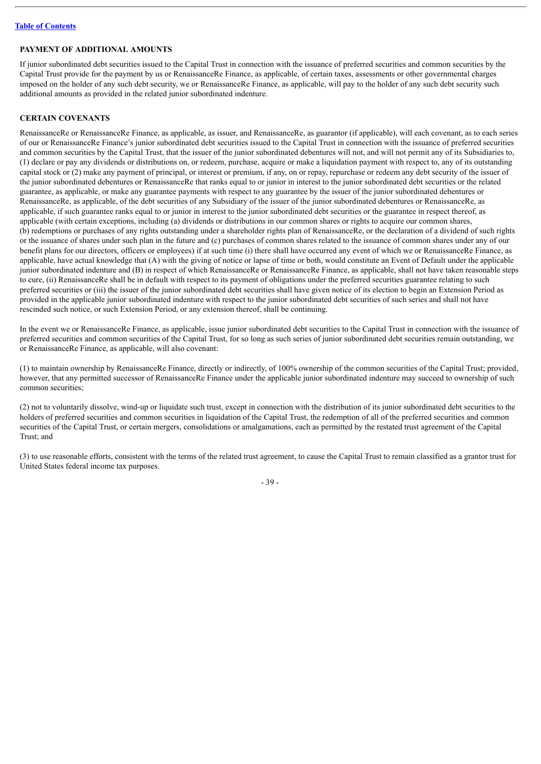# **PAYMENT OF ADDITIONAL AMOUNTS**

If junior subordinated debt securities issued to the Capital Trust in connection with the issuance of preferred securities and common securities by the Capital Trust provide for the payment by us or RenaissanceRe Finance, as applicable, of certain taxes, assessments or other governmental charges imposed on the holder of any such debt security, we or RenaissanceRe Finance, as applicable, will pay to the holder of any such debt security such additional amounts as provided in the related junior subordinated indenture.

# **CERTAIN COVENANTS**

RenaissanceRe or RenaissanceRe Finance, as applicable, as issuer, and RenaissanceRe, as guarantor (if applicable), will each covenant, as to each series of our or RenaissanceRe Finance's junior subordinated debt securities issued to the Capital Trust in connection with the issuance of preferred securities and common securities by the Capital Trust, that the issuer of the junior subordinated debentures will not, and will not permit any of its Subsidiaries to, (1) declare or pay any dividends or distributions on, or redeem, purchase, acquire or make a liquidation payment with respect to, any of its outstanding capital stock or (2) make any payment of principal, or interest or premium, if any, on or repay, repurchase or redeem any debt security of the issuer of the junior subordinated debentures or RenaissanceRe that ranks equal to or junior in interest to the junior subordinated debt securities or the related guarantee, as applicable, or make any guarantee payments with respect to any guarantee by the issuer of the junior subordinated debentures or RenaissanceRe, as applicable, of the debt securities of any Subsidiary of the issuer of the junior subordinated debentures or RenaissanceRe, as applicable, if such guarantee ranks equal to or junior in interest to the junior subordinated debt securities or the guarantee in respect thereof, as applicable (with certain exceptions, including (a) dividends or distributions in our common shares or rights to acquire our common shares, (b) redemptions or purchases of any rights outstanding under a shareholder rights plan of RenaissanceRe, or the declaration of a dividend of such rights or the issuance of shares under such plan in the future and (c) purchases of common shares related to the issuance of common shares under any of our benefit plans for our directors, officers or employees) if at such time (i) there shall have occurred any event of which we or RenaissanceRe Finance, as applicable, have actual knowledge that (A) with the giving of notice or lapse of time or both, would constitute an Event of Default under the applicable junior subordinated indenture and (B) in respect of which RenaissanceRe or RenaissanceRe Finance, as applicable, shall not have taken reasonable steps to cure, (ii) RenaissanceRe shall be in default with respect to its payment of obligations under the preferred securities guarantee relating to such preferred securities or (iii) the issuer of the junior subordinated debt securities shall have given notice of its election to begin an Extension Period as provided in the applicable junior subordinated indenture with respect to the junior subordinated debt securities of such series and shall not have rescinded such notice, or such Extension Period, or any extension thereof, shall be continuing.

In the event we or RenaissanceRe Finance, as applicable, issue junior subordinated debt securities to the Capital Trust in connection with the issuance of preferred securities and common securities of the Capital Trust, for so long as such series of junior subordinated debt securities remain outstanding, we or RenaissanceRe Finance, as applicable, will also covenant:

(1) to maintain ownership by RenaissanceRe Finance, directly or indirectly, of 100% ownership of the common securities of the Capital Trust; provided, however, that any permitted successor of RenaissanceRe Finance under the applicable junior subordinated indenture may succeed to ownership of such common securities;

(2) not to voluntarily dissolve, wind-up or liquidate such trust, except in connection with the distribution of its junior subordinated debt securities to the holders of preferred securities and common securities in liquidation of the Capital Trust, the redemption of all of the preferred securities and common securities of the Capital Trust, or certain mergers, consolidations or amalgamations, each as permitted by the restated trust agreement of the Capital Trust; and

(3) to use reasonable efforts, consistent with the terms of the related trust agreement, to cause the Capital Trust to remain classified as a grantor trust for United States federal income tax purposes.

- 39 -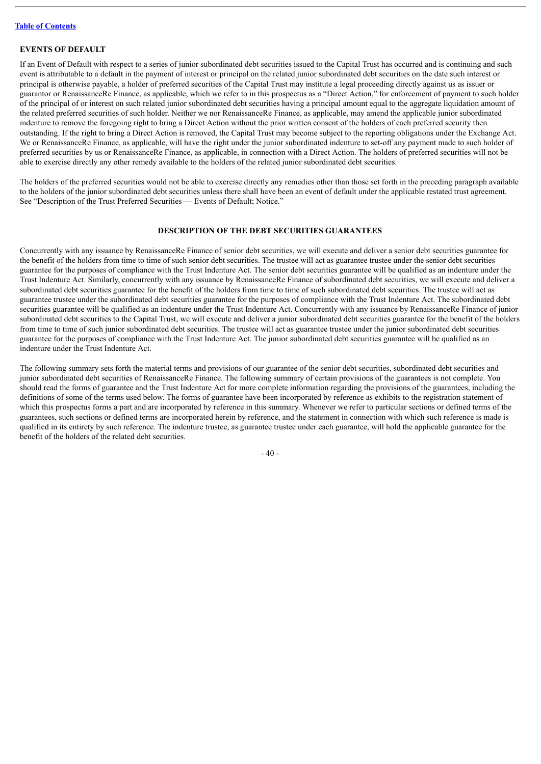# **EVENTS OF DEFAULT**

If an Event of Default with respect to a series of junior subordinated debt securities issued to the Capital Trust has occurred and is continuing and such event is attributable to a default in the payment of interest or principal on the related junior subordinated debt securities on the date such interest or principal is otherwise payable, a holder of preferred securities of the Capital Trust may institute a legal proceeding directly against us as issuer or guarantor or RenaissanceRe Finance, as applicable, which we refer to in this prospectus as a "Direct Action," for enforcement of payment to such holder of the principal of or interest on such related junior subordinated debt securities having a principal amount equal to the aggregate liquidation amount of the related preferred securities of such holder. Neither we nor RenaissanceRe Finance, as applicable, may amend the applicable junior subordinated indenture to remove the foregoing right to bring a Direct Action without the prior written consent of the holders of each preferred security then outstanding. If the right to bring a Direct Action is removed, the Capital Trust may become subject to the reporting obligations under the Exchange Act. We or RenaissanceRe Finance, as applicable, will have the right under the junior subordinated indenture to set-off any payment made to such holder of preferred securities by us or RenaissanceRe Finance, as applicable, in connection with a Direct Action. The holders of preferred securities will not be able to exercise directly any other remedy available to the holders of the related junior subordinated debt securities.

The holders of the preferred securities would not be able to exercise directly any remedies other than those set forth in the preceding paragraph available to the holders of the junior subordinated debt securities unless there shall have been an event of default under the applicable restated trust agreement. See "Description of the Trust Preferred Securities — Events of Default; Notice."

## **DESCRIPTION OF THE DEBT SECURITIES GUARANTEES**

Concurrently with any issuance by RenaissanceRe Finance of senior debt securities, we will execute and deliver a senior debt securities guarantee for the benefit of the holders from time to time of such senior debt securities. The trustee will act as guarantee trustee under the senior debt securities guarantee for the purposes of compliance with the Trust Indenture Act. The senior debt securities guarantee will be qualified as an indenture under the Trust Indenture Act. Similarly, concurrently with any issuance by RenaissanceRe Finance of subordinated debt securities, we will execute and deliver a subordinated debt securities guarantee for the benefit of the holders from time to time of such subordinated debt securities. The trustee will act as guarantee trustee under the subordinated debt securities guarantee for the purposes of compliance with the Trust Indenture Act. The subordinated debt securities guarantee will be qualified as an indenture under the Trust Indenture Act. Concurrently with any issuance by RenaissanceRe Finance of junior subordinated debt securities to the Capital Trust, we will execute and deliver a junior subordinated debt securities guarantee for the benefit of the holders from time to time of such junior subordinated debt securities. The trustee will act as guarantee trustee under the junior subordinated debt securities guarantee for the purposes of compliance with the Trust Indenture Act. The junior subordinated debt securities guarantee will be qualified as an indenture under the Trust Indenture Act.

The following summary sets forth the material terms and provisions of our guarantee of the senior debt securities, subordinated debt securities and junior subordinated debt securities of RenaissanceRe Finance. The following summary of certain provisions of the guarantees is not complete. You should read the forms of guarantee and the Trust Indenture Act for more complete information regarding the provisions of the guarantees, including the definitions of some of the terms used below. The forms of guarantee have been incorporated by reference as exhibits to the registration statement of which this prospectus forms a part and are incorporated by reference in this summary. Whenever we refer to particular sections or defined terms of the guarantees, such sections or defined terms are incorporated herein by reference, and the statement in connection with which such reference is made is qualified in its entirety by such reference. The indenture trustee, as guarantee trustee under each guarantee, will hold the applicable guarantee for the benefit of the holders of the related debt securities.

- 40 -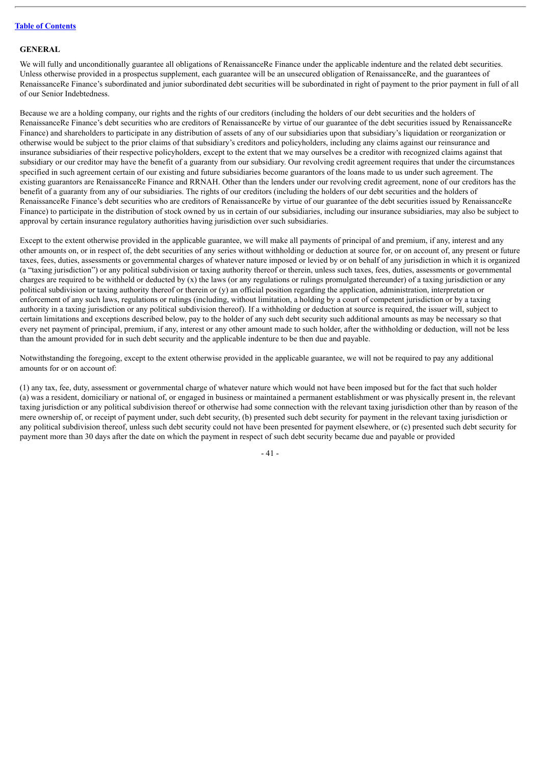#### **GENERAL**

We will fully and unconditionally guarantee all obligations of RenaissanceRe Finance under the applicable indenture and the related debt securities. Unless otherwise provided in a prospectus supplement, each guarantee will be an unsecured obligation of RenaissanceRe, and the guarantees of RenaissanceRe Finance's subordinated and junior subordinated debt securities will be subordinated in right of payment to the prior payment in full of all of our Senior Indebtedness.

Because we are a holding company, our rights and the rights of our creditors (including the holders of our debt securities and the holders of RenaissanceRe Finance's debt securities who are creditors of RenaissanceRe by virtue of our guarantee of the debt securities issued by RenaissanceRe Finance) and shareholders to participate in any distribution of assets of any of our subsidiaries upon that subsidiary's liquidation or reorganization or otherwise would be subject to the prior claims of that subsidiary's creditors and policyholders, including any claims against our reinsurance and insurance subsidiaries of their respective policyholders, except to the extent that we may ourselves be a creditor with recognized claims against that subsidiary or our creditor may have the benefit of a guaranty from our subsidiary. Our revolving credit agreement requires that under the circumstances specified in such agreement certain of our existing and future subsidiaries become guarantors of the loans made to us under such agreement. The existing guarantors are RenaissanceRe Finance and RRNAH. Other than the lenders under our revolving credit agreement, none of our creditors has the benefit of a guaranty from any of our subsidiaries. The rights of our creditors (including the holders of our debt securities and the holders of RenaissanceRe Finance's debt securities who are creditors of RenaissanceRe by virtue of our guarantee of the debt securities issued by RenaissanceRe Finance) to participate in the distribution of stock owned by us in certain of our subsidiaries, including our insurance subsidiaries, may also be subject to approval by certain insurance regulatory authorities having jurisdiction over such subsidiaries.

Except to the extent otherwise provided in the applicable guarantee, we will make all payments of principal of and premium, if any, interest and any other amounts on, or in respect of, the debt securities of any series without withholding or deduction at source for, or on account of, any present or future taxes, fees, duties, assessments or governmental charges of whatever nature imposed or levied by or on behalf of any jurisdiction in which it is organized (a "taxing jurisdiction") or any political subdivision or taxing authority thereof or therein, unless such taxes, fees, duties, assessments or governmental charges are required to be withheld or deducted by  $(x)$  the laws (or any regulations or rulings promulgated thereunder) of a taxing jurisdiction or any political subdivision or taxing authority thereof or therein or (y) an official position regarding the application, administration, interpretation or enforcement of any such laws, regulations or rulings (including, without limitation, a holding by a court of competent jurisdiction or by a taxing authority in a taxing jurisdiction or any political subdivision thereof). If a withholding or deduction at source is required, the issuer will, subject to certain limitations and exceptions described below, pay to the holder of any such debt security such additional amounts as may be necessary so that every net payment of principal, premium, if any, interest or any other amount made to such holder, after the withholding or deduction, will not be less than the amount provided for in such debt security and the applicable indenture to be then due and payable.

Notwithstanding the foregoing, except to the extent otherwise provided in the applicable guarantee, we will not be required to pay any additional amounts for or on account of:

(1) any tax, fee, duty, assessment or governmental charge of whatever nature which would not have been imposed but for the fact that such holder (a) was a resident, domiciliary or national of, or engaged in business or maintained a permanent establishment or was physically present in, the relevant taxing jurisdiction or any political subdivision thereof or otherwise had some connection with the relevant taxing jurisdiction other than by reason of the mere ownership of, or receipt of payment under, such debt security, (b) presented such debt security for payment in the relevant taxing jurisdiction or any political subdivision thereof, unless such debt security could not have been presented for payment elsewhere, or (c) presented such debt security for payment more than 30 days after the date on which the payment in respect of such debt security became due and payable or provided

- 41 -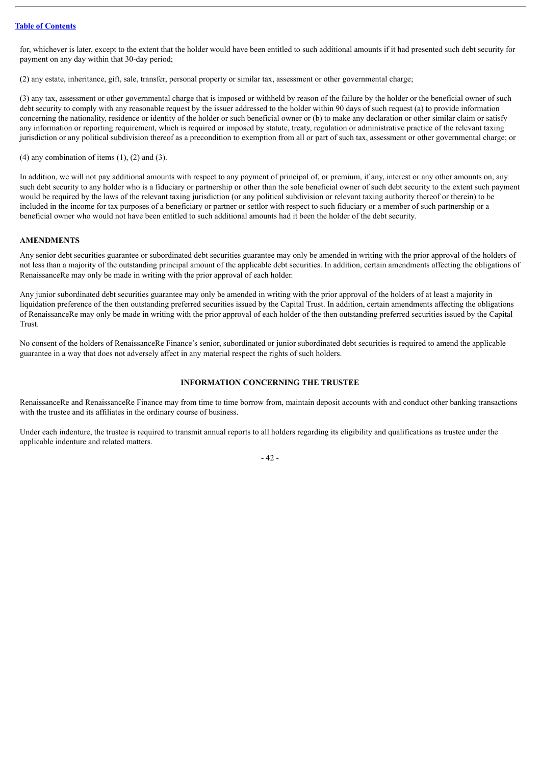for, whichever is later, except to the extent that the holder would have been entitled to such additional amounts if it had presented such debt security for payment on any day within that 30-day period;

(2) any estate, inheritance, gift, sale, transfer, personal property or similar tax, assessment or other governmental charge;

(3) any tax, assessment or other governmental charge that is imposed or withheld by reason of the failure by the holder or the beneficial owner of such debt security to comply with any reasonable request by the issuer addressed to the holder within 90 days of such request (a) to provide information concerning the nationality, residence or identity of the holder or such beneficial owner or (b) to make any declaration or other similar claim or satisfy any information or reporting requirement, which is required or imposed by statute, treaty, regulation or administrative practice of the relevant taxing jurisdiction or any political subdivision thereof as a precondition to exemption from all or part of such tax, assessment or other governmental charge; or

 $(4)$  any combination of items  $(1)$ ,  $(2)$  and  $(3)$ .

In addition, we will not pay additional amounts with respect to any payment of principal of, or premium, if any, interest or any other amounts on, any such debt security to any holder who is a fiduciary or partnership or other than the sole beneficial owner of such debt security to the extent such payment would be required by the laws of the relevant taxing jurisdiction (or any political subdivision or relevant taxing authority thereof or therein) to be included in the income for tax purposes of a beneficiary or partner or settlor with respect to such fiduciary or a member of such partnership or a beneficial owner who would not have been entitled to such additional amounts had it been the holder of the debt security.

#### **AMENDMENTS**

Any senior debt securities guarantee or subordinated debt securities guarantee may only be amended in writing with the prior approval of the holders of not less than a majority of the outstanding principal amount of the applicable debt securities. In addition, certain amendments affecting the obligations of RenaissanceRe may only be made in writing with the prior approval of each holder.

Any junior subordinated debt securities guarantee may only be amended in writing with the prior approval of the holders of at least a majority in liquidation preference of the then outstanding preferred securities issued by the Capital Trust. In addition, certain amendments affecting the obligations of RenaissanceRe may only be made in writing with the prior approval of each holder of the then outstanding preferred securities issued by the Capital Trust.

No consent of the holders of RenaissanceRe Finance's senior, subordinated or junior subordinated debt securities is required to amend the applicable guarantee in a way that does not adversely affect in any material respect the rights of such holders.

### **INFORMATION CONCERNING THE TRUSTEE**

RenaissanceRe and RenaissanceRe Finance may from time to time borrow from, maintain deposit accounts with and conduct other banking transactions with the trustee and its affiliates in the ordinary course of business.

Under each indenture, the trustee is required to transmit annual reports to all holders regarding its eligibility and qualifications as trustee under the applicable indenture and related matters.

 $-42-$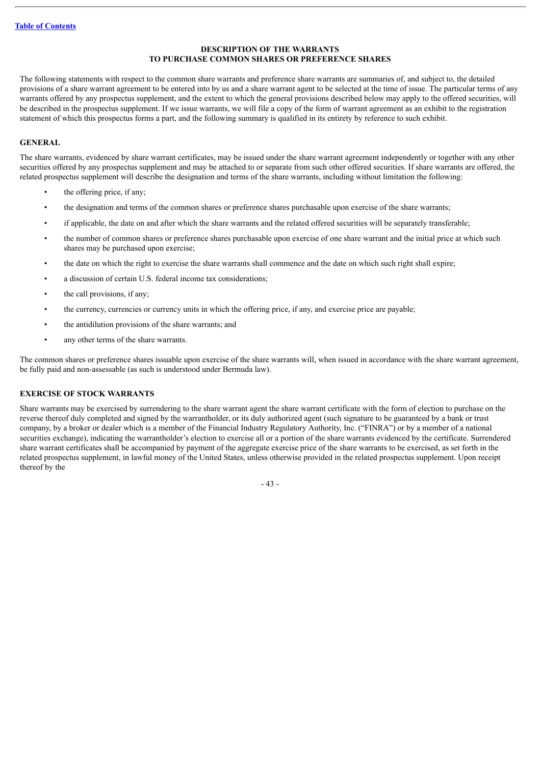## **DESCRIPTION OF THE WARRANTS TO PURCHASE COMMON SHARES OR PREFERENCE SHARES**

The following statements with respect to the common share warrants and preference share warrants are summaries of, and subject to, the detailed provisions of a share warrant agreement to be entered into by us and a share warrant agent to be selected at the time of issue. The particular terms of any warrants offered by any prospectus supplement, and the extent to which the general provisions described below may apply to the offered securities, will be described in the prospectus supplement. If we issue warrants, we will file a copy of the form of warrant agreement as an exhibit to the registration statement of which this prospectus forms a part, and the following summary is qualified in its entirety by reference to such exhibit.

## **GENERAL**

The share warrants, evidenced by share warrant certificates, may be issued under the share warrant agreement independently or together with any other securities offered by any prospectus supplement and may be attached to or separate from such other offered securities. If share warrants are offered, the related prospectus supplement will describe the designation and terms of the share warrants, including without limitation the following:

- the offering price, if any;
- the designation and terms of the common shares or preference shares purchasable upon exercise of the share warrants;
- if applicable, the date on and after which the share warrants and the related offered securities will be separately transferable;
- the number of common shares or preference shares purchasable upon exercise of one share warrant and the initial price at which such shares may be purchased upon exercise;
- the date on which the right to exercise the share warrants shall commence and the date on which such right shall expire;
- a discussion of certain U.S. federal income tax considerations;
- the call provisions, if any;
- the currency, currencies or currency units in which the offering price, if any, and exercise price are payable;
- the antidilution provisions of the share warrants; and
- any other terms of the share warrants.

The common shares or preference shares issuable upon exercise of the share warrants will, when issued in accordance with the share warrant agreement, be fully paid and non-assessable (as such is understood under Bermuda law).

## **EXERCISE OF STOCK WARRANTS**

Share warrants may be exercised by surrendering to the share warrant agent the share warrant certificate with the form of election to purchase on the reverse thereof duly completed and signed by the warrantholder, or its duly authorized agent (such signature to be guaranteed by a bank or trust company, by a broker or dealer which is a member of the Financial Industry Regulatory Authority, Inc. ("FINRA") or by a member of a national securities exchange), indicating the warrantholder's election to exercise all or a portion of the share warrants evidenced by the certificate. Surrendered share warrant certificates shall be accompanied by payment of the aggregate exercise price of the share warrants to be exercised, as set forth in the related prospectus supplement, in lawful money of the United States, unless otherwise provided in the related prospectus supplement. Upon receipt thereof by the

- 43 -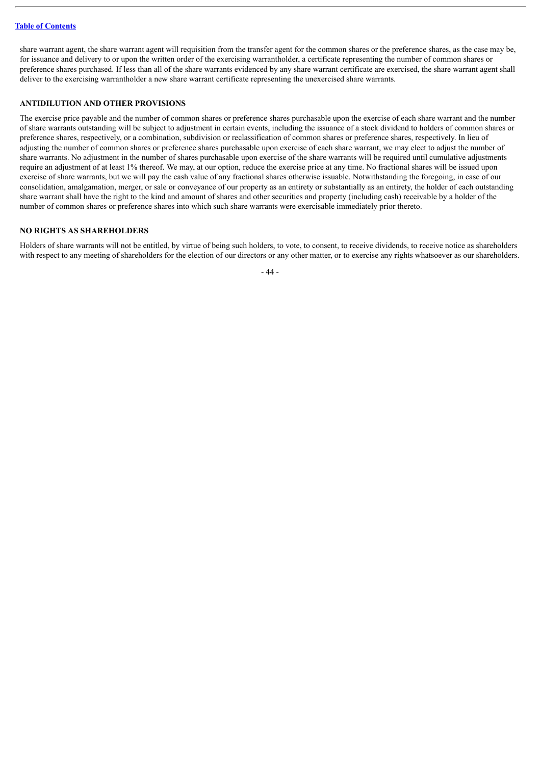share warrant agent, the share warrant agent will requisition from the transfer agent for the common shares or the preference shares, as the case may be, for issuance and delivery to or upon the written order of the exercising warrantholder, a certificate representing the number of common shares or preference shares purchased. If less than all of the share warrants evidenced by any share warrant certificate are exercised, the share warrant agent shall deliver to the exercising warrantholder a new share warrant certificate representing the unexercised share warrants.

# **ANTIDILUTION AND OTHER PROVISIONS**

The exercise price payable and the number of common shares or preference shares purchasable upon the exercise of each share warrant and the number of share warrants outstanding will be subject to adjustment in certain events, including the issuance of a stock dividend to holders of common shares or preference shares, respectively, or a combination, subdivision or reclassification of common shares or preference shares, respectively. In lieu of adjusting the number of common shares or preference shares purchasable upon exercise of each share warrant, we may elect to adjust the number of share warrants. No adjustment in the number of shares purchasable upon exercise of the share warrants will be required until cumulative adjustments require an adjustment of at least 1% thereof. We may, at our option, reduce the exercise price at any time. No fractional shares will be issued upon exercise of share warrants, but we will pay the cash value of any fractional shares otherwise issuable. Notwithstanding the foregoing, in case of our consolidation, amalgamation, merger, or sale or conveyance of our property as an entirety or substantially as an entirety, the holder of each outstanding share warrant shall have the right to the kind and amount of shares and other securities and property (including cash) receivable by a holder of the number of common shares or preference shares into which such share warrants were exercisable immediately prior thereto.

## **NO RIGHTS AS SHAREHOLDERS**

Holders of share warrants will not be entitled, by virtue of being such holders, to vote, to consent, to receive dividends, to receive notice as shareholders with respect to any meeting of shareholders for the election of our directors or any other matter, or to exercise any rights whatsoever as our shareholders.

- 44 -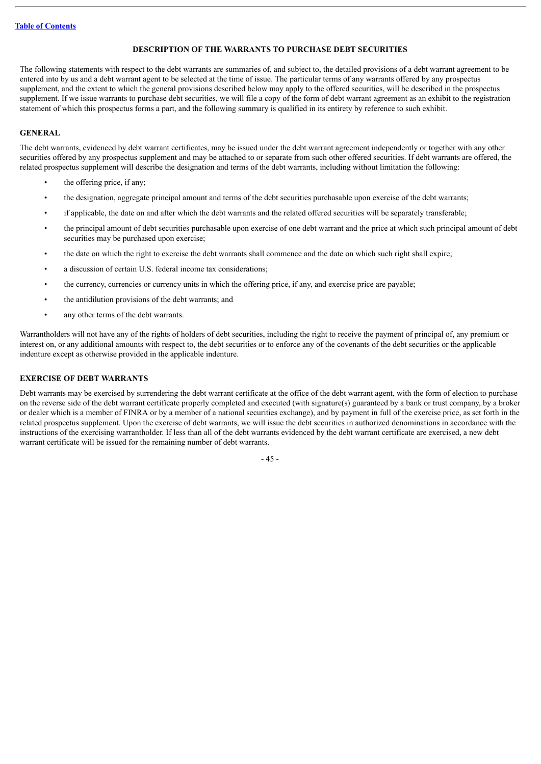## **DESCRIPTION OF THE WARRANTS TO PURCHASE DEBT SECURITIES**

The following statements with respect to the debt warrants are summaries of, and subject to, the detailed provisions of a debt warrant agreement to be entered into by us and a debt warrant agent to be selected at the time of issue. The particular terms of any warrants offered by any prospectus supplement, and the extent to which the general provisions described below may apply to the offered securities, will be described in the prospectus supplement. If we issue warrants to purchase debt securities, we will file a copy of the form of debt warrant agreement as an exhibit to the registration statement of which this prospectus forms a part, and the following summary is qualified in its entirety by reference to such exhibit.

## **GENERAL**

The debt warrants, evidenced by debt warrant certificates, may be issued under the debt warrant agreement independently or together with any other securities offered by any prospectus supplement and may be attached to or separate from such other offered securities. If debt warrants are offered, the related prospectus supplement will describe the designation and terms of the debt warrants, including without limitation the following:

- the offering price, if any;
- the designation, aggregate principal amount and terms of the debt securities purchasable upon exercise of the debt warrants;
- if applicable, the date on and after which the debt warrants and the related offered securities will be separately transferable;
- the principal amount of debt securities purchasable upon exercise of one debt warrant and the price at which such principal amount of debt securities may be purchased upon exercise;
- the date on which the right to exercise the debt warrants shall commence and the date on which such right shall expire;
- a discussion of certain U.S. federal income tax considerations;
- the currency, currencies or currency units in which the offering price, if any, and exercise price are payable;
- the antidilution provisions of the debt warrants; and
- any other terms of the debt warrants.

Warrantholders will not have any of the rights of holders of debt securities, including the right to receive the payment of principal of, any premium or interest on, or any additional amounts with respect to, the debt securities or to enforce any of the covenants of the debt securities or the applicable indenture except as otherwise provided in the applicable indenture.

# **EXERCISE OF DEBT WARRANTS**

Debt warrants may be exercised by surrendering the debt warrant certificate at the office of the debt warrant agent, with the form of election to purchase on the reverse side of the debt warrant certificate properly completed and executed (with signature(s) guaranteed by a bank or trust company, by a broker or dealer which is a member of FINRA or by a member of a national securities exchange), and by payment in full of the exercise price, as set forth in the related prospectus supplement. Upon the exercise of debt warrants, we will issue the debt securities in authorized denominations in accordance with the instructions of the exercising warrantholder. If less than all of the debt warrants evidenced by the debt warrant certificate are exercised, a new debt warrant certificate will be issued for the remaining number of debt warrants.

 $-45 -$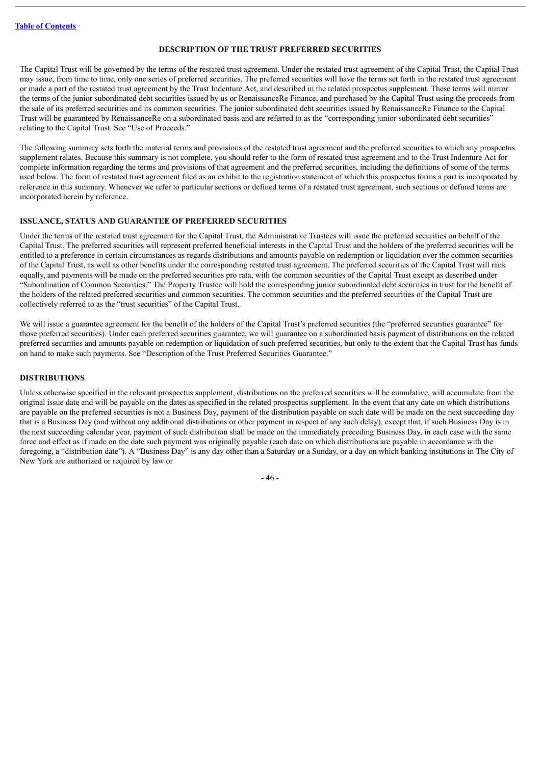### **DESCRIPTION OF THE TRUST PREFERRED SECURITIES**

The Capital Trust will be governed by the terms of the restated trust agreement. Under the restated trust agreement of the Capital Trust, the Capital Trust may issue, from time to time, only one series of preferred securities. The preferred securities will have the terms set forth in the restated trust agreement or made a part of the restated trust agreement by the Trust Indenture Act, and described in the related prospectus supplement. These terms will mirror the terms of the junior subordinated debt securities issued by us or RenaissanceRe Finance, and purchased by the Capital Trust using the proceeds from the sale of its preferred securities and its common securities. The junior subordinated debt securities issued by RenaissanceRe Finance to the Capital Trust will be guaranteed by RenaissanceRe on a subordinated basis and are referred to as the "corresponding junior subordinated debt securities" relating to the Capital Trust. See "Use of Proceeds."

The following summary sets forth the material terms and provisions of the restated trust agreement and the preferred securities to which any prospectus supplement relates. Because this summary is not complete, you should refer to the form of restated trust agreement and to the Trust Indenture Act for complete information regarding the terms and provisions of that agreement and the preferred securities, including the definitions of some of the terms used below. The form of restated trust agreement filed as an exhibit to the registration statement of which this prospectus forms a part is incorporated by reference in this summary. Whenever we refer to particular sections or defined terms of a restated trust agreement, such sections or defined terms are incorporated herein by reference.

#### **ISSUANCE, STATUS AND GUARANTEE OF PREFERRED SECURITIES**

Under the terms of the restated trust agreement for the Capital Trust, the Administrative Trustees will issue the preferred securities on behalf of the Capital Trust. The preferred securities will represent preferred beneficial interests in the Capital Trust and the holders of the preferred securities will be entitled to a preference in certain circumstances as regards distributions and amounts payable on redemption or liquidation over the common securities of the Capital Trust, as well as other benefits under the corresponding restated trust agreement. The preferred securities of the Capital Trust will rank equally, and payments will be made on the preferred securities pro rata, with the common securities of the Capital Trust except as described under "Subordination of Common Securities." The Property Trustee will hold the corresponding junior subordinated debt securities in trust for the benefit of the holders of the related preferred securities and common securities. The common securities and the preferred securities of the Capital Trust are collectively referred to as the "trust securities" of the Capital Trust.

We will issue a guarantee agreement for the benefit of the holders of the Capital Trust's preferred securities (the "preferred securities guarantee" for those preferred securities). Under each preferred securities guarantee, we will guarantee on a subordinated basis payment of distributions on the related preferred securities and amounts payable on redemption or liquidation of such preferred securities, but only to the extent that the Capital Trust has funds on hand to make such payments. See "Description of the Trust Preferred Securities Guarantee."

### **DISTRIBUTIONS**

Unless otherwise specified in the relevant prospectus supplement, distributions on the preferred securities will be cumulative, will accumulate from the original issue date and will be payable on the dates as specified in the related prospectus supplement. In the event that any date on which distributions are payable on the preferred securities is not a Business Day, payment of the distribution payable on such date will be made on the next succeeding day that is a Business Day (and without any additional distributions or other payment in respect of any such delay), except that, if such Business Day is in the next succeeding calendar year, payment of such distribution shall be made on the immediately preceding Business Day, in each case with the same force and effect as if made on the date such payment was originally payable (each date on which distributions are payable in accordance with the foregoing, a "distribution date"). A "Business Day" is any day other than a Saturday or a Sunday, or a day on which banking institutions in The City of New York are authorized or required by law or

- 46 -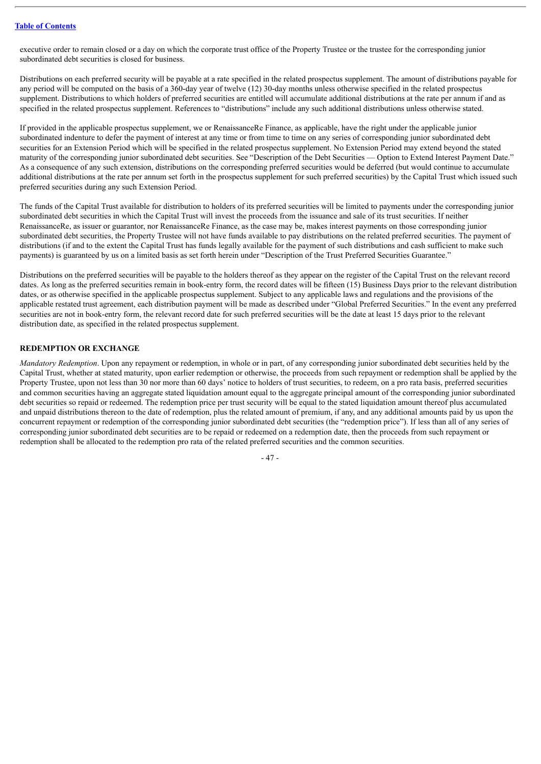executive order to remain closed or a day on which the corporate trust office of the Property Trustee or the trustee for the corresponding junior subordinated debt securities is closed for business.

Distributions on each preferred security will be payable at a rate specified in the related prospectus supplement. The amount of distributions payable for any period will be computed on the basis of a 360-day year of twelve (12) 30-day months unless otherwise specified in the related prospectus supplement. Distributions to which holders of preferred securities are entitled will accumulate additional distributions at the rate per annum if and as specified in the related prospectus supplement. References to "distributions" include any such additional distributions unless otherwise stated.

If provided in the applicable prospectus supplement, we or RenaissanceRe Finance, as applicable, have the right under the applicable junior subordinated indenture to defer the payment of interest at any time or from time to time on any series of corresponding junior subordinated debt securities for an Extension Period which will be specified in the related prospectus supplement. No Extension Period may extend beyond the stated maturity of the corresponding junior subordinated debt securities. See "Description of the Debt Securities — Option to Extend Interest Payment Date." As a consequence of any such extension, distributions on the corresponding preferred securities would be deferred (but would continue to accumulate additional distributions at the rate per annum set forth in the prospectus supplement for such preferred securities) by the Capital Trust which issued such preferred securities during any such Extension Period.

The funds of the Capital Trust available for distribution to holders of its preferred securities will be limited to payments under the corresponding junior subordinated debt securities in which the Capital Trust will invest the proceeds from the issuance and sale of its trust securities. If neither RenaissanceRe, as issuer or guarantor, nor RenaissanceRe Finance, as the case may be, makes interest payments on those corresponding junior subordinated debt securities, the Property Trustee will not have funds available to pay distributions on the related preferred securities. The payment of distributions (if and to the extent the Capital Trust has funds legally available for the payment of such distributions and cash sufficient to make such payments) is guaranteed by us on a limited basis as set forth herein under "Description of the Trust Preferred Securities Guarantee."

Distributions on the preferred securities will be payable to the holders thereof as they appear on the register of the Capital Trust on the relevant record dates. As long as the preferred securities remain in book-entry form, the record dates will be fifteen (15) Business Days prior to the relevant distribution dates, or as otherwise specified in the applicable prospectus supplement. Subject to any applicable laws and regulations and the provisions of the applicable restated trust agreement, each distribution payment will be made as described under "Global Preferred Securities." In the event any preferred securities are not in book-entry form, the relevant record date for such preferred securities will be the date at least 15 days prior to the relevant distribution date, as specified in the related prospectus supplement.

## **REDEMPTION OR EXCHANGE**

*Mandatory Redemption*. Upon any repayment or redemption, in whole or in part, of any corresponding junior subordinated debt securities held by the Capital Trust, whether at stated maturity, upon earlier redemption or otherwise, the proceeds from such repayment or redemption shall be applied by the Property Trustee, upon not less than 30 nor more than 60 days' notice to holders of trust securities, to redeem, on a pro rata basis, preferred securities and common securities having an aggregate stated liquidation amount equal to the aggregate principal amount of the corresponding junior subordinated debt securities so repaid or redeemed. The redemption price per trust security will be equal to the stated liquidation amount thereof plus accumulated and unpaid distributions thereon to the date of redemption, plus the related amount of premium, if any, and any additional amounts paid by us upon the concurrent repayment or redemption of the corresponding junior subordinated debt securities (the "redemption price"). If less than all of any series of corresponding junior subordinated debt securities are to be repaid or redeemed on a redemption date, then the proceeds from such repayment or redemption shall be allocated to the redemption pro rata of the related preferred securities and the common securities.

 $-47$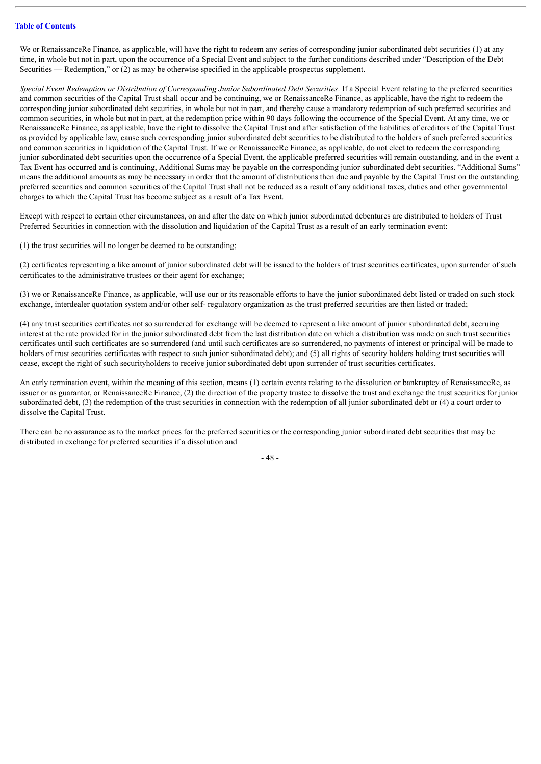We or RenaissanceRe Finance, as applicable, will have the right to redeem any series of corresponding junior subordinated debt securities (1) at any time, in whole but not in part, upon the occurrence of a Special Event and subject to the further conditions described under "Description of the Debt Securities — Redemption," or (2) as may be otherwise specified in the applicable prospectus supplement.

Special Event Redemption or Distribution of Corresponding Junior Subordinated Debt Securities. If a Special Event relating to the preferred securities and common securities of the Capital Trust shall occur and be continuing, we or RenaissanceRe Finance, as applicable, have the right to redeem the corresponding junior subordinated debt securities, in whole but not in part, and thereby cause a mandatory redemption of such preferred securities and common securities, in whole but not in part, at the redemption price within 90 days following the occurrence of the Special Event. At any time, we or RenaissanceRe Finance, as applicable, have the right to dissolve the Capital Trust and after satisfaction of the liabilities of creditors of the Capital Trust as provided by applicable law, cause such corresponding junior subordinated debt securities to be distributed to the holders of such preferred securities and common securities in liquidation of the Capital Trust. If we or RenaissanceRe Finance, as applicable, do not elect to redeem the corresponding junior subordinated debt securities upon the occurrence of a Special Event, the applicable preferred securities will remain outstanding, and in the event a Tax Event has occurred and is continuing, Additional Sums may be payable on the corresponding junior subordinated debt securities. "Additional Sums" means the additional amounts as may be necessary in order that the amount of distributions then due and payable by the Capital Trust on the outstanding preferred securities and common securities of the Capital Trust shall not be reduced as a result of any additional taxes, duties and other governmental charges to which the Capital Trust has become subject as a result of a Tax Event.

Except with respect to certain other circumstances, on and after the date on which junior subordinated debentures are distributed to holders of Trust Preferred Securities in connection with the dissolution and liquidation of the Capital Trust as a result of an early termination event:

(1) the trust securities will no longer be deemed to be outstanding;

(2) certificates representing a like amount of junior subordinated debt will be issued to the holders of trust securities certificates, upon surrender of such certificates to the administrative trustees or their agent for exchange;

(3) we or RenaissanceRe Finance, as applicable, will use our or its reasonable efforts to have the junior subordinated debt listed or traded on such stock exchange, interdealer quotation system and/or other self- regulatory organization as the trust preferred securities are then listed or traded;

(4) any trust securities certificates not so surrendered for exchange will be deemed to represent a like amount of junior subordinated debt, accruing interest at the rate provided for in the junior subordinated debt from the last distribution date on which a distribution was made on such trust securities certificates until such certificates are so surrendered (and until such certificates are so surrendered, no payments of interest or principal will be made to holders of trust securities certificates with respect to such junior subordinated debt); and (5) all rights of security holders holding trust securities will cease, except the right of such securityholders to receive junior subordinated debt upon surrender of trust securities certificates.

An early termination event, within the meaning of this section, means (1) certain events relating to the dissolution or bankruptcy of RenaissanceRe, as issuer or as guarantor, or RenaissanceRe Finance, (2) the direction of the property trustee to dissolve the trust and exchange the trust securities for junior subordinated debt, (3) the redemption of the trust securities in connection with the redemption of all junior subordinated debt or (4) a court order to dissolve the Capital Trust.

There can be no assurance as to the market prices for the preferred securities or the corresponding junior subordinated debt securities that may be distributed in exchange for preferred securities if a dissolution and

- 48 -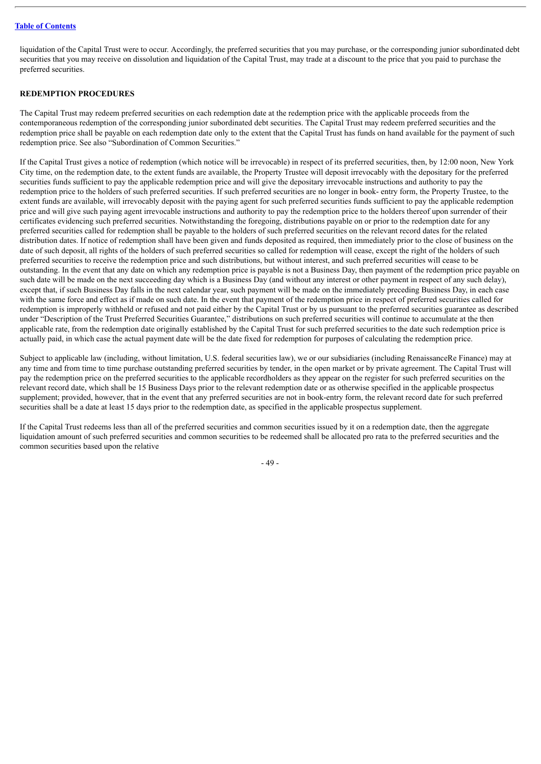liquidation of the Capital Trust were to occur. Accordingly, the preferred securities that you may purchase, or the corresponding junior subordinated debt securities that you may receive on dissolution and liquidation of the Capital Trust, may trade at a discount to the price that you paid to purchase the preferred securities.

# **REDEMPTION PROCEDURES**

The Capital Trust may redeem preferred securities on each redemption date at the redemption price with the applicable proceeds from the contemporaneous redemption of the corresponding junior subordinated debt securities. The Capital Trust may redeem preferred securities and the redemption price shall be payable on each redemption date only to the extent that the Capital Trust has funds on hand available for the payment of such redemption price. See also "Subordination of Common Securities."

If the Capital Trust gives a notice of redemption (which notice will be irrevocable) in respect of its preferred securities, then, by 12:00 noon, New York City time, on the redemption date, to the extent funds are available, the Property Trustee will deposit irrevocably with the depositary for the preferred securities funds sufficient to pay the applicable redemption price and will give the depositary irrevocable instructions and authority to pay the redemption price to the holders of such preferred securities. If such preferred securities are no longer in book- entry form, the Property Trustee, to the extent funds are available, will irrevocably deposit with the paying agent for such preferred securities funds sufficient to pay the applicable redemption price and will give such paying agent irrevocable instructions and authority to pay the redemption price to the holders thereof upon surrender of their certificates evidencing such preferred securities. Notwithstanding the foregoing, distributions payable on or prior to the redemption date for any preferred securities called for redemption shall be payable to the holders of such preferred securities on the relevant record dates for the related distribution dates. If notice of redemption shall have been given and funds deposited as required, then immediately prior to the close of business on the date of such deposit, all rights of the holders of such preferred securities so called for redemption will cease, except the right of the holders of such preferred securities to receive the redemption price and such distributions, but without interest, and such preferred securities will cease to be outstanding. In the event that any date on which any redemption price is payable is not a Business Day, then payment of the redemption price payable on such date will be made on the next succeeding day which is a Business Day (and without any interest or other payment in respect of any such delay), except that, if such Business Day falls in the next calendar year, such payment will be made on the immediately preceding Business Day, in each case with the same force and effect as if made on such date. In the event that payment of the redemption price in respect of preferred securities called for redemption is improperly withheld or refused and not paid either by the Capital Trust or by us pursuant to the preferred securities guarantee as described under "Description of the Trust Preferred Securities Guarantee," distributions on such preferred securities will continue to accumulate at the then applicable rate, from the redemption date originally established by the Capital Trust for such preferred securities to the date such redemption price is actually paid, in which case the actual payment date will be the date fixed for redemption for purposes of calculating the redemption price.

Subject to applicable law (including, without limitation, U.S. federal securities law), we or our subsidiaries (including RenaissanceRe Finance) may at any time and from time to time purchase outstanding preferred securities by tender, in the open market or by private agreement. The Capital Trust will pay the redemption price on the preferred securities to the applicable recordholders as they appear on the register for such preferred securities on the relevant record date, which shall be 15 Business Days prior to the relevant redemption date or as otherwise specified in the applicable prospectus supplement; provided, however, that in the event that any preferred securities are not in book-entry form, the relevant record date for such preferred securities shall be a date at least 15 days prior to the redemption date, as specified in the applicable prospectus supplement.

If the Capital Trust redeems less than all of the preferred securities and common securities issued by it on a redemption date, then the aggregate liquidation amount of such preferred securities and common securities to be redeemed shall be allocated pro rata to the preferred securities and the common securities based upon the relative

- 49 -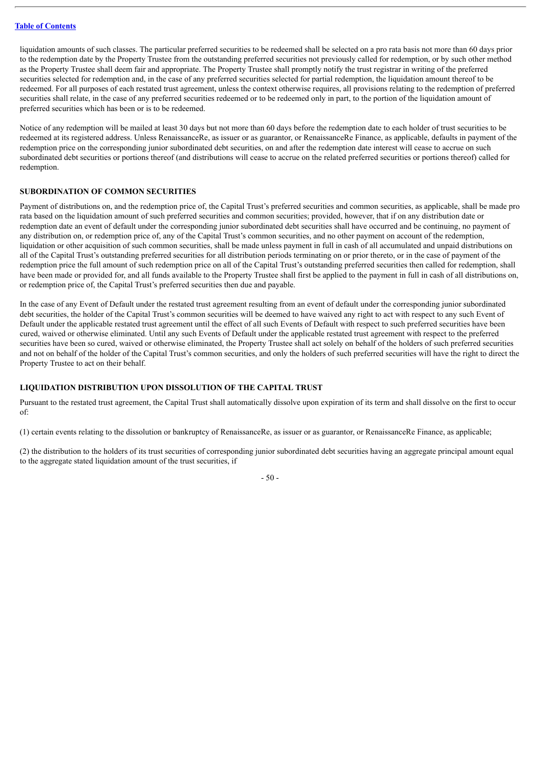liquidation amounts of such classes. The particular preferred securities to be redeemed shall be selected on a pro rata basis not more than 60 days prior to the redemption date by the Property Trustee from the outstanding preferred securities not previously called for redemption, or by such other method as the Property Trustee shall deem fair and appropriate. The Property Trustee shall promptly notify the trust registrar in writing of the preferred securities selected for redemption and, in the case of any preferred securities selected for partial redemption, the liquidation amount thereof to be redeemed. For all purposes of each restated trust agreement, unless the context otherwise requires, all provisions relating to the redemption of preferred securities shall relate, in the case of any preferred securities redeemed or to be redeemed only in part, to the portion of the liquidation amount of preferred securities which has been or is to be redeemed.

Notice of any redemption will be mailed at least 30 days but not more than 60 days before the redemption date to each holder of trust securities to be redeemed at its registered address. Unless RenaissanceRe, as issuer or as guarantor, or RenaissanceRe Finance, as applicable, defaults in payment of the redemption price on the corresponding junior subordinated debt securities, on and after the redemption date interest will cease to accrue on such subordinated debt securities or portions thereof (and distributions will cease to accrue on the related preferred securities or portions thereof) called for redemption.

## **SUBORDINATION OF COMMON SECURITIES**

Payment of distributions on, and the redemption price of, the Capital Trust's preferred securities and common securities, as applicable, shall be made pro rata based on the liquidation amount of such preferred securities and common securities; provided, however, that if on any distribution date or redemption date an event of default under the corresponding junior subordinated debt securities shall have occurred and be continuing, no payment of any distribution on, or redemption price of, any of the Capital Trust's common securities, and no other payment on account of the redemption, liquidation or other acquisition of such common securities, shall be made unless payment in full in cash of all accumulated and unpaid distributions on all of the Capital Trust's outstanding preferred securities for all distribution periods terminating on or prior thereto, or in the case of payment of the redemption price the full amount of such redemption price on all of the Capital Trust's outstanding preferred securities then called for redemption, shall have been made or provided for, and all funds available to the Property Trustee shall first be applied to the payment in full in cash of all distributions on, or redemption price of, the Capital Trust's preferred securities then due and payable.

In the case of any Event of Default under the restated trust agreement resulting from an event of default under the corresponding junior subordinated debt securities, the holder of the Capital Trust's common securities will be deemed to have waived any right to act with respect to any such Event of Default under the applicable restated trust agreement until the effect of all such Events of Default with respect to such preferred securities have been cured, waived or otherwise eliminated. Until any such Events of Default under the applicable restated trust agreement with respect to the preferred securities have been so cured, waived or otherwise eliminated, the Property Trustee shall act solely on behalf of the holders of such preferred securities and not on behalf of the holder of the Capital Trust's common securities, and only the holders of such preferred securities will have the right to direct the Property Trustee to act on their behalf.

# **LIQUIDATION DISTRIBUTION UPON DISSOLUTION OF THE CAPITAL TRUST**

Pursuant to the restated trust agreement, the Capital Trust shall automatically dissolve upon expiration of its term and shall dissolve on the first to occur of:

(1) certain events relating to the dissolution or bankruptcy of RenaissanceRe, as issuer or as guarantor, or RenaissanceRe Finance, as applicable;

(2) the distribution to the holders of its trust securities of corresponding junior subordinated debt securities having an aggregate principal amount equal to the aggregate stated liquidation amount of the trust securities, if

- 50 -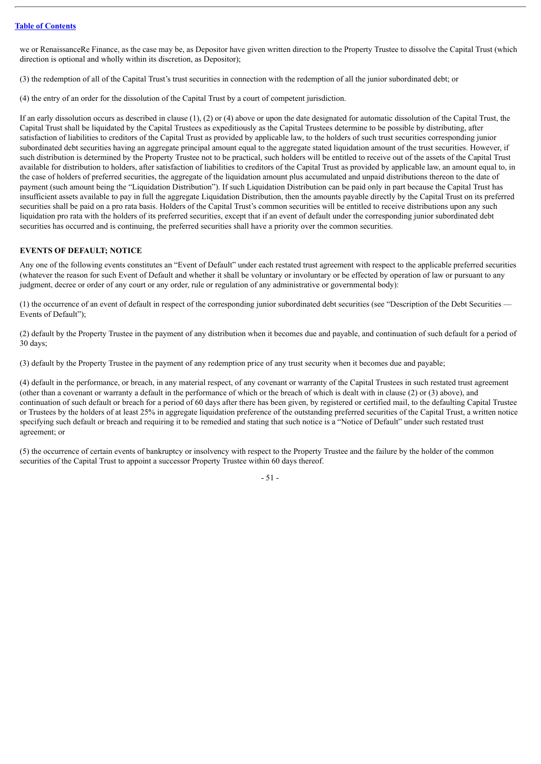we or RenaissanceRe Finance, as the case may be, as Depositor have given written direction to the Property Trustee to dissolve the Capital Trust (which direction is optional and wholly within its discretion, as Depositor);

(3) the redemption of all of the Capital Trust's trust securities in connection with the redemption of all the junior subordinated debt; or

(4) the entry of an order for the dissolution of the Capital Trust by a court of competent jurisdiction.

If an early dissolution occurs as described in clause (1), (2) or (4) above or upon the date designated for automatic dissolution of the Capital Trust, the Capital Trust shall be liquidated by the Capital Trustees as expeditiously as the Capital Trustees determine to be possible by distributing, after satisfaction of liabilities to creditors of the Capital Trust as provided by applicable law, to the holders of such trust securities corresponding junior subordinated debt securities having an aggregate principal amount equal to the aggregate stated liquidation amount of the trust securities. However, if such distribution is determined by the Property Trustee not to be practical, such holders will be entitled to receive out of the assets of the Capital Trust available for distribution to holders, after satisfaction of liabilities to creditors of the Capital Trust as provided by applicable law, an amount equal to, in the case of holders of preferred securities, the aggregate of the liquidation amount plus accumulated and unpaid distributions thereon to the date of payment (such amount being the "Liquidation Distribution"). If such Liquidation Distribution can be paid only in part because the Capital Trust has insufficient assets available to pay in full the aggregate Liquidation Distribution, then the amounts payable directly by the Capital Trust on its preferred securities shall be paid on a pro rata basis. Holders of the Capital Trust's common securities will be entitled to receive distributions upon any such liquidation pro rata with the holders of its preferred securities, except that if an event of default under the corresponding junior subordinated debt securities has occurred and is continuing, the preferred securities shall have a priority over the common securities.

## **EVENTS OF DEFAULT; NOTICE**

Any one of the following events constitutes an "Event of Default" under each restated trust agreement with respect to the applicable preferred securities (whatever the reason for such Event of Default and whether it shall be voluntary or involuntary or be effected by operation of law or pursuant to any judgment, decree or order of any court or any order, rule or regulation of any administrative or governmental body):

(1) the occurrence of an event of default in respect of the corresponding junior subordinated debt securities (see "Description of the Debt Securities — Events of Default"):

(2) default by the Property Trustee in the payment of any distribution when it becomes due and payable, and continuation of such default for a period of 30 days;

(3) default by the Property Trustee in the payment of any redemption price of any trust security when it becomes due and payable;

(4) default in the performance, or breach, in any material respect, of any covenant or warranty of the Capital Trustees in such restated trust agreement (other than a covenant or warranty a default in the performance of which or the breach of which is dealt with in clause (2) or (3) above), and continuation of such default or breach for a period of 60 days after there has been given, by registered or certified mail, to the defaulting Capital Trustee or Trustees by the holders of at least 25% in aggregate liquidation preference of the outstanding preferred securities of the Capital Trust, a written notice specifying such default or breach and requiring it to be remedied and stating that such notice is a "Notice of Default" under such restated trust agreement; or

(5) the occurrence of certain events of bankruptcy or insolvency with respect to the Property Trustee and the failure by the holder of the common securities of the Capital Trust to appoint a successor Property Trustee within 60 days thereof.

 $-51$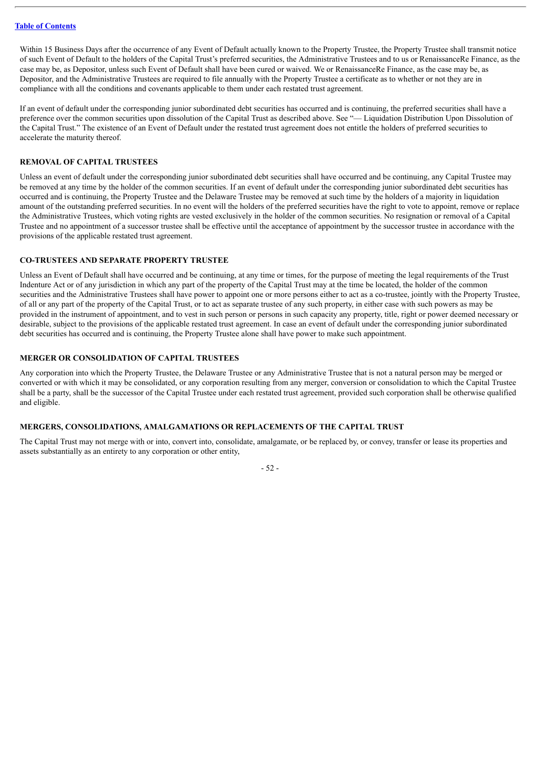Within 15 Business Days after the occurrence of any Event of Default actually known to the Property Trustee, the Property Trustee shall transmit notice of such Event of Default to the holders of the Capital Trust's preferred securities, the Administrative Trustees and to us or RenaissanceRe Finance, as the case may be, as Depositor, unless such Event of Default shall have been cured or waived. We or RenaissanceRe Finance, as the case may be, as Depositor, and the Administrative Trustees are required to file annually with the Property Trustee a certificate as to whether or not they are in compliance with all the conditions and covenants applicable to them under each restated trust agreement.

If an event of default under the corresponding junior subordinated debt securities has occurred and is continuing, the preferred securities shall have a preference over the common securities upon dissolution of the Capital Trust as described above. See "— Liquidation Distribution Upon Dissolution of the Capital Trust." The existence of an Event of Default under the restated trust agreement does not entitle the holders of preferred securities to accelerate the maturity thereof.

#### **REMOVAL OF CAPITAL TRUSTEES**

Unless an event of default under the corresponding junior subordinated debt securities shall have occurred and be continuing, any Capital Trustee may be removed at any time by the holder of the common securities. If an event of default under the corresponding junior subordinated debt securities has occurred and is continuing, the Property Trustee and the Delaware Trustee may be removed at such time by the holders of a majority in liquidation amount of the outstanding preferred securities. In no event will the holders of the preferred securities have the right to vote to appoint, remove or replace the Administrative Trustees, which voting rights are vested exclusively in the holder of the common securities. No resignation or removal of a Capital Trustee and no appointment of a successor trustee shall be effective until the acceptance of appointment by the successor trustee in accordance with the provisions of the applicable restated trust agreement.

#### **CO-TRUSTEES AND SEPARATE PROPERTY TRUSTEE**

Unless an Event of Default shall have occurred and be continuing, at any time or times, for the purpose of meeting the legal requirements of the Trust Indenture Act or of any jurisdiction in which any part of the property of the Capital Trust may at the time be located, the holder of the common securities and the Administrative Trustees shall have power to appoint one or more persons either to act as a co-trustee, jointly with the Property Trustee, of all or any part of the property of the Capital Trust, or to act as separate trustee of any such property, in either case with such powers as may be provided in the instrument of appointment, and to vest in such person or persons in such capacity any property, title, right or power deemed necessary or desirable, subject to the provisions of the applicable restated trust agreement. In case an event of default under the corresponding junior subordinated debt securities has occurred and is continuing, the Property Trustee alone shall have power to make such appointment.

#### **MERGER OR CONSOLIDATION OF CAPITAL TRUSTEES**

Any corporation into which the Property Trustee, the Delaware Trustee or any Administrative Trustee that is not a natural person may be merged or converted or with which it may be consolidated, or any corporation resulting from any merger, conversion or consolidation to which the Capital Trustee shall be a party, shall be the successor of the Capital Trustee under each restated trust agreement, provided such corporation shall be otherwise qualified and eligible.

# **MERGERS, CONSOLIDATIONS, AMALGAMATIONS OR REPLACEMENTS OF THE CAPITAL TRUST**

The Capital Trust may not merge with or into, convert into, consolidate, amalgamate, or be replaced by, or convey, transfer or lease its properties and assets substantially as an entirety to any corporation or other entity,

- 52 -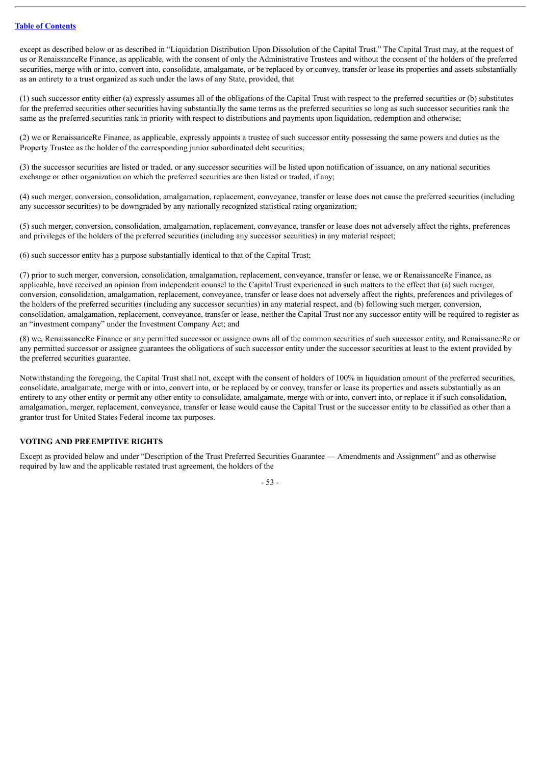except as described below or as described in "Liquidation Distribution Upon Dissolution of the Capital Trust." The Capital Trust may, at the request of us or RenaissanceRe Finance, as applicable, with the consent of only the Administrative Trustees and without the consent of the holders of the preferred securities, merge with or into, convert into, consolidate, amalgamate, or be replaced by or convey, transfer or lease its properties and assets substantially as an entirety to a trust organized as such under the laws of any State, provided, that

(1) such successor entity either (a) expressly assumes all of the obligations of the Capital Trust with respect to the preferred securities or (b) substitutes for the preferred securities other securities having substantially the same terms as the preferred securities so long as such successor securities rank the same as the preferred securities rank in priority with respect to distributions and payments upon liquidation, redemption and otherwise;

(2) we or RenaissanceRe Finance, as applicable, expressly appoints a trustee of such successor entity possessing the same powers and duties as the Property Trustee as the holder of the corresponding junior subordinated debt securities;

(3) the successor securities are listed or traded, or any successor securities will be listed upon notification of issuance, on any national securities exchange or other organization on which the preferred securities are then listed or traded, if any;

(4) such merger, conversion, consolidation, amalgamation, replacement, conveyance, transfer or lease does not cause the preferred securities (including any successor securities) to be downgraded by any nationally recognized statistical rating organization;

(5) such merger, conversion, consolidation, amalgamation, replacement, conveyance, transfer or lease does not adversely affect the rights, preferences and privileges of the holders of the preferred securities (including any successor securities) in any material respect;

(6) such successor entity has a purpose substantially identical to that of the Capital Trust;

(7) prior to such merger, conversion, consolidation, amalgamation, replacement, conveyance, transfer or lease, we or RenaissanceRe Finance, as applicable, have received an opinion from independent counsel to the Capital Trust experienced in such matters to the effect that (a) such merger, conversion, consolidation, amalgamation, replacement, conveyance, transfer or lease does not adversely affect the rights, preferences and privileges of the holders of the preferred securities (including any successor securities) in any material respect, and (b) following such merger, conversion, consolidation, amalgamation, replacement, conveyance, transfer or lease, neither the Capital Trust nor any successor entity will be required to register as an "investment company" under the Investment Company Act; and

(8) we, RenaissanceRe Finance or any permitted successor or assignee owns all of the common securities of such successor entity, and RenaissanceRe or any permitted successor or assignee guarantees the obligations of such successor entity under the successor securities at least to the extent provided by the preferred securities guarantee.

Notwithstanding the foregoing, the Capital Trust shall not, except with the consent of holders of 100% in liquidation amount of the preferred securities, consolidate, amalgamate, merge with or into, convert into, or be replaced by or convey, transfer or lease its properties and assets substantially as an entirety to any other entity or permit any other entity to consolidate, amalgamate, merge with or into, convert into, or replace it if such consolidation, amalgamation, merger, replacement, conveyance, transfer or lease would cause the Capital Trust or the successor entity to be classified as other than a grantor trust for United States Federal income tax purposes.

# **VOTING AND PREEMPTIVE RIGHTS**

Except as provided below and under "Description of the Trust Preferred Securities Guarantee — Amendments and Assignment" and as otherwise required by law and the applicable restated trust agreement, the holders of the

- 53 -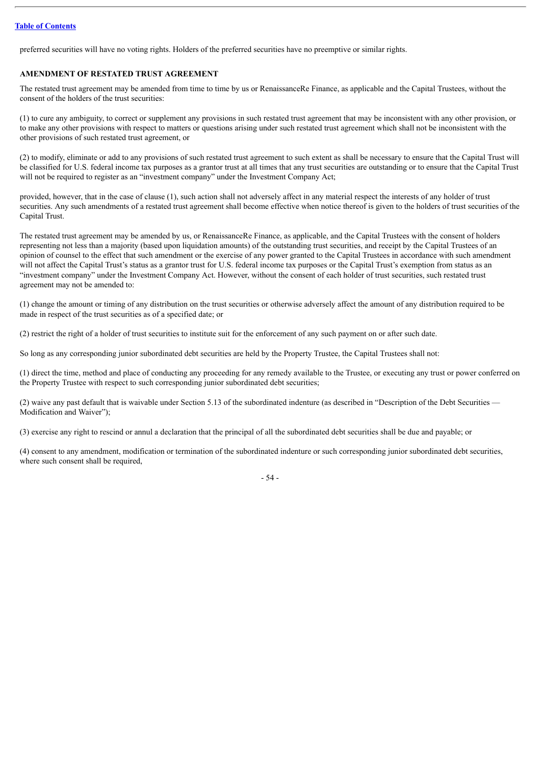preferred securities will have no voting rights. Holders of the preferred securities have no preemptive or similar rights.

## **AMENDMENT OF RESTATED TRUST AGREEMENT**

The restated trust agreement may be amended from time to time by us or RenaissanceRe Finance, as applicable and the Capital Trustees, without the consent of the holders of the trust securities:

(1) to cure any ambiguity, to correct or supplement any provisions in such restated trust agreement that may be inconsistent with any other provision, or to make any other provisions with respect to matters or questions arising under such restated trust agreement which shall not be inconsistent with the other provisions of such restated trust agreement, or

(2) to modify, eliminate or add to any provisions of such restated trust agreement to such extent as shall be necessary to ensure that the Capital Trust will be classified for U.S. federal income tax purposes as a grantor trust at all times that any trust securities are outstanding or to ensure that the Capital Trust will not be required to register as an "investment company" under the Investment Company Act;

provided, however, that in the case of clause (1), such action shall not adversely affect in any material respect the interests of any holder of trust securities. Any such amendments of a restated trust agreement shall become effective when notice thereof is given to the holders of trust securities of the Capital Trust.

The restated trust agreement may be amended by us, or RenaissanceRe Finance, as applicable, and the Capital Trustees with the consent of holders representing not less than a majority (based upon liquidation amounts) of the outstanding trust securities, and receipt by the Capital Trustees of an opinion of counsel to the effect that such amendment or the exercise of any power granted to the Capital Trustees in accordance with such amendment will not affect the Capital Trust's status as a grantor trust for U.S. federal income tax purposes or the Capital Trust's exemption from status as an "investment company" under the Investment Company Act. However, without the consent of each holder of trust securities, such restated trust agreement may not be amended to:

(1) change the amount or timing of any distribution on the trust securities or otherwise adversely affect the amount of any distribution required to be made in respect of the trust securities as of a specified date; or

(2) restrict the right of a holder of trust securities to institute suit for the enforcement of any such payment on or after such date.

So long as any corresponding junior subordinated debt securities are held by the Property Trustee, the Capital Trustees shall not:

(1) direct the time, method and place of conducting any proceeding for any remedy available to the Trustee, or executing any trust or power conferred on the Property Trustee with respect to such corresponding junior subordinated debt securities;

(2) waive any past default that is waivable under Section 5.13 of the subordinated indenture (as described in "Description of the Debt Securities — Modification and Waiver");

(3) exercise any right to rescind or annul a declaration that the principal of all the subordinated debt securities shall be due and payable; or

(4) consent to any amendment, modification or termination of the subordinated indenture or such corresponding junior subordinated debt securities, where such consent shall be required,

- 54 -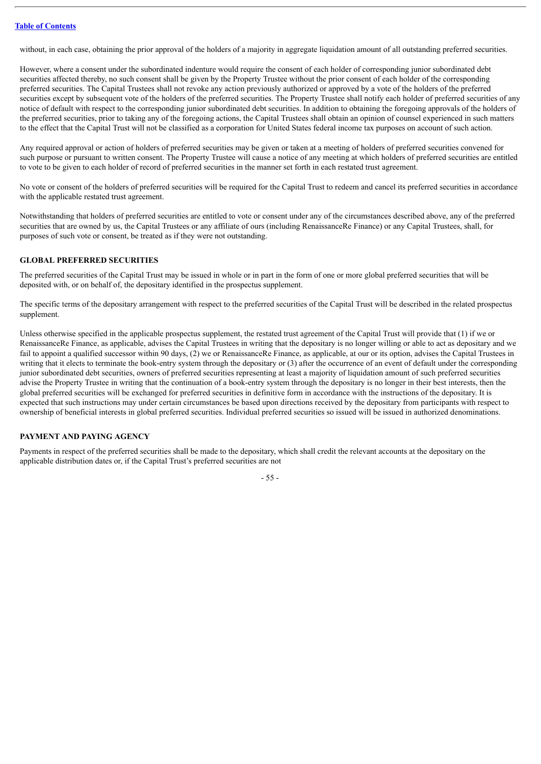without, in each case, obtaining the prior approval of the holders of a majority in aggregate liquidation amount of all outstanding preferred securities.

However, where a consent under the subordinated indenture would require the consent of each holder of corresponding junior subordinated debt securities affected thereby, no such consent shall be given by the Property Trustee without the prior consent of each holder of the corresponding preferred securities. The Capital Trustees shall not revoke any action previously authorized or approved by a vote of the holders of the preferred securities except by subsequent vote of the holders of the preferred securities. The Property Trustee shall notify each holder of preferred securities of any notice of default with respect to the corresponding junior subordinated debt securities. In addition to obtaining the foregoing approvals of the holders of the preferred securities, prior to taking any of the foregoing actions, the Capital Trustees shall obtain an opinion of counsel experienced in such matters to the effect that the Capital Trust will not be classified as a corporation for United States federal income tax purposes on account of such action.

Any required approval or action of holders of preferred securities may be given or taken at a meeting of holders of preferred securities convened for such purpose or pursuant to written consent. The Property Trustee will cause a notice of any meeting at which holders of preferred securities are entitled to vote to be given to each holder of record of preferred securities in the manner set forth in each restated trust agreement.

No vote or consent of the holders of preferred securities will be required for the Capital Trust to redeem and cancel its preferred securities in accordance with the applicable restated trust agreement.

Notwithstanding that holders of preferred securities are entitled to vote or consent under any of the circumstances described above, any of the preferred securities that are owned by us, the Capital Trustees or any affiliate of ours (including RenaissanceRe Finance) or any Capital Trustees, shall, for purposes of such vote or consent, be treated as if they were not outstanding.

## **GLOBAL PREFERRED SECURITIES**

The preferred securities of the Capital Trust may be issued in whole or in part in the form of one or more global preferred securities that will be deposited with, or on behalf of, the depositary identified in the prospectus supplement.

The specific terms of the depositary arrangement with respect to the preferred securities of the Capital Trust will be described in the related prospectus supplement.

Unless otherwise specified in the applicable prospectus supplement, the restated trust agreement of the Capital Trust will provide that (1) if we or RenaissanceRe Finance, as applicable, advises the Capital Trustees in writing that the depositary is no longer willing or able to act as depositary and we fail to appoint a qualified successor within 90 days, (2) we or RenaissanceRe Finance, as applicable, at our or its option, advises the Capital Trustees in writing that it elects to terminate the book-entry system through the depositary or (3) after the occurrence of an event of default under the corresponding junior subordinated debt securities, owners of preferred securities representing at least a majority of liquidation amount of such preferred securities advise the Property Trustee in writing that the continuation of a book-entry system through the depositary is no longer in their best interests, then the global preferred securities will be exchanged for preferred securities in definitive form in accordance with the instructions of the depositary. It is expected that such instructions may under certain circumstances be based upon directions received by the depositary from participants with respect to ownership of beneficial interests in global preferred securities. Individual preferred securities so issued will be issued in authorized denominations.

# **PAYMENT AND PAYING AGENCY**

Payments in respect of the preferred securities shall be made to the depositary, which shall credit the relevant accounts at the depositary on the applicable distribution dates or, if the Capital Trust's preferred securities are not

- 55 -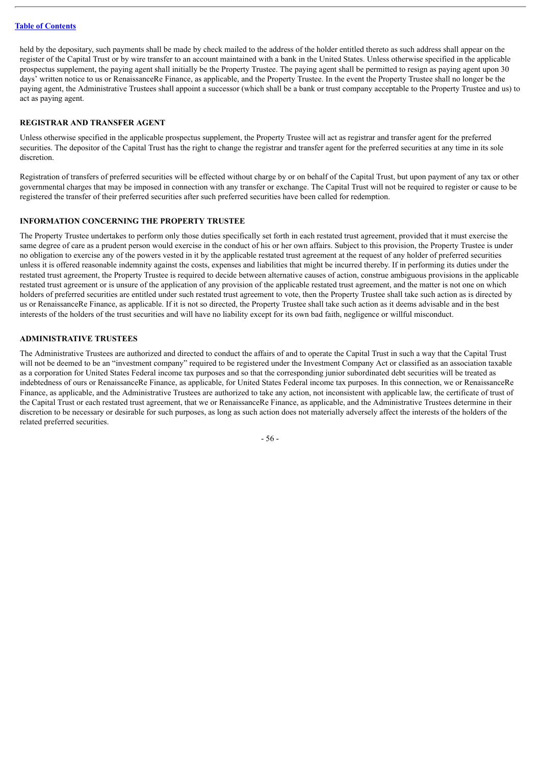held by the depositary, such payments shall be made by check mailed to the address of the holder entitled thereto as such address shall appear on the register of the Capital Trust or by wire transfer to an account maintained with a bank in the United States. Unless otherwise specified in the applicable prospectus supplement, the paying agent shall initially be the Property Trustee. The paying agent shall be permitted to resign as paying agent upon 30 days' written notice to us or RenaissanceRe Finance, as applicable, and the Property Trustee. In the event the Property Trustee shall no longer be the paying agent, the Administrative Trustees shall appoint a successor (which shall be a bank or trust company acceptable to the Property Trustee and us) to act as paying agent.

## **REGISTRAR AND TRANSFER AGENT**

Unless otherwise specified in the applicable prospectus supplement, the Property Trustee will act as registrar and transfer agent for the preferred securities. The depositor of the Capital Trust has the right to change the registrar and transfer agent for the preferred securities at any time in its sole discretion.

Registration of transfers of preferred securities will be effected without charge by or on behalf of the Capital Trust, but upon payment of any tax or other governmental charges that may be imposed in connection with any transfer or exchange. The Capital Trust will not be required to register or cause to be registered the transfer of their preferred securities after such preferred securities have been called for redemption.

# **INFORMATION CONCERNING THE PROPERTY TRUSTEE**

The Property Trustee undertakes to perform only those duties specifically set forth in each restated trust agreement, provided that it must exercise the same degree of care as a prudent person would exercise in the conduct of his or her own affairs. Subject to this provision, the Property Trustee is under no obligation to exercise any of the powers vested in it by the applicable restated trust agreement at the request of any holder of preferred securities unless it is offered reasonable indemnity against the costs, expenses and liabilities that might be incurred thereby. If in performing its duties under the restated trust agreement, the Property Trustee is required to decide between alternative causes of action, construe ambiguous provisions in the applicable restated trust agreement or is unsure of the application of any provision of the applicable restated trust agreement, and the matter is not one on which holders of preferred securities are entitled under such restated trust agreement to vote, then the Property Trustee shall take such action as is directed by us or RenaissanceRe Finance, as applicable. If it is not so directed, the Property Trustee shall take such action as it deems advisable and in the best interests of the holders of the trust securities and will have no liability except for its own bad faith, negligence or willful misconduct.

#### **ADMINISTRATIVE TRUSTEES**

The Administrative Trustees are authorized and directed to conduct the affairs of and to operate the Capital Trust in such a way that the Capital Trust will not be deemed to be an "investment company" required to be registered under the Investment Company Act or classified as an association taxable as a corporation for United States Federal income tax purposes and so that the corresponding junior subordinated debt securities will be treated as indebtedness of ours or RenaissanceRe Finance, as applicable, for United States Federal income tax purposes. In this connection, we or RenaissanceRe Finance, as applicable, and the Administrative Trustees are authorized to take any action, not inconsistent with applicable law, the certificate of trust of the Capital Trust or each restated trust agreement, that we or RenaissanceRe Finance, as applicable, and the Administrative Trustees determine in their discretion to be necessary or desirable for such purposes, as long as such action does not materially adversely affect the interests of the holders of the related preferred securities.

- 56 -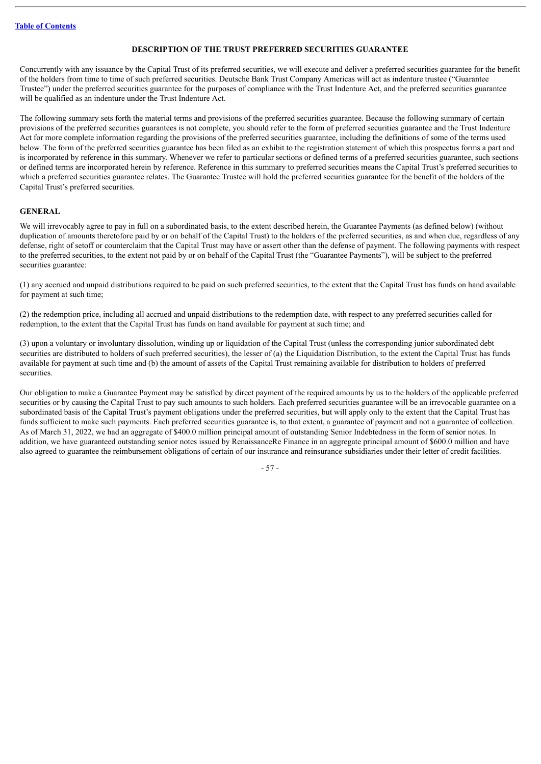## **DESCRIPTION OF THE TRUST PREFERRED SECURITIES GUARANTEE**

Concurrently with any issuance by the Capital Trust of its preferred securities, we will execute and deliver a preferred securities guarantee for the benefit of the holders from time to time of such preferred securities. Deutsche Bank Trust Company Americas will act as indenture trustee ("Guarantee Trustee") under the preferred securities guarantee for the purposes of compliance with the Trust Indenture Act, and the preferred securities guarantee will be qualified as an indenture under the Trust Indenture Act.

The following summary sets forth the material terms and provisions of the preferred securities guarantee. Because the following summary of certain provisions of the preferred securities guarantees is not complete, you should refer to the form of preferred securities guarantee and the Trust Indenture Act for more complete information regarding the provisions of the preferred securities guarantee, including the definitions of some of the terms used below. The form of the preferred securities guarantee has been filed as an exhibit to the registration statement of which this prospectus forms a part and is incorporated by reference in this summary. Whenever we refer to particular sections or defined terms of a preferred securities guarantee, such sections or defined terms are incorporated herein by reference. Reference in this summary to preferred securities means the Capital Trust's preferred securities to which a preferred securities guarantee relates. The Guarantee Trustee will hold the preferred securities guarantee for the benefit of the holders of the Capital Trust's preferred securities.

## **GENERAL**

We will irrevocably agree to pay in full on a subordinated basis, to the extent described herein, the Guarantee Payments (as defined below) (without duplication of amounts theretofore paid by or on behalf of the Capital Trust) to the holders of the preferred securities, as and when due, regardless of any defense, right of setoff or counterclaim that the Capital Trust may have or assert other than the defense of payment. The following payments with respect to the preferred securities, to the extent not paid by or on behalf of the Capital Trust (the "Guarantee Payments"), will be subject to the preferred securities guarantee:

(1) any accrued and unpaid distributions required to be paid on such preferred securities, to the extent that the Capital Trust has funds on hand available for payment at such time;

(2) the redemption price, including all accrued and unpaid distributions to the redemption date, with respect to any preferred securities called for redemption, to the extent that the Capital Trust has funds on hand available for payment at such time; and

(3) upon a voluntary or involuntary dissolution, winding up or liquidation of the Capital Trust (unless the corresponding junior subordinated debt securities are distributed to holders of such preferred securities), the lesser of (a) the Liquidation Distribution, to the extent the Capital Trust has funds available for payment at such time and (b) the amount of assets of the Capital Trust remaining available for distribution to holders of preferred securities.

Our obligation to make a Guarantee Payment may be satisfied by direct payment of the required amounts by us to the holders of the applicable preferred securities or by causing the Capital Trust to pay such amounts to such holders. Each preferred securities guarantee will be an irrevocable guarantee on a subordinated basis of the Capital Trust's payment obligations under the preferred securities, but will apply only to the extent that the Capital Trust has funds sufficient to make such payments. Each preferred securities guarantee is, to that extent, a guarantee of payment and not a guarantee of collection. As of March 31, 2022, we had an aggregate of \$400.0 million principal amount of outstanding Senior Indebtedness in the form of senior notes. In addition, we have guaranteed outstanding senior notes issued by RenaissanceRe Finance in an aggregate principal amount of \$600.0 million and have also agreed to guarantee the reimbursement obligations of certain of our insurance and reinsurance subsidiaries under their letter of credit facilities.

- 57 -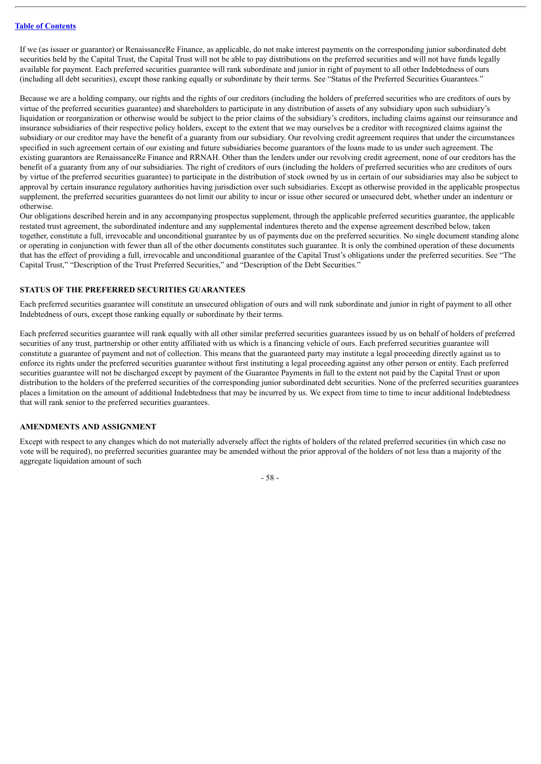If we (as issuer or guarantor) or RenaissanceRe Finance, as applicable, do not make interest payments on the corresponding junior subordinated debt securities held by the Capital Trust, the Capital Trust will not be able to pay distributions on the preferred securities and will not have funds legally available for payment. Each preferred securities guarantee will rank subordinate and junior in right of payment to all other Indebtedness of ours (including all debt securities), except those ranking equally or subordinate by their terms. See "Status of the Preferred Securities Guarantees."

Because we are a holding company, our rights and the rights of our creditors (including the holders of preferred securities who are creditors of ours by virtue of the preferred securities guarantee) and shareholders to participate in any distribution of assets of any subsidiary upon such subsidiary's liquidation or reorganization or otherwise would be subject to the prior claims of the subsidiary's creditors, including claims against our reinsurance and insurance subsidiaries of their respective policy holders, except to the extent that we may ourselves be a creditor with recognized claims against the subsidiary or our creditor may have the benefit of a guaranty from our subsidiary. Our revolving credit agreement requires that under the circumstances specified in such agreement certain of our existing and future subsidiaries become guarantors of the loans made to us under such agreement. The existing guarantors are RenaissanceRe Finance and RRNAH. Other than the lenders under our revolving credit agreement, none of our creditors has the benefit of a guaranty from any of our subsidiaries. The right of creditors of ours (including the holders of preferred securities who are creditors of ours by virtue of the preferred securities guarantee) to participate in the distribution of stock owned by us in certain of our subsidiaries may also be subject to approval by certain insurance regulatory authorities having jurisdiction over such subsidiaries. Except as otherwise provided in the applicable prospectus supplement, the preferred securities guarantees do not limit our ability to incur or issue other secured or unsecured debt, whether under an indenture or otherwise.

Our obligations described herein and in any accompanying prospectus supplement, through the applicable preferred securities guarantee, the applicable restated trust agreement, the subordinated indenture and any supplemental indentures thereto and the expense agreement described below, taken together, constitute a full, irrevocable and unconditional guarantee by us of payments due on the preferred securities. No single document standing alone or operating in conjunction with fewer than all of the other documents constitutes such guarantee. It is only the combined operation of these documents that has the effect of providing a full, irrevocable and unconditional guarantee of the Capital Trust's obligations under the preferred securities. See "The Capital Trust," "Description of the Trust Preferred Securities," and "Description of the Debt Securities."

#### **STATUS OF THE PREFERRED SECURITIES GUARANTEES**

Each preferred securities guarantee will constitute an unsecured obligation of ours and will rank subordinate and junior in right of payment to all other Indebtedness of ours, except those ranking equally or subordinate by their terms.

Each preferred securities guarantee will rank equally with all other similar preferred securities guarantees issued by us on behalf of holders of preferred securities of any trust, partnership or other entity affiliated with us which is a financing vehicle of ours. Each preferred securities guarantee will constitute a guarantee of payment and not of collection. This means that the guaranteed party may institute a legal proceeding directly against us to enforce its rights under the preferred securities guarantee without first instituting a legal proceeding against any other person or entity. Each preferred securities guarantee will not be discharged except by payment of the Guarantee Payments in full to the extent not paid by the Capital Trust or upon distribution to the holders of the preferred securities of the corresponding junior subordinated debt securities. None of the preferred securities guarantees places a limitation on the amount of additional Indebtedness that may be incurred by us. We expect from time to time to incur additional Indebtedness that will rank senior to the preferred securities guarantees.

# **AMENDMENTS AND ASSIGNMENT**

Except with respect to any changes which do not materially adversely affect the rights of holders of the related preferred securities (in which case no vote will be required), no preferred securities guarantee may be amended without the prior approval of the holders of not less than a majority of the aggregate liquidation amount of such

- 58 -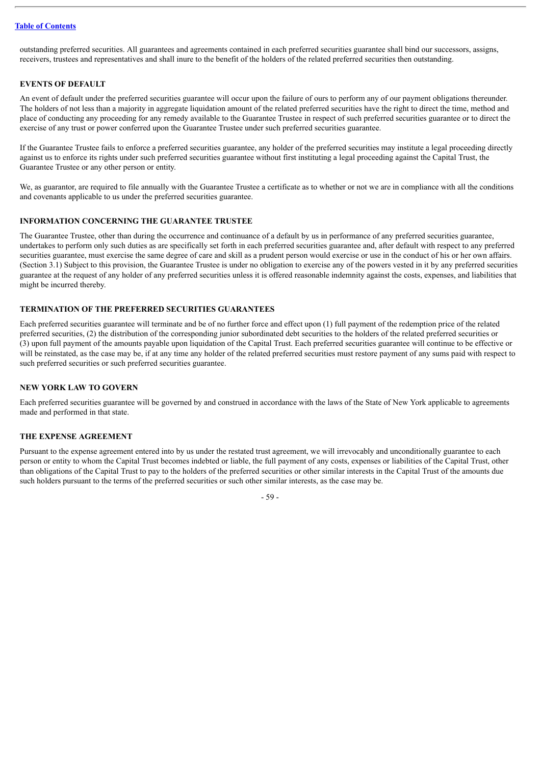outstanding preferred securities. All guarantees and agreements contained in each preferred securities guarantee shall bind our successors, assigns, receivers, trustees and representatives and shall inure to the benefit of the holders of the related preferred securities then outstanding.

## **EVENTS OF DEFAULT**

An event of default under the preferred securities guarantee will occur upon the failure of ours to perform any of our payment obligations thereunder. The holders of not less than a majority in aggregate liquidation amount of the related preferred securities have the right to direct the time, method and place of conducting any proceeding for any remedy available to the Guarantee Trustee in respect of such preferred securities guarantee or to direct the exercise of any trust or power conferred upon the Guarantee Trustee under such preferred securities guarantee.

If the Guarantee Trustee fails to enforce a preferred securities guarantee, any holder of the preferred securities may institute a legal proceeding directly against us to enforce its rights under such preferred securities guarantee without first instituting a legal proceeding against the Capital Trust, the Guarantee Trustee or any other person or entity.

We, as guarantor, are required to file annually with the Guarantee Trustee a certificate as to whether or not we are in compliance with all the conditions and covenants applicable to us under the preferred securities guarantee.

#### **INFORMATION CONCERNING THE GUARANTEE TRUSTEE**

The Guarantee Trustee, other than during the occurrence and continuance of a default by us in performance of any preferred securities guarantee, undertakes to perform only such duties as are specifically set forth in each preferred securities guarantee and, after default with respect to any preferred securities guarantee, must exercise the same degree of care and skill as a prudent person would exercise or use in the conduct of his or her own affairs. (Section 3.1) Subject to this provision, the Guarantee Trustee is under no obligation to exercise any of the powers vested in it by any preferred securities guarantee at the request of any holder of any preferred securities unless it is offered reasonable indemnity against the costs, expenses, and liabilities that might be incurred thereby.

# **TERMINATION OF THE PREFERRED SECURITIES GUARANTEES**

Each preferred securities guarantee will terminate and be of no further force and effect upon (1) full payment of the redemption price of the related preferred securities, (2) the distribution of the corresponding junior subordinated debt securities to the holders of the related preferred securities or (3) upon full payment of the amounts payable upon liquidation of the Capital Trust. Each preferred securities guarantee will continue to be effective or will be reinstated, as the case may be, if at any time any holder of the related preferred securities must restore payment of any sums paid with respect to such preferred securities or such preferred securities guarantee.

#### **NEW YORK LAW TO GOVERN**

Each preferred securities guarantee will be governed by and construed in accordance with the laws of the State of New York applicable to agreements made and performed in that state.

# **THE EXPENSE AGREEMENT**

Pursuant to the expense agreement entered into by us under the restated trust agreement, we will irrevocably and unconditionally guarantee to each person or entity to whom the Capital Trust becomes indebted or liable, the full payment of any costs, expenses or liabilities of the Capital Trust, other than obligations of the Capital Trust to pay to the holders of the preferred securities or other similar interests in the Capital Trust of the amounts due such holders pursuant to the terms of the preferred securities or such other similar interests, as the case may be.

 $-59 -$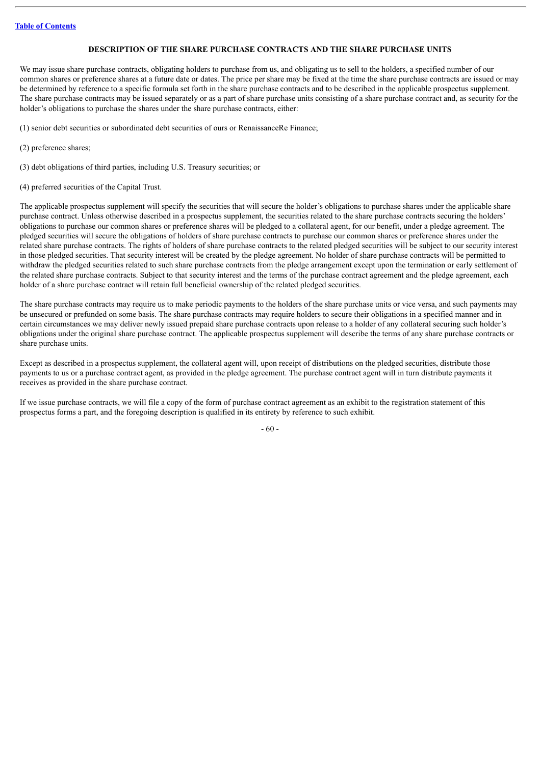## **DESCRIPTION OF THE SHARE PURCHASE CONTRACTS AND THE SHARE PURCHASE UNITS**

We may issue share purchase contracts, obligating holders to purchase from us, and obligating us to sell to the holders, a specified number of our common shares or preference shares at a future date or dates. The price per share may be fixed at the time the share purchase contracts are issued or may be determined by reference to a specific formula set forth in the share purchase contracts and to be described in the applicable prospectus supplement. The share purchase contracts may be issued separately or as a part of share purchase units consisting of a share purchase contract and, as security for the holder's obligations to purchase the shares under the share purchase contracts, either:

(1) senior debt securities or subordinated debt securities of ours or RenaissanceRe Finance;

(2) preference shares;

(3) debt obligations of third parties, including U.S. Treasury securities; or

(4) preferred securities of the Capital Trust.

The applicable prospectus supplement will specify the securities that will secure the holder's obligations to purchase shares under the applicable share purchase contract. Unless otherwise described in a prospectus supplement, the securities related to the share purchase contracts securing the holders' obligations to purchase our common shares or preference shares will be pledged to a collateral agent, for our benefit, under a pledge agreement. The pledged securities will secure the obligations of holders of share purchase contracts to purchase our common shares or preference shares under the related share purchase contracts. The rights of holders of share purchase contracts to the related pledged securities will be subject to our security interest in those pledged securities. That security interest will be created by the pledge agreement. No holder of share purchase contracts will be permitted to withdraw the pledged securities related to such share purchase contracts from the pledge arrangement except upon the termination or early settlement of the related share purchase contracts. Subject to that security interest and the terms of the purchase contract agreement and the pledge agreement, each holder of a share purchase contract will retain full beneficial ownership of the related pledged securities.

The share purchase contracts may require us to make periodic payments to the holders of the share purchase units or vice versa, and such payments may be unsecured or prefunded on some basis. The share purchase contracts may require holders to secure their obligations in a specified manner and in certain circumstances we may deliver newly issued prepaid share purchase contracts upon release to a holder of any collateral securing such holder's obligations under the original share purchase contract. The applicable prospectus supplement will describe the terms of any share purchase contracts or share purchase units.

Except as described in a prospectus supplement, the collateral agent will, upon receipt of distributions on the pledged securities, distribute those payments to us or a purchase contract agent, as provided in the pledge agreement. The purchase contract agent will in turn distribute payments it receives as provided in the share purchase contract.

If we issue purchase contracts, we will file a copy of the form of purchase contract agreement as an exhibit to the registration statement of this prospectus forms a part, and the foregoing description is qualified in its entirety by reference to such exhibit.

- 60 -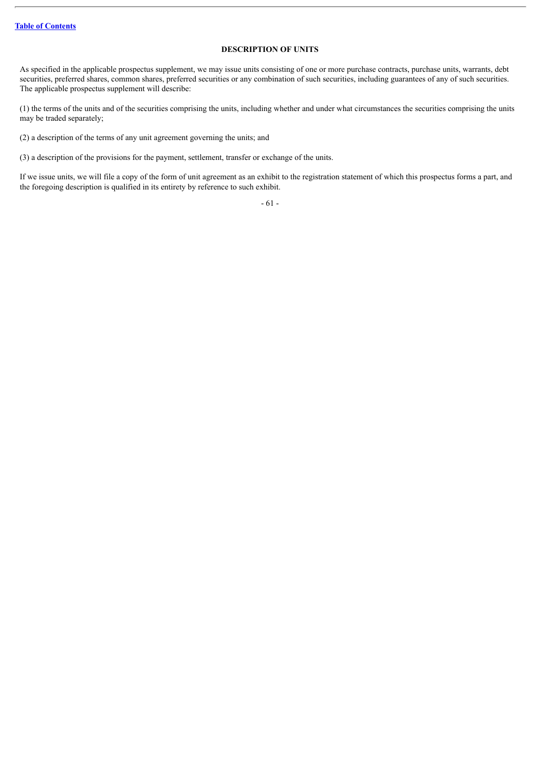## **DESCRIPTION OF UNITS**

As specified in the applicable prospectus supplement, we may issue units consisting of one or more purchase contracts, purchase units, warrants, debt securities, preferred shares, common shares, preferred securities or any combination of such securities, including guarantees of any of such securities. The applicable prospectus supplement will describe:

(1) the terms of the units and of the securities comprising the units, including whether and under what circumstances the securities comprising the units may be traded separately;

(2) a description of the terms of any unit agreement governing the units; and

(3) a description of the provisions for the payment, settlement, transfer or exchange of the units.

If we issue units, we will file a copy of the form of unit agreement as an exhibit to the registration statement of which this prospectus forms a part, and the foregoing description is qualified in its entirety by reference to such exhibit.

- 61 -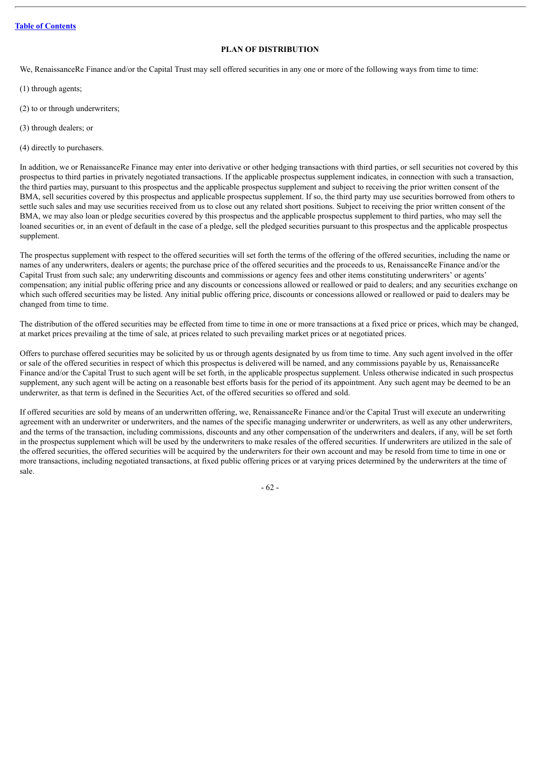## **PLAN OF DISTRIBUTION**

We, RenaissanceRe Finance and/or the Capital Trust may sell offered securities in any one or more of the following ways from time to time:

- (1) through agents;
- (2) to or through underwriters;

(3) through dealers; or

(4) directly to purchasers.

In addition, we or RenaissanceRe Finance may enter into derivative or other hedging transactions with third parties, or sell securities not covered by this prospectus to third parties in privately negotiated transactions. If the applicable prospectus supplement indicates, in connection with such a transaction, the third parties may, pursuant to this prospectus and the applicable prospectus supplement and subject to receiving the prior written consent of the BMA, sell securities covered by this prospectus and applicable prospectus supplement. If so, the third party may use securities borrowed from others to settle such sales and may use securities received from us to close out any related short positions. Subject to receiving the prior written consent of the BMA, we may also loan or pledge securities covered by this prospectus and the applicable prospectus supplement to third parties, who may sell the loaned securities or, in an event of default in the case of a pledge, sell the pledged securities pursuant to this prospectus and the applicable prospectus supplement.

The prospectus supplement with respect to the offered securities will set forth the terms of the offering of the offered securities, including the name or names of any underwriters, dealers or agents; the purchase price of the offered securities and the proceeds to us, RenaissanceRe Finance and/or the Capital Trust from such sale; any underwriting discounts and commissions or agency fees and other items constituting underwriters' or agents' compensation; any initial public offering price and any discounts or concessions allowed or reallowed or paid to dealers; and any securities exchange on which such offered securities may be listed. Any initial public offering price, discounts or concessions allowed or reallowed or paid to dealers may be changed from time to time.

The distribution of the offered securities may be effected from time to time in one or more transactions at a fixed price or prices, which may be changed, at market prices prevailing at the time of sale, at prices related to such prevailing market prices or at negotiated prices.

Offers to purchase offered securities may be solicited by us or through agents designated by us from time to time. Any such agent involved in the offer or sale of the offered securities in respect of which this prospectus is delivered will be named, and any commissions payable by us, RenaissanceRe Finance and/or the Capital Trust to such agent will be set forth, in the applicable prospectus supplement. Unless otherwise indicated in such prospectus supplement, any such agent will be acting on a reasonable best efforts basis for the period of its appointment. Any such agent may be deemed to be an underwriter, as that term is defined in the Securities Act, of the offered securities so offered and sold.

If offered securities are sold by means of an underwritten offering, we, RenaissanceRe Finance and/or the Capital Trust will execute an underwriting agreement with an underwriter or underwriters, and the names of the specific managing underwriter or underwriters, as well as any other underwriters, and the terms of the transaction, including commissions, discounts and any other compensation of the underwriters and dealers, if any, will be set forth in the prospectus supplement which will be used by the underwriters to make resales of the offered securities. If underwriters are utilized in the sale of the offered securities, the offered securities will be acquired by the underwriters for their own account and may be resold from time to time in one or more transactions, including negotiated transactions, at fixed public offering prices or at varying prices determined by the underwriters at the time of sale.

- 62 -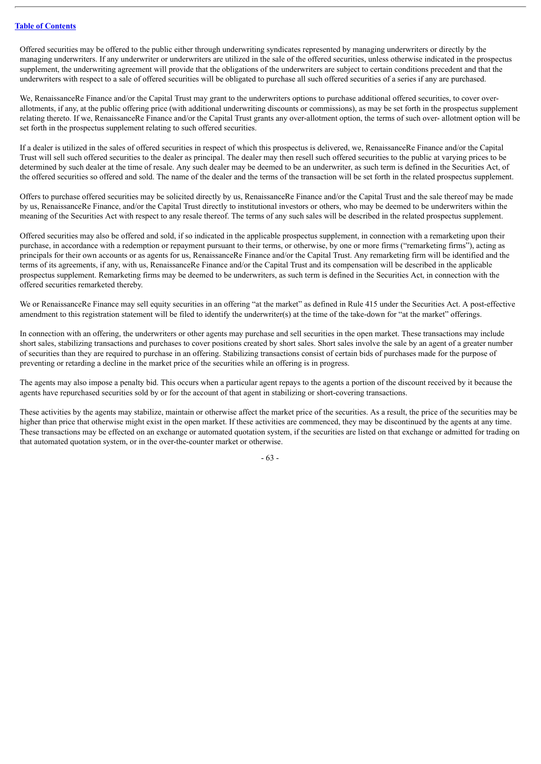Offered securities may be offered to the public either through underwriting syndicates represented by managing underwriters or directly by the managing underwriters. If any underwriter or underwriters are utilized in the sale of the offered securities, unless otherwise indicated in the prospectus supplement, the underwriting agreement will provide that the obligations of the underwriters are subject to certain conditions precedent and that the underwriters with respect to a sale of offered securities will be obligated to purchase all such offered securities of a series if any are purchased.

We, RenaissanceRe Finance and/or the Capital Trust may grant to the underwriters options to purchase additional offered securities, to cover overallotments, if any, at the public offering price (with additional underwriting discounts or commissions), as may be set forth in the prospectus supplement relating thereto. If we, RenaissanceRe Finance and/or the Capital Trust grants any over-allotment option, the terms of such over- allotment option will be set forth in the prospectus supplement relating to such offered securities.

If a dealer is utilized in the sales of offered securities in respect of which this prospectus is delivered, we, RenaissanceRe Finance and/or the Capital Trust will sell such offered securities to the dealer as principal. The dealer may then resell such offered securities to the public at varying prices to be determined by such dealer at the time of resale. Any such dealer may be deemed to be an underwriter, as such term is defined in the Securities Act, of the offered securities so offered and sold. The name of the dealer and the terms of the transaction will be set forth in the related prospectus supplement.

Offers to purchase offered securities may be solicited directly by us, RenaissanceRe Finance and/or the Capital Trust and the sale thereof may be made by us, RenaissanceRe Finance, and/or the Capital Trust directly to institutional investors or others, who may be deemed to be underwriters within the meaning of the Securities Act with respect to any resale thereof. The terms of any such sales will be described in the related prospectus supplement.

Offered securities may also be offered and sold, if so indicated in the applicable prospectus supplement, in connection with a remarketing upon their purchase, in accordance with a redemption or repayment pursuant to their terms, or otherwise, by one or more firms ("remarketing firms"), acting as principals for their own accounts or as agents for us, RenaissanceRe Finance and/or the Capital Trust. Any remarketing firm will be identified and the terms of its agreements, if any, with us, RenaissanceRe Finance and/or the Capital Trust and its compensation will be described in the applicable prospectus supplement. Remarketing firms may be deemed to be underwriters, as such term is defined in the Securities Act, in connection with the offered securities remarketed thereby.

We or RenaissanceRe Finance may sell equity securities in an offering "at the market" as defined in Rule 415 under the Securities Act. A post-effective amendment to this registration statement will be filed to identify the underwriter(s) at the time of the take-down for "at the market" offerings.

In connection with an offering, the underwriters or other agents may purchase and sell securities in the open market. These transactions may include short sales, stabilizing transactions and purchases to cover positions created by short sales. Short sales involve the sale by an agent of a greater number of securities than they are required to purchase in an offering. Stabilizing transactions consist of certain bids of purchases made for the purpose of preventing or retarding a decline in the market price of the securities while an offering is in progress.

The agents may also impose a penalty bid. This occurs when a particular agent repays to the agents a portion of the discount received by it because the agents have repurchased securities sold by or for the account of that agent in stabilizing or short-covering transactions.

These activities by the agents may stabilize, maintain or otherwise affect the market price of the securities. As a result, the price of the securities may be higher than price that otherwise might exist in the open market. If these activities are commenced, they may be discontinued by the agents at any time. These transactions may be effected on an exchange or automated quotation system, if the securities are listed on that exchange or admitted for trading on that automated quotation system, or in the over-the-counter market or otherwise.

- 63 -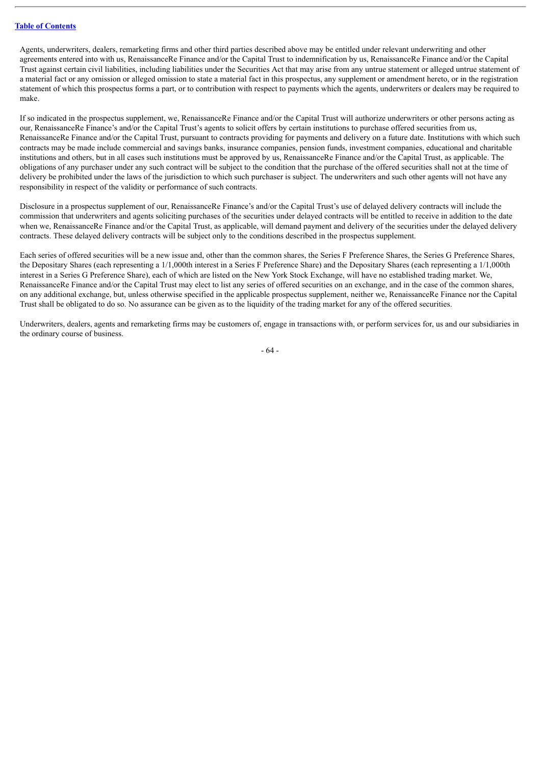Agents, underwriters, dealers, remarketing firms and other third parties described above may be entitled under relevant underwriting and other agreements entered into with us, RenaissanceRe Finance and/or the Capital Trust to indemnification by us, RenaissanceRe Finance and/or the Capital Trust against certain civil liabilities, including liabilities under the Securities Act that may arise from any untrue statement or alleged untrue statement of a material fact or any omission or alleged omission to state a material fact in this prospectus, any supplement or amendment hereto, or in the registration statement of which this prospectus forms a part, or to contribution with respect to payments which the agents, underwriters or dealers may be required to make.

If so indicated in the prospectus supplement, we, RenaissanceRe Finance and/or the Capital Trust will authorize underwriters or other persons acting as our, RenaissanceRe Finance's and/or the Capital Trust's agents to solicit offers by certain institutions to purchase offered securities from us, RenaissanceRe Finance and/or the Capital Trust, pursuant to contracts providing for payments and delivery on a future date. Institutions with which such contracts may be made include commercial and savings banks, insurance companies, pension funds, investment companies, educational and charitable institutions and others, but in all cases such institutions must be approved by us, RenaissanceRe Finance and/or the Capital Trust, as applicable. The obligations of any purchaser under any such contract will be subject to the condition that the purchase of the offered securities shall not at the time of delivery be prohibited under the laws of the jurisdiction to which such purchaser is subject. The underwriters and such other agents will not have any responsibility in respect of the validity or performance of such contracts.

Disclosure in a prospectus supplement of our, RenaissanceRe Finance's and/or the Capital Trust's use of delayed delivery contracts will include the commission that underwriters and agents soliciting purchases of the securities under delayed contracts will be entitled to receive in addition to the date when we, RenaissanceRe Finance and/or the Capital Trust, as applicable, will demand payment and delivery of the securities under the delayed delivery contracts. These delayed delivery contracts will be subject only to the conditions described in the prospectus supplement.

Each series of offered securities will be a new issue and, other than the common shares, the Series F Preference Shares, the Series G Preference Shares, the Depositary Shares (each representing a 1/1,000th interest in a Series F Preference Share) and the Depositary Shares (each representing a 1/1,000th interest in a Series G Preference Share), each of which are listed on the New York Stock Exchange, will have no established trading market. We, RenaissanceRe Finance and/or the Capital Trust may elect to list any series of offered securities on an exchange, and in the case of the common shares, on any additional exchange, but, unless otherwise specified in the applicable prospectus supplement, neither we, RenaissanceRe Finance nor the Capital Trust shall be obligated to do so. No assurance can be given as to the liquidity of the trading market for any of the offered securities.

Underwriters, dealers, agents and remarketing firms may be customers of, engage in transactions with, or perform services for, us and our subsidiaries in the ordinary course of business.

- 64 -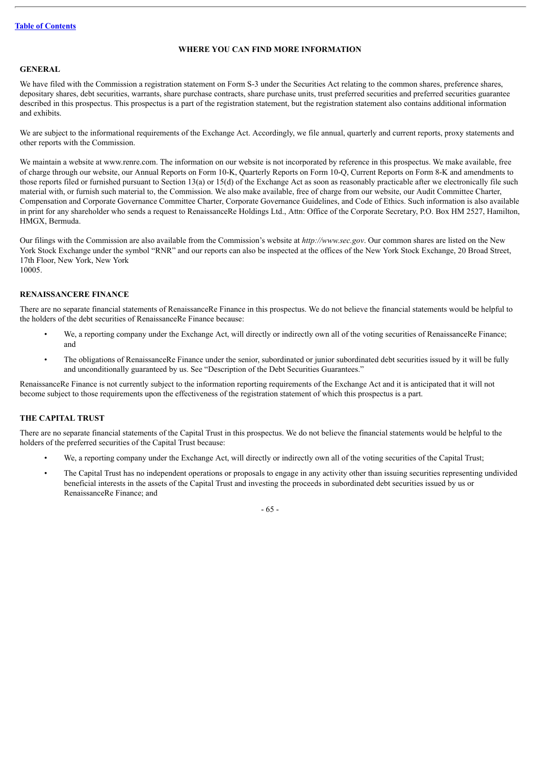# **WHERE YOU CAN FIND MORE INFORMATION**

## **GENERAL**

We have filed with the Commission a registration statement on Form S-3 under the Securities Act relating to the common shares, preference shares, depositary shares, debt securities, warrants, share purchase contracts, share purchase units, trust preferred securities and preferred securities guarantee described in this prospectus. This prospectus is a part of the registration statement, but the registration statement also contains additional information and exhibits.

We are subject to the informational requirements of the Exchange Act. Accordingly, we file annual, quarterly and current reports, proxy statements and other reports with the Commission.

We maintain a website at www.renre.com. The information on our website is not incorporated by reference in this prospectus. We make available, free of charge through our website, our Annual Reports on Form 10-K, Quarterly Reports on Form 10-Q, Current Reports on Form 8-K and amendments to those reports filed or furnished pursuant to Section 13(a) or 15(d) of the Exchange Act as soon as reasonably practicable after we electronically file such material with, or furnish such material to, the Commission. We also make available, free of charge from our website, our Audit Committee Charter, Compensation and Corporate Governance Committee Charter, Corporate Governance Guidelines, and Code of Ethics. Such information is also available in print for any shareholder who sends a request to RenaissanceRe Holdings Ltd., Attn: Office of the Corporate Secretary, P.O. Box HM 2527, Hamilton, HMGX, Bermuda.

Our filings with the Commission are also available from the Commission's website at *http://www.sec.gov*. Our common shares are listed on the New York Stock Exchange under the symbol "RNR" and our reports can also be inspected at the offices of the New York Stock Exchange, 20 Broad Street, 17th Floor, New York, New York 10005.

# **RENAISSANCERE FINANCE**

There are no separate financial statements of RenaissanceRe Finance in this prospectus. We do not believe the financial statements would be helpful to the holders of the debt securities of RenaissanceRe Finance because:

- We, a reporting company under the Exchange Act, will directly or indirectly own all of the voting securities of RenaissanceRe Finance; and
- The obligations of RenaissanceRe Finance under the senior, subordinated or junior subordinated debt securities issued by it will be fully and unconditionally guaranteed by us. See "Description of the Debt Securities Guarantees."

RenaissanceRe Finance is not currently subject to the information reporting requirements of the Exchange Act and it is anticipated that it will not become subject to those requirements upon the effectiveness of the registration statement of which this prospectus is a part.

# **THE CAPITAL TRUST**

There are no separate financial statements of the Capital Trust in this prospectus. We do not believe the financial statements would be helpful to the holders of the preferred securities of the Capital Trust because:

- We, a reporting company under the Exchange Act, will directly or indirectly own all of the voting securities of the Capital Trust;
- The Capital Trust has no independent operations or proposals to engage in any activity other than issuing securities representing undivided beneficial interests in the assets of the Capital Trust and investing the proceeds in subordinated debt securities issued by us or RenaissanceRe Finance; and

- 65 -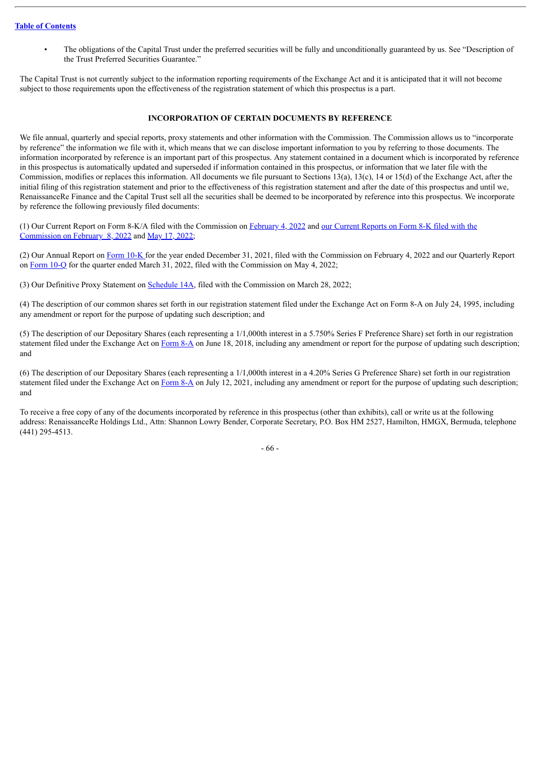• The obligations of the Capital Trust under the preferred securities will be fully and unconditionally guaranteed by us. See "Description of the Trust Preferred Securities Guarantee."

The Capital Trust is not currently subject to the information reporting requirements of the Exchange Act and it is anticipated that it will not become subject to those requirements upon the effectiveness of the registration statement of which this prospectus is a part.

## **INCORPORATION OF CERTAIN DOCUMENTS BY REFERENCE**

We file annual, quarterly and special reports, proxy statements and other information with the Commission. The Commission allows us to "incorporate by reference" the information we file with it, which means that we can disclose important information to you by referring to those documents. The information incorporated by reference is an important part of this prospectus. Any statement contained in a document which is incorporated by reference in this prospectus is automatically updated and superseded if information contained in this prospectus, or information that we later file with the Commission, modifies or replaces this information. All documents we file pursuant to Sections 13(a), 13(c), 14 or 15(d) of the Exchange Act, after the initial filing of this registration statement and prior to the effectiveness of this registration statement and after the date of this prospectus and until we, RenaissanceRe Finance and the Capital Trust sell all the securities shall be deemed to be incorporated by reference into this prospectus. We incorporate by reference the following previously filed documents:

(1) Our Current Report on Form 8-K/A filed with the [Commission](http://www.sec.gov/Archives/edgar/data/913144/000119312522031166/d295373d8k.htm) on [February](http://www.sec.gov/Archives/edgar/data/913144/000119312522028409/d299599d8ka.htm) 4, 2022 and our Current Reports on Form 8-K filed with the Commission on February 8, 2022 and May 17, [2022](http://www.sec.gov/ix?doc=/Archives/edgar/data/0000913144/000119312522152996/d329355d8k.htm);

(2) Our Annual Report on [Form](http://www.sec.gov/Archives/edgar/data/913144/000091314422000015/rnr-20211231.htm) 10-K for the year ended December 31, 2021, filed with the Commission on February 4, 2022 and our Quarterly Report on [Form](http://www.sec.gov/ix?doc=/Archives/edgar/data/913144/000091314422000069/rnr-20220331.htm) 10-Q for the quarter ended March 31, 2022, filed with the Commission on May 4, 2022;

(3) Our Definitive Proxy Statement on [Schedule](http://www.sec.gov/Archives/edgar/data/913144/000120677422000891/rnr3994871-def14a.htm) 14A, filed with the Commission on March 28, 2022;

(4) The description of our common shares set forth in our registration statement filed under the Exchange Act on Form 8-A on July 24, 1995, including any amendment or report for the purpose of updating such description; and

(5) The description of our Depositary Shares (each representing a 1/1,000th interest in a 5.750% Series F Preference Share) set forth in our registration statement filed under the Exchange Act on [Form](http://www.sec.gov/Archives/edgar/data/913144/000119312518195389/d207159d8a12b.htm) 8-A on June 18, 2018, including any amendment or report for the purpose of updating such description; and

(6) The description of our Depositary Shares (each representing a 1/1,000th interest in a 4.20% Series G Preference Share) set forth in our registration statement filed under the Exchange Act on [Form](http://www.sec.gov/Archives/edgar/data/913144/000119312521213044/d136250d8a12b.htm) 8-A on July 12, 2021, including any amendment or report for the purpose of updating such description; and

To receive a free copy of any of the documents incorporated by reference in this prospectus (other than exhibits), call or write us at the following address: RenaissanceRe Holdings Ltd., Attn: Shannon Lowry Bender, Corporate Secretary, P.O. Box HM 2527, Hamilton, HMGX, Bermuda, telephone (441) 295-4513.

- 66 -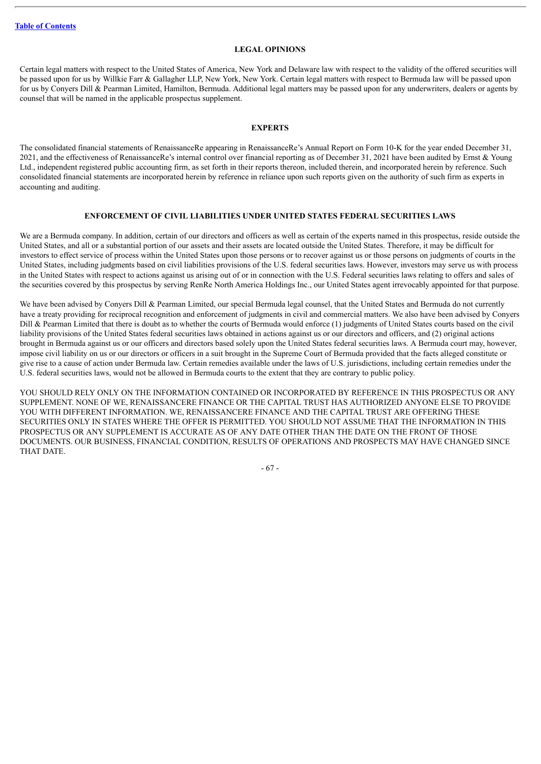### **LEGAL OPINIONS**

Certain legal matters with respect to the United States of America, New York and Delaware law with respect to the validity of the offered securities will be passed upon for us by Willkie Farr & Gallagher LLP, New York, New York. Certain legal matters with respect to Bermuda law will be passed upon for us by Conyers Dill & Pearman Limited, Hamilton, Bermuda. Additional legal matters may be passed upon for any underwriters, dealers or agents by counsel that will be named in the applicable prospectus supplement.

# **EXPERTS**

The consolidated financial statements of RenaissanceRe appearing in RenaissanceRe's Annual Report on Form 10-K for the year ended December 31, 2021, and the effectiveness of RenaissanceRe's internal control over financial reporting as of December 31, 2021 have been audited by Ernst & Young Ltd., independent registered public accounting firm, as set forth in their reports thereon, included therein, and incorporated herein by reference. Such consolidated financial statements are incorporated herein by reference in reliance upon such reports given on the authority of such firm as experts in accounting and auditing.

# **ENFORCEMENT OF CIVIL LIABILITIES UNDER UNITED STATES FEDERAL SECURITIES LAWS**

We are a Bermuda company. In addition, certain of our directors and officers as well as certain of the experts named in this prospectus, reside outside the United States, and all or a substantial portion of our assets and their assets are located outside the United States. Therefore, it may be difficult for investors to effect service of process within the United States upon those persons or to recover against us or those persons on judgments of courts in the United States, including judgments based on civil liabilities provisions of the U.S. federal securities laws. However, investors may serve us with process in the United States with respect to actions against us arising out of or in connection with the U.S. Federal securities laws relating to offers and sales of the securities covered by this prospectus by serving RenRe North America Holdings Inc., our United States agent irrevocably appointed for that purpose.

We have been advised by Convers Dill & Pearman Limited, our special Bermuda legal counsel, that the United States and Bermuda do not currently have a treaty providing for reciprocal recognition and enforcement of judgments in civil and commercial matters. We also have been advised by Conyers Dill & Pearman Limited that there is doubt as to whether the courts of Bermuda would enforce (1) judgments of United States courts based on the civil liability provisions of the United States federal securities laws obtained in actions against us or our directors and officers, and (2) original actions brought in Bermuda against us or our officers and directors based solely upon the United States federal securities laws. A Bermuda court may, however, impose civil liability on us or our directors or officers in a suit brought in the Supreme Court of Bermuda provided that the facts alleged constitute or give rise to a cause of action under Bermuda law. Certain remedies available under the laws of U.S. jurisdictions, including certain remedies under the U.S. federal securities laws, would not be allowed in Bermuda courts to the extent that they are contrary to public policy.

YOU SHOULD RELY ONLY ON THE INFORMATION CONTAINED OR INCORPORATED BY REFERENCE IN THIS PROSPECTUS OR ANY SUPPLEMENT. NONE OF WE, RENAISSANCERE FINANCE OR THE CAPITAL TRUST HAS AUTHORIZED ANYONE ELSE TO PROVIDE YOU WITH DIFFERENT INFORMATION. WE, RENAISSANCERE FINANCE AND THE CAPITAL TRUST ARE OFFERING THESE SECURITIES ONLY IN STATES WHERE THE OFFER IS PERMITTED. YOU SHOULD NOT ASSUME THAT THE INFORMATION IN THIS PROSPECTUS OR ANY SUPPLEMENT IS ACCURATE AS OF ANY DATE OTHER THAN THE DATE ON THE FRONT OF THOSE DOCUMENTS. OUR BUSINESS, FINANCIAL CONDITION, RESULTS OF OPERATIONS AND PROSPECTS MAY HAVE CHANGED SINCE THAT DATE.

- 67 -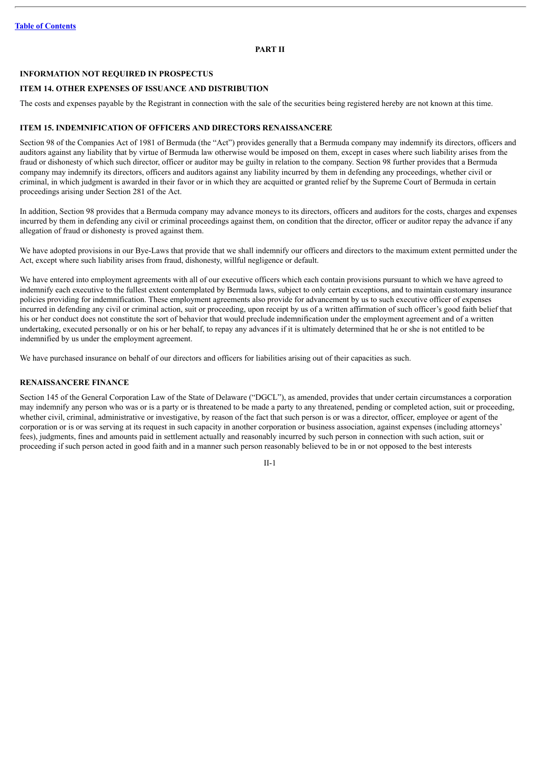# **PART II**

# **INFORMATION NOT REQUIRED IN PROSPECTUS**

#### **ITEM 14. OTHER EXPENSES OF ISSUANCE AND DISTRIBUTION**

The costs and expenses payable by the Registrant in connection with the sale of the securities being registered hereby are not known at this time.

### **ITEM 15. INDEMNIFICATION OF OFFICERS AND DIRECTORS RENAISSANCERE**

Section 98 of the Companies Act of 1981 of Bermuda (the "Act") provides generally that a Bermuda company may indemnify its directors, officers and auditors against any liability that by virtue of Bermuda law otherwise would be imposed on them, except in cases where such liability arises from the fraud or dishonesty of which such director, officer or auditor may be guilty in relation to the company. Section 98 further provides that a Bermuda company may indemnify its directors, officers and auditors against any liability incurred by them in defending any proceedings, whether civil or criminal, in which judgment is awarded in their favor or in which they are acquitted or granted relief by the Supreme Court of Bermuda in certain proceedings arising under Section 281 of the Act.

In addition, Section 98 provides that a Bermuda company may advance moneys to its directors, officers and auditors for the costs, charges and expenses incurred by them in defending any civil or criminal proceedings against them, on condition that the director, officer or auditor repay the advance if any allegation of fraud or dishonesty is proved against them.

We have adopted provisions in our Bye-Laws that provide that we shall indemnify our officers and directors to the maximum extent permitted under the Act, except where such liability arises from fraud, dishonesty, willful negligence or default.

We have entered into employment agreements with all of our executive officers which each contain provisions pursuant to which we have agreed to indemnify each executive to the fullest extent contemplated by Bermuda laws, subject to only certain exceptions, and to maintain customary insurance policies providing for indemnification. These employment agreements also provide for advancement by us to such executive officer of expenses incurred in defending any civil or criminal action, suit or proceeding, upon receipt by us of a written affirmation of such officer's good faith belief that his or her conduct does not constitute the sort of behavior that would preclude indemnification under the employment agreement and of a written undertaking, executed personally or on his or her behalf, to repay any advances if it is ultimately determined that he or she is not entitled to be indemnified by us under the employment agreement.

We have purchased insurance on behalf of our directors and officers for liabilities arising out of their capacities as such.

## **RENAISSANCERE FINANCE**

Section 145 of the General Corporation Law of the State of Delaware ("DGCL"), as amended, provides that under certain circumstances a corporation may indemnify any person who was or is a party or is threatened to be made a party to any threatened, pending or completed action, suit or proceeding, whether civil, criminal, administrative or investigative, by reason of the fact that such person is or was a director, officer, employee or agent of the corporation or is or was serving at its request in such capacity in another corporation or business association, against expenses (including attorneys' fees), judgments, fines and amounts paid in settlement actually and reasonably incurred by such person in connection with such action, suit or proceeding if such person acted in good faith and in a manner such person reasonably believed to be in or not opposed to the best interests

II-1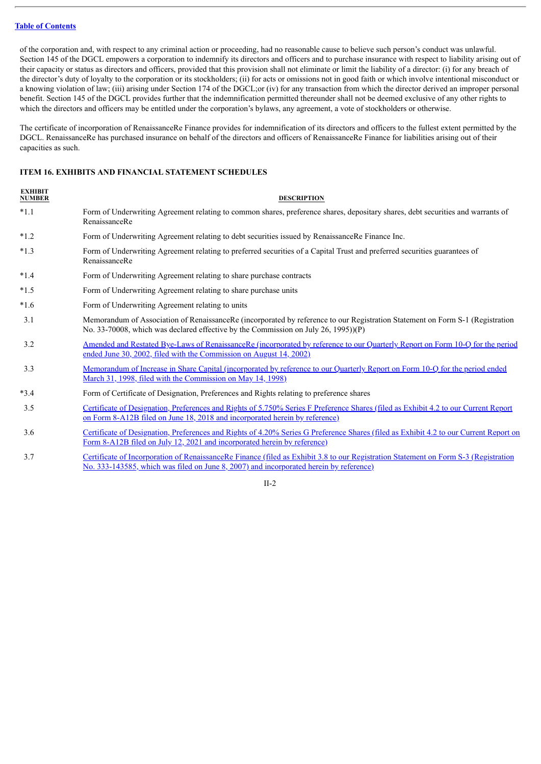of the corporation and, with respect to any criminal action or proceeding, had no reasonable cause to believe such person's conduct was unlawful. Section 145 of the DGCL empowers a corporation to indemnify its directors and officers and to purchase insurance with respect to liability arising out of their capacity or status as directors and officers, provided that this provision shall not eliminate or limit the liability of a director: (i) for any breach of the director's duty of loyalty to the corporation or its stockholders; (ii) for acts or omissions not in good faith or which involve intentional misconduct or a knowing violation of law; (iii) arising under Section 174 of the DGCL;or (iv) for any transaction from which the director derived an improper personal benefit. Section 145 of the DGCL provides further that the indemnification permitted thereunder shall not be deemed exclusive of any other rights to which the directors and officers may be entitled under the corporation's bylaws, any agreement, a vote of stockholders or otherwise.

The certificate of incorporation of RenaissanceRe Finance provides for indemnification of its directors and officers to the fullest extent permitted by the DGCL. RenaissanceRe has purchased insurance on behalf of the directors and officers of RenaissanceRe Finance for liabilities arising out of their capacities as such.

# **ITEM 16. EXHIBITS AND FINANCIAL STATEMENT SCHEDULES**

| <b>EXHIBIT</b><br><b>NUMBER</b> | <b>DESCRIPTION</b>                                                                                                                                                                                                  |
|---------------------------------|---------------------------------------------------------------------------------------------------------------------------------------------------------------------------------------------------------------------|
| $*1.1$                          | Form of Underwriting Agreement relating to common shares, preference shares, depositary shares, debt securities and warrants of<br>RenaissanceRe                                                                    |
| $*1.2$                          | Form of Underwriting Agreement relating to debt securities issued by RenaissanceRe Finance Inc.                                                                                                                     |
| $*1.3$                          | Form of Underwriting Agreement relating to preferred securities of a Capital Trust and preferred securities guarantees of<br>RenaissanceRe                                                                          |
| $*1.4$                          | Form of Underwriting Agreement relating to share purchase contracts                                                                                                                                                 |
| $*1.5$                          | Form of Underwriting Agreement relating to share purchase units                                                                                                                                                     |
| $*1.6$                          | Form of Underwriting Agreement relating to units                                                                                                                                                                    |
| 3.1                             | Memorandum of Association of RenaissanceRe (incorporated by reference to our Registration Statement on Form S-1 (Registration<br>No. 33-70008, which was declared effective by the Commission on July 26, 1995))(P) |
| 3.2                             | Amended and Restated Bye-Laws of RenaissanceRe (incorporated by reference to our Quarterly Report on Form 10-Q for the period<br>ended June 30, 2002, filed with the Commission on August 14, 2002)                 |
| 3.3                             | Memorandum of Increase in Share Capital (incorporated by reference to our Quarterly Report on Form 10-Q for the period ended<br>March 31, 1998, filed with the Commission on May 14, 1998)                          |
| $*3.4$                          | Form of Certificate of Designation, Preferences and Rights relating to preference shares                                                                                                                            |
| 3.5                             | Certificate of Designation, Preferences and Rights of 5.750% Series F Preference Shares (filed as Exhibit 4.2 to our Current Report<br>on Form 8-A12B filed on June 18, 2018 and incorporated herein by reference)  |
| 3.6                             | Certificate of Designation, Preferences and Rights of 4.20% Series G Preference Shares (filed as Exhibit 4.2 to our Current Report on<br>Form 8-A12B filed on July 12, 2021 and incorporated herein by reference)   |

3.7 Certificate of Incorporation of [RenaissanceRe](http://www.sec.gov/Archives/edgar/data/913144/000095013607004035/file2.htm) Finance (filed as Exhibit 3.8 to our Registration Statement on Form S-3 (Registration No. 333-143585, which was filed on June 8, 2007) and incorporated herein by reference)

 $II-2$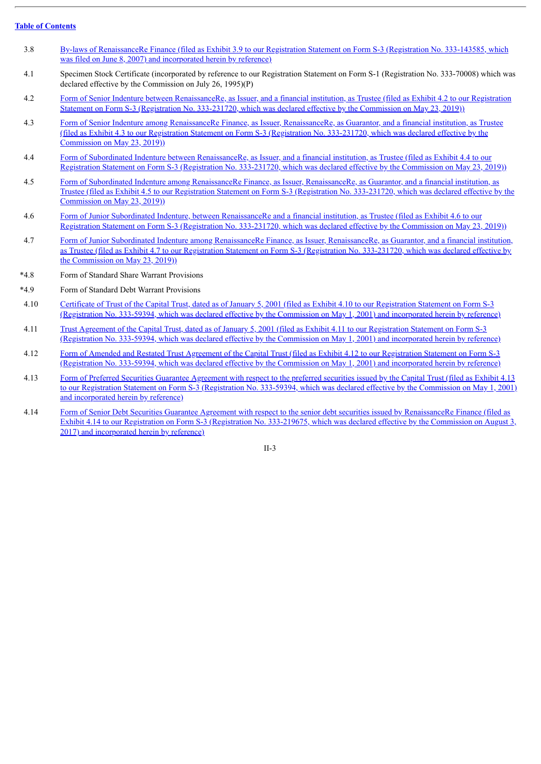- 3.8 By-laws of [RenaissanceRe](http://www.sec.gov/Archives/edgar/data/913144/000095013607004035/file3.htm) Finance (filed as Exhibit 3.9 to our Registration Statement on Form S-3 (Registration No. 333-143585, which was filed on June 8, 2007) and incorporated herein by reference)
- 4.1 Specimen Stock Certificate (incorporated by reference to our Registration Statement on Form S-1 (Registration No. 333-70008) which was declared effective by the Commission on July 26, 1995)(P)
- 4.2 Form of Senior Indenture between [RenaissanceRe,](http://www.sec.gov/Archives/edgar/data/913144/000119312519155531/d743297dex42.htm) as Issuer, and a financial institution, as Trustee (filed as Exhibit 4.2 to our Registration Statement on Form S-3 (Registration No. 333-231720, which was declared effective by the Commission on May 23, 2019))
- 4.3 Form of Senior Indenture among RenaissanceRe Finance, as Issuer, [RenaissanceRe,](http://www.sec.gov/Archives/edgar/data/913144/000119312519155531/d743297dex43.htm) as Guarantor, and a financial institution, as Trustee (filed as Exhibit 4.3 to our Registration Statement on Form S-3 (Registration No. 333-231720, which was declared effective by the Commission on May 23, 2019))
- 4.4 Form of Subordinated Indenture between [RenaissanceRe,](http://www.sec.gov/Archives/edgar/data/913144/000119312519155531/d743297dex44.htm) as Issuer, and a financial institution, as Trustee (filed as Exhibit 4.4 to our Registration Statement on Form S-3 (Registration No. 333-231720, which was declared effective by the Commission on May 23, 2019))
- 4.5 Form of Subordinated Indenture among RenaissanceRe Finance, as Issuer, [RenaissanceRe,](http://www.sec.gov/Archives/edgar/data/913144/000119312519155531/d743297dex45.htm) as Guarantor, and a financial institution, as Trustee (filed as Exhibit 4.5 to our Registration Statement on Form S-3 (Registration No. 333-231720, which was declared effective by the Commission on May 23, 2019))
- 4.6 Form of Junior Subordinated Indenture, between [RenaissanceRe](http://www.sec.gov/Archives/edgar/data/913144/000119312519155531/d743297dex46.htm) and a financial institution, as Trustee (filed as Exhibit 4.6 to our Registration Statement on Form S-3 (Registration No. 333-231720, which was declared effective by the Commission on May 23, 2019))
- 4.7 Form of Junior Subordinated Indenture among RenaissanceRe Finance, as Issuer, [RenaissanceRe,](http://www.sec.gov/Archives/edgar/data/913144/000119312519155531/d743297dex47.htm) as Guarantor, and a financial institution, as Trustee (filed as Exhibit 4.7 to our Registration Statement on Form S-3 (Registration No. 333-231720, which was declared effective by the Commission on May 23, 2019))
- \*4.8 Form of Standard Share Warrant Provisions
- \*4.9 Form of Standard Debt Warrant Provisions
- 4.10 Certificate of Trust of the Capital Trust, dated as of January 5, 2001 (filed as Exhibit 4.10 to our Registration Statement on Form S-3 [\(Registration](http://www.sec.gov/Archives/edgar/data/913144/000095013601500008/file005.txt) No. 333-59394, which was declared effective by the Commission on May 1, 2001) and incorporated herein by reference)
- 4.11 Trust Agreement of the Capital Trust, dated as of January 5, 2001 (filed as Exhibit 4.11 to our Registration Statement on Form S-3 [\(Registration](http://www.sec.gov/Archives/edgar/data/913144/000095013601500008/file006.txt) No. 333-59394, which was declared effective by the Commission on May 1, 2001) and incorporated herein by reference)
- 4.12 Form of Amended and Restated Trust Agreement of the Capital Trust (filed as Exhibit 4.12 to our Registration Statement on Form S-3 [\(Registration](http://www.sec.gov/Archives/edgar/data/913144/000095013601500008/file007.txt) No. 333-59394, which was declared effective by the Commission on May 1, 2001) and incorporated herein by reference)
- 4.13 Form of Preferred Securities Guarantee Agreement with respect to the preferred securities issued by the Capital Trust (filed as Exhibit 4.13 to our Registration Statement on Form S-3 [\(Registration](http://www.sec.gov/Archives/edgar/data/913144/000095013601500008/file008.txt) No. 333-59394, which was declared effective by the Commission on May 1, 2001) and incorporated herein by reference)
- 4.14 Form of Senior Debt Securities Guarantee Agreement with respect to the senior debt securities issued by [RenaissanceRe](http://www.sec.gov/Archives/edgar/data/913144/000119312517247592/d435478dex414.htm) Finance (filed as Exhibit 4.14 to our Registration on Form S-3 (Registration No. 333-219675, which was declared effective by the Commission on August 3, 2017) and incorporated herein by reference)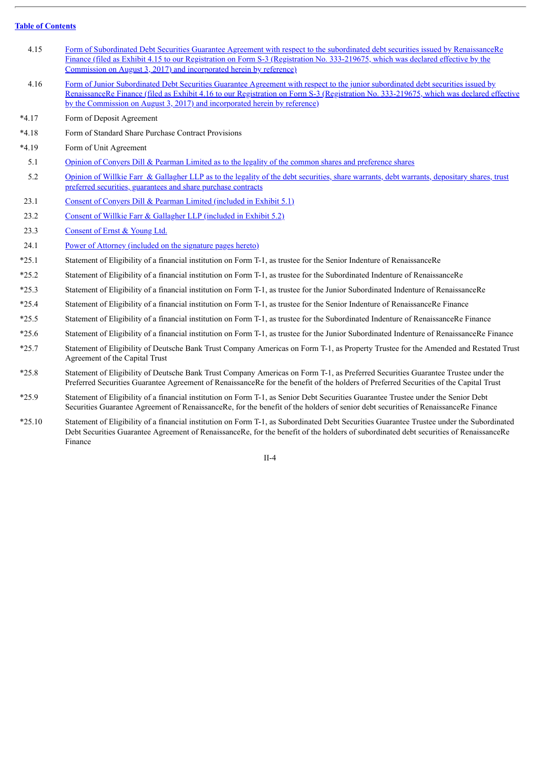- 4.15 Form of Subordinated Debt Securities Guarantee Agreement with respect to the subordinated debt securities issued by [RenaissanceRe](http://www.sec.gov/Archives/edgar/data/913144/000119312517247592/d435478dex415.htm) Finance (filed as Exhibit 4.15 to our Registration on Form S-3 (Registration No. 333-219675, which was declared effective by the Commission on August 3, 2017) and incorporated herein by reference)
- 4.16 Form of Junior Subordinated Debt Securities Guarantee Agreement with respect to the junior subordinated debt securities issued by [RenaissanceRe](http://www.sec.gov/Archives/edgar/data/913144/000119312517247592/d435478dex416.htm) Finance (filed as Exhibit 4.16 to our Registration on Form S-3 (Registration No. 333-219675, which was declared effective by the Commission on August 3, 2017) and incorporated herein by reference)
- \*4.17 Form of Deposit Agreement
- \*4.18 Form of Standard Share Purchase Contract Provisions
- \*4.19 Form of Unit Agreement
- 5.1 Opinion of Conyers Dill & Pearman Limited as to the legality of the common shares and [preference](#page-81-0) shares
- 5.2 Opinion of Willkie Farr & Gallagher LLP as to the legality of the debt securities, share warrants, debt warrants, depositary shares, trust preferred securities, [guarantees](#page-86-0) and share purchase contracts
- 23.1 Consent of Convers Dill & Pearman Limited [\(included](#page-81-0) in Exhibit 5.1)
- 23.2 Consent of Willkie Farr & [Gallagher](#page-86-0) LLP (included in Exhibit 5.2)
- 23.3 [Consent](#page-95-0) of Ernst & Young Ltd.
- 24.1 Power of Attorney [\(included](#page-77-0) on the signature pages hereto)
- \*25.1 Statement of Eligibility of a financial institution on Form T-1, as trustee for the Senior Indenture of RenaissanceRe
- \*25.2 Statement of Eligibility of a financial institution on Form T-1, as trustee for the Subordinated Indenture of RenaissanceRe
- \*25.3 Statement of Eligibility of a financial institution on Form T-1, as trustee for the Junior Subordinated Indenture of RenaissanceRe
- \*25.4 Statement of Eligibility of a financial institution on Form T-1, as trustee for the Senior Indenture of RenaissanceRe Finance
- \*25.5 Statement of Eligibility of a financial institution on Form T-1, as trustee for the Subordinated Indenture of RenaissanceRe Finance
- \*25.6 Statement of Eligibility of a financial institution on Form T-1, as trustee for the Junior Subordinated Indenture of RenaissanceRe Finance
- \*25.7 Statement of Eligibility of Deutsche Bank Trust Company Americas on Form T-1, as Property Trustee for the Amended and Restated Trust Agreement of the Capital Trust
- \*25.8 Statement of Eligibility of Deutsche Bank Trust Company Americas on Form T-1, as Preferred Securities Guarantee Trustee under the Preferred Securities Guarantee Agreement of RenaissanceRe for the benefit of the holders of Preferred Securities of the Capital Trust
- \*25.9 Statement of Eligibility of a financial institution on Form T-1, as Senior Debt Securities Guarantee Trustee under the Senior Debt Securities Guarantee Agreement of RenaissanceRe, for the benefit of the holders of senior debt securities of RenaissanceRe Finance
- \*25.10 Statement of Eligibility of a financial institution on Form T-1, as Subordinated Debt Securities Guarantee Trustee under the Subordinated Debt Securities Guarantee Agreement of RenaissanceRe, for the benefit of the holders of subordinated debt securities of RenaissanceRe Finance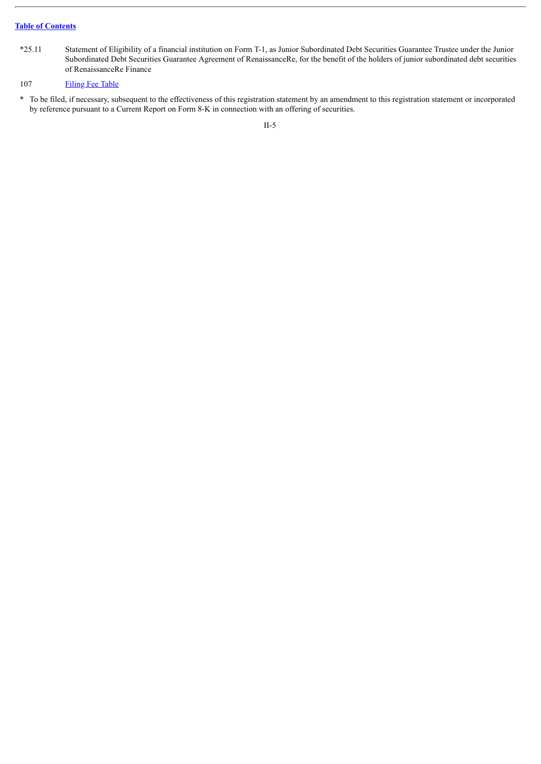\*25.11 Statement of Eligibility of a financial institution on Form T-1, as Junior Subordinated Debt Securities Guarantee Trustee under the Junior Subordinated Debt Securities Guarantee Agreement of RenaissanceRe, for the benefit of the holders of junior subordinated debt securities of RenaissanceRe Finance

#### 107 [Filing](#page-96-0) Fee Table

\* To be filed, if necessary, subsequent to the effectiveness of this registration statement by an amendment to this registration statement or incorporated by reference pursuant to a Current Report on Form 8-K in connection with an offering of securities.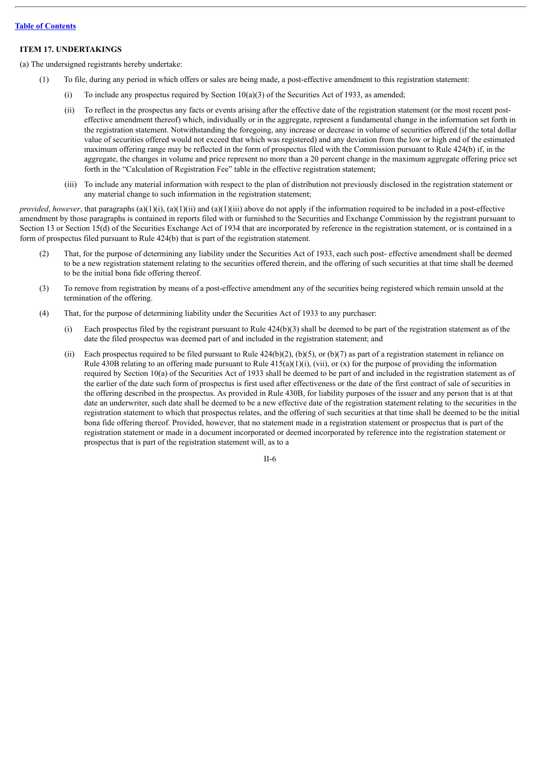#### **ITEM 17. UNDERTAKINGS**

(a) The undersigned registrants hereby undertake:

- (1) To file, during any period in which offers or sales are being made, a post-effective amendment to this registration statement:
	- (i) To include any prospectus required by Section  $10(a)(3)$  of the Securities Act of 1933, as amended;
	- (ii) To reflect in the prospectus any facts or events arising after the effective date of the registration statement (or the most recent posteffective amendment thereof) which, individually or in the aggregate, represent a fundamental change in the information set forth in the registration statement. Notwithstanding the foregoing, any increase or decrease in volume of securities offered (if the total dollar value of securities offered would not exceed that which was registered) and any deviation from the low or high end of the estimated maximum offering range may be reflected in the form of prospectus filed with the Commission pursuant to Rule 424(b) if, in the aggregate, the changes in volume and price represent no more than a 20 percent change in the maximum aggregate offering price set forth in the "Calculation of Registration Fee" table in the effective registration statement;
	- (iii) To include any material information with respect to the plan of distribution not previously disclosed in the registration statement or any material change to such information in the registration statement;

*provided, however*, that paragraphs (a)(1)(i), (a)(1)(ii) and (a)(1)(iii) above do not apply if the information required to be included in a post-effective amendment by those paragraphs is contained in reports filed with or furnished to the Securities and Exchange Commission by the registrant pursuant to Section 13 or Section 15(d) of the Securities Exchange Act of 1934 that are incorporated by reference in the registration statement, or is contained in a form of prospectus filed pursuant to Rule 424(b) that is part of the registration statement.

- (2) That, for the purpose of determining any liability under the Securities Act of 1933, each such post- effective amendment shall be deemed to be a new registration statement relating to the securities offered therein, and the offering of such securities at that time shall be deemed to be the initial bona fide offering thereof.
- (3) To remove from registration by means of a post-effective amendment any of the securities being registered which remain unsold at the termination of the offering.
- (4) That, for the purpose of determining liability under the Securities Act of 1933 to any purchaser:
	- (i) Each prospectus filed by the registrant pursuant to Rule 424(b)(3) shall be deemed to be part of the registration statement as of the date the filed prospectus was deemed part of and included in the registration statement; and
	- (ii) Each prospectus required to be filed pursuant to Rule  $424(b)(2)$ ,  $(b)(5)$ , or  $(b)(7)$  as part of a registration statement in reliance on Rule 430B relating to an offering made pursuant to Rule  $415(a)(1)(i)$ , (vii), or (x) for the purpose of providing the information required by Section 10(a) of the Securities Act of 1933 shall be deemed to be part of and included in the registration statement as of the earlier of the date such form of prospectus is first used after effectiveness or the date of the first contract of sale of securities in the offering described in the prospectus. As provided in Rule 430B, for liability purposes of the issuer and any person that is at that date an underwriter, such date shall be deemed to be a new effective date of the registration statement relating to the securities in the registration statement to which that prospectus relates, and the offering of such securities at that time shall be deemed to be the initial bona fide offering thereof. Provided, however, that no statement made in a registration statement or prospectus that is part of the registration statement or made in a document incorporated or deemed incorporated by reference into the registration statement or prospectus that is part of the registration statement will, as to a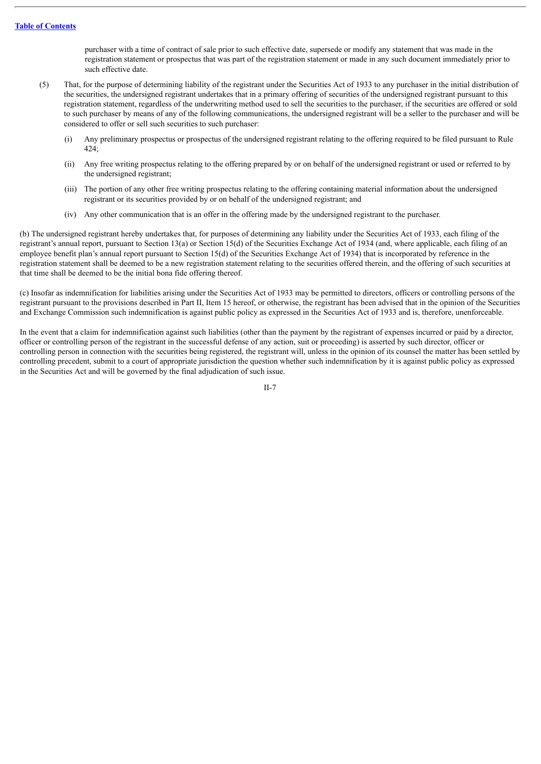purchaser with a time of contract of sale prior to such effective date, supersede or modify any statement that was made in the registration statement or prospectus that was part of the registration statement or made in any such document immediately prior to such effective date.

- (5) That, for the purpose of determining liability of the registrant under the Securities Act of 1933 to any purchaser in the initial distribution of the securities, the undersigned registrant undertakes that in a primary offering of securities of the undersigned registrant pursuant to this registration statement, regardless of the underwriting method used to sell the securities to the purchaser, if the securities are offered or sold to such purchaser by means of any of the following communications, the undersigned registrant will be a seller to the purchaser and will be considered to offer or sell such securities to such purchaser:
	- (i) Any preliminary prospectus or prospectus of the undersigned registrant relating to the offering required to be filed pursuant to Rule 424;
	- (ii) Any free writing prospectus relating to the offering prepared by or on behalf of the undersigned registrant or used or referred to by the undersigned registrant;
	- (iii) The portion of any other free writing prospectus relating to the offering containing material information about the undersigned registrant or its securities provided by or on behalf of the undersigned registrant; and
	- (iv) Any other communication that is an offer in the offering made by the undersigned registrant to the purchaser.

(b) The undersigned registrant hereby undertakes that, for purposes of determining any liability under the Securities Act of 1933, each filing of the registrant's annual report, pursuant to Section 13(a) or Section 15(d) of the Securities Exchange Act of 1934 (and, where applicable, each filing of an employee benefit plan's annual report pursuant to Section 15(d) of the Securities Exchange Act of 1934) that is incorporated by reference in the registration statement shall be deemed to be a new registration statement relating to the securities offered therein, and the offering of such securities at that time shall be deemed to be the initial bona fide offering thereof.

(c) Insofar as indemnification for liabilities arising under the Securities Act of 1933 may be permitted to directors, officers or controlling persons of the registrant pursuant to the provisions described in Part II, Item 15 hereof, or otherwise, the registrant has been advised that in the opinion of the Securities and Exchange Commission such indemnification is against public policy as expressed in the Securities Act of 1933 and is, therefore, unenforceable.

In the event that a claim for indemnification against such liabilities (other than the payment by the registrant of expenses incurred or paid by a director, officer or controlling person of the registrant in the successful defense of any action, suit or proceeding) is asserted by such director, officer or controlling person in connection with the securities being registered, the registrant will, unless in the opinion of its counsel the matter has been settled by controlling precedent, submit to a court of appropriate jurisdiction the question whether such indemnification by it is against public policy as expressed in the Securities Act and will be governed by the final adjudication of such issue.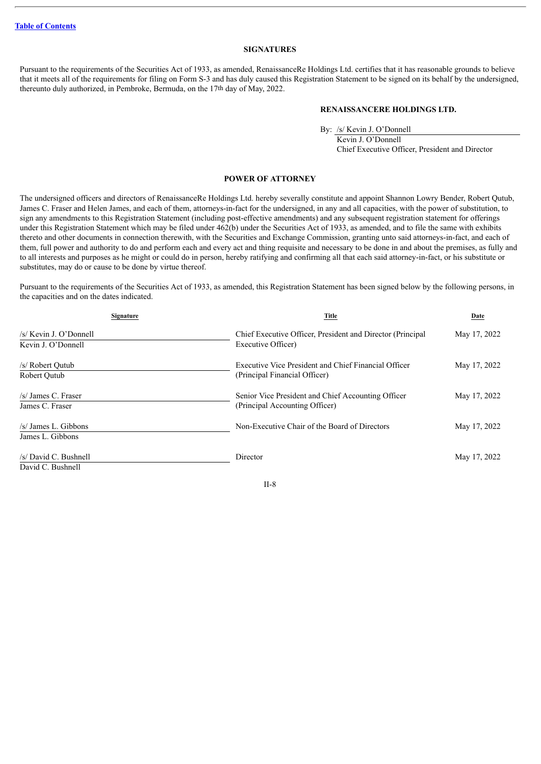#### **SIGNATURES**

<span id="page-77-0"></span>Pursuant to the requirements of the Securities Act of 1933, as amended, RenaissanceRe Holdings Ltd. certifies that it has reasonable grounds to believe that it meets all of the requirements for filing on Form S-3 and has duly caused this Registration Statement to be signed on its behalf by the undersigned, thereunto duly authorized, in Pembroke, Bermuda, on the 17th day of May, 2022.

#### **RENAISSANCERE HOLDINGS LTD.**

By: /s/ Kevin J. O'Donnell

Kevin J. O'Donnell Chief Executive Officer, President and Director

#### **POWER OF ATTORNEY**

The undersigned officers and directors of RenaissanceRe Holdings Ltd. hereby severally constitute and appoint Shannon Lowry Bender, Robert Qutub, James C. Fraser and Helen James, and each of them, attorneys-in-fact for the undersigned, in any and all capacities, with the power of substitution, to sign any amendments to this Registration Statement (including post-effective amendments) and any subsequent registration statement for offerings under this Registration Statement which may be filed under 462(b) under the Securities Act of 1933, as amended, and to file the same with exhibits thereto and other documents in connection therewith, with the Securities and Exchange Commission, granting unto said attorneys-in-fact, and each of them, full power and authority to do and perform each and every act and thing requisite and necessary to be done in and about the premises, as fully and to all interests and purposes as he might or could do in person, hereby ratifying and confirming all that each said attorney-in-fact, or his substitute or substitutes, may do or cause to be done by virtue thereof.

Pursuant to the requirements of the Securities Act of 1933, as amended, this Registration Statement has been signed below by the following persons, in the capacities and on the dates indicated.

| <b>Signature</b>                             | Title                                                                                 | Date         |  |
|----------------------------------------------|---------------------------------------------------------------------------------------|--------------|--|
| /s/ Kevin J. O'Donnell<br>Kevin J. O'Donnell | Chief Executive Officer, President and Director (Principal<br>Executive Officer)      | May 17, 2022 |  |
| /s/ Robert Qutub<br>Robert Outub             | Executive Vice President and Chief Financial Officer<br>(Principal Financial Officer) | May 17, 2022 |  |
| /s/ James C. Fraser<br>James C. Fraser       | Senior Vice President and Chief Accounting Officer<br>(Principal Accounting Officer)  | May 17, 2022 |  |
| $/s$ James L. Gibbons<br>James L. Gibbons    | Non-Executive Chair of the Board of Directors                                         | May 17, 2022 |  |
| /s/ David C. Bushnell<br>David C. Bushnell   | Director                                                                              | May 17, 2022 |  |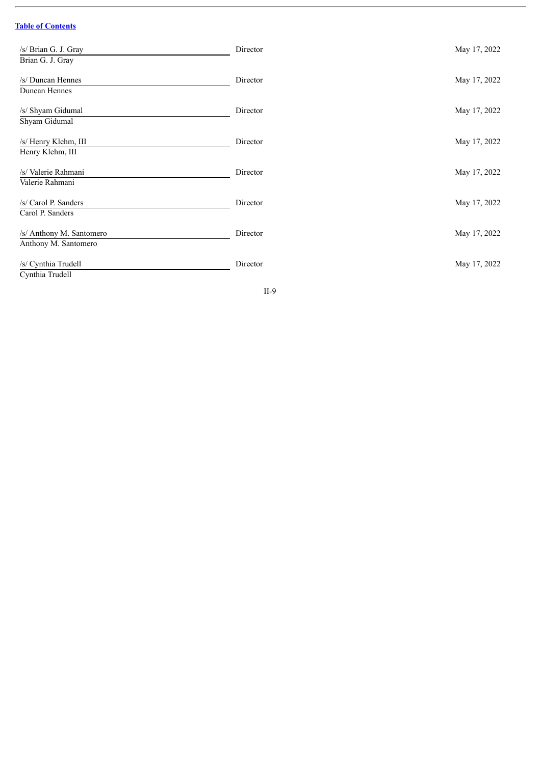$\overline{a}$ 

| /s/ Brian G. J. Gray<br>Brian G. J. Gray         | Director | May 17, 2022 |
|--------------------------------------------------|----------|--------------|
| /s/ Duncan Hennes<br>Duncan Hennes               | Director | May 17, 2022 |
| /s/ Shyam Gidumal<br>Shyam Gidumal               | Director | May 17, 2022 |
| /s/ Henry Klehm, III<br>Henry Klehm, III         | Director | May 17, 2022 |
| /s/ Valerie Rahmani<br>Valerie Rahmani           | Director | May 17, 2022 |
| /s/ Carol P. Sanders<br>Carol P. Sanders         | Director | May 17, 2022 |
| /s/ Anthony M. Santomero<br>Anthony M. Santomero | Director | May 17, 2022 |
| /s/ Cynthia Trudell<br>Cynthia Trudell           | Director | May 17, 2022 |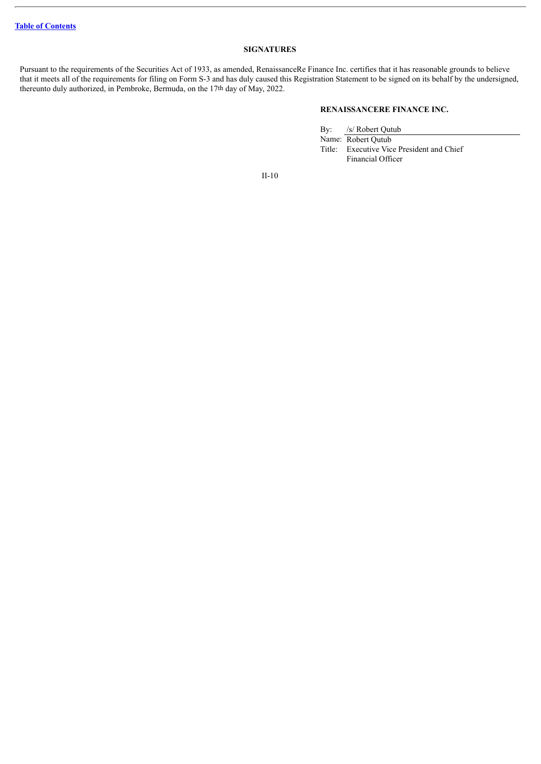#### **SIGNATURES**

Pursuant to the requirements of the Securities Act of 1933, as amended, RenaissanceRe Finance Inc. certifies that it has reasonable grounds to believe that it meets all of the requirements for filing on Form S-3 and has duly caused this Registration Statement to be signed on its behalf by the undersigned, thereunto duly authorized, in Pembroke, Bermuda, on the 17th day of May, 2022.

#### **RENAISSANCERE FINANCE INC.**

By: /s/ Robert Qutub

Name: Robert Qutub

Title: Executive Vice President and Chief Financial Officer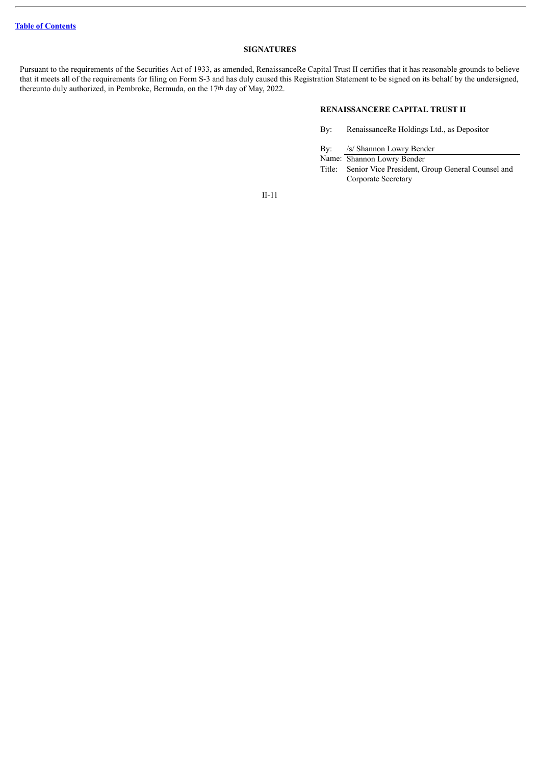#### **SIGNATURES**

Pursuant to the requirements of the Securities Act of 1933, as amended, RenaissanceRe Capital Trust II certifies that it has reasonable grounds to believe that it meets all of the requirements for filing on Form S-3 and has duly caused this Registration Statement to be signed on its behalf by the undersigned, thereunto duly authorized, in Pembroke, Bermuda, on the 17th day of May, 2022.

#### **RENAISSANCERE CAPITAL TRUST II**

- By: RenaissanceRe Holdings Ltd., as Depositor
- By: /s/ Shannon Lowry Bender
- Name: Shannon Lowry Bender
- Title: Senior Vice President, Group General Counsel and Corporate Secretary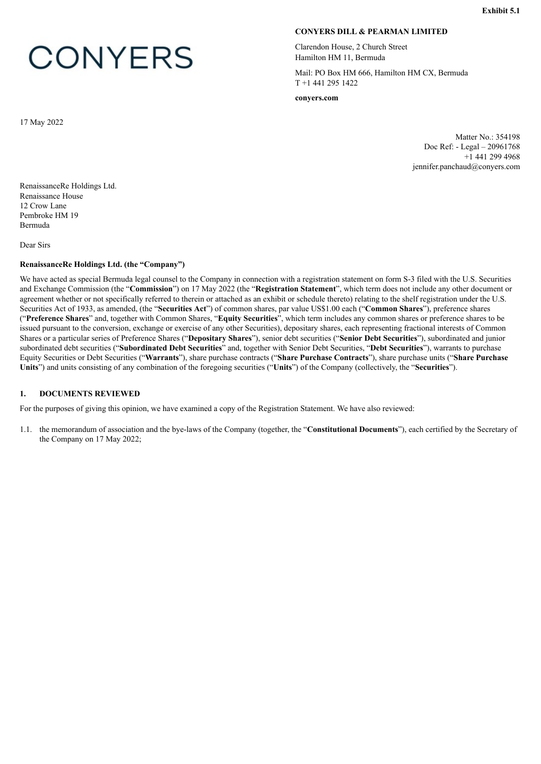# <span id="page-81-0"></span>**CONYERS**

#### **CONYERS DILL & PEARMAN LIMITED**

Clarendon House, 2 Church Street Hamilton HM 11, Bermuda

Mail: PO Box HM 666, Hamilton HM CX, Bermuda T +1 441 295 1422

**conyers.com**

Matter No.: 354198 Doc Ref: - Legal – 20961768 +1 441 299 4968 jennifer.panchaud@conyers.com

RenaissanceRe Holdings Ltd. Renaissance House 12 Crow Lane Pembroke HM 19 Bermuda

Dear Sirs

17 May 2022

#### **RenaissanceRe Holdings Ltd. (the "Company")**

We have acted as special Bermuda legal counsel to the Company in connection with a registration statement on form S-3 filed with the U.S. Securities and Exchange Commission (the "**Commission**") on 17 May 2022 (the "**Registration Statement**", which term does not include any other document or agreement whether or not specifically referred to therein or attached as an exhibit or schedule thereto) relating to the shelf registration under the U.S. Securities Act of 1933, as amended, (the "**Securities Act**") of common shares, par value US\$1.00 each ("**Common Shares**"), preference shares ("**Preference Shares**" and, together with Common Shares, "**Equity Securities**", which term includes any common shares or preference shares to be issued pursuant to the conversion, exchange or exercise of any other Securities), depositary shares, each representing fractional interests of Common Shares or a particular series of Preference Shares ("**Depositary Shares**"), senior debt securities ("**Senior Debt Securities**"), subordinated and junior subordinated debt securities ("**Subordinated Debt Securities**" and, together with Senior Debt Securities, "**Debt Securities**"), warrants to purchase Equity Securities or Debt Securities ("**Warrants**"), share purchase contracts ("**Share Purchase Contracts**"), share purchase units ("**Share Purchase Units**") and units consisting of any combination of the foregoing securities ("**Units**") of the Company (collectively, the "**Securities**").

#### **1. DOCUMENTS REVIEWED**

For the purposes of giving this opinion, we have examined a copy of the Registration Statement. We have also reviewed:

1.1. the memorandum of association and the bye-laws of the Company (together, the "**Constitutional Documents**"), each certified by the Secretary of the Company on 17 May 2022;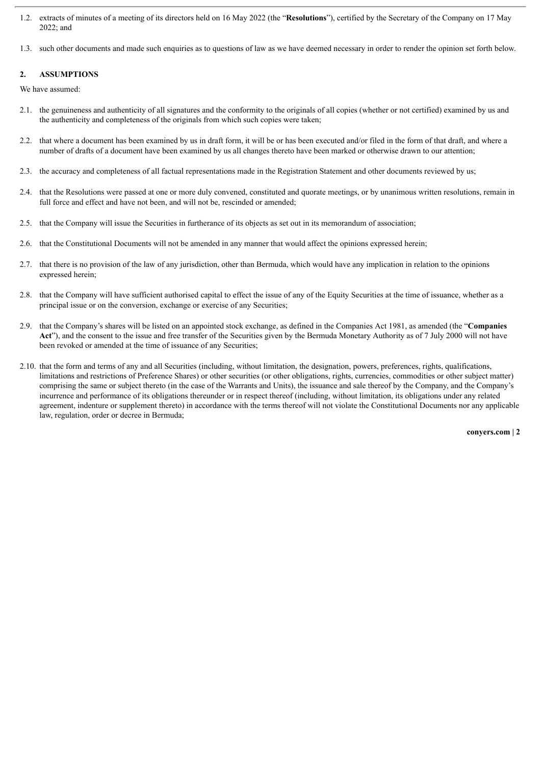- 1.2. extracts of minutes of a meeting of its directors held on 16 May 2022 (the "**Resolutions**"), certified by the Secretary of the Company on 17 May 2022; and
- 1.3. such other documents and made such enquiries as to questions of law as we have deemed necessary in order to render the opinion set forth below.

#### **2. ASSUMPTIONS**

We have assumed:

- 2.1. the genuineness and authenticity of all signatures and the conformity to the originals of all copies (whether or not certified) examined by us and the authenticity and completeness of the originals from which such copies were taken;
- 2.2. that where a document has been examined by us in draft form, it will be or has been executed and/or filed in the form of that draft, and where a number of drafts of a document have been examined by us all changes thereto have been marked or otherwise drawn to our attention;
- 2.3. the accuracy and completeness of all factual representations made in the Registration Statement and other documents reviewed by us;
- 2.4. that the Resolutions were passed at one or more duly convened, constituted and quorate meetings, or by unanimous written resolutions, remain in full force and effect and have not been, and will not be, rescinded or amended;
- 2.5. that the Company will issue the Securities in furtherance of its objects as set out in its memorandum of association;
- 2.6. that the Constitutional Documents will not be amended in any manner that would affect the opinions expressed herein;
- 2.7. that there is no provision of the law of any jurisdiction, other than Bermuda, which would have any implication in relation to the opinions expressed herein;
- 2.8. that the Company will have sufficient authorised capital to effect the issue of any of the Equity Securities at the time of issuance, whether as a principal issue or on the conversion, exchange or exercise of any Securities;
- 2.9. that the Company's shares will be listed on an appointed stock exchange, as defined in the Companies Act 1981, as amended (the "**Companies Act**"), and the consent to the issue and free transfer of the Securities given by the Bermuda Monetary Authority as of 7 July 2000 will not have been revoked or amended at the time of issuance of any Securities;
- 2.10. that the form and terms of any and all Securities (including, without limitation, the designation, powers, preferences, rights, qualifications, limitations and restrictions of Preference Shares) or other securities (or other obligations, rights, currencies, commodities or other subject matter) comprising the same or subject thereto (in the case of the Warrants and Units), the issuance and sale thereof by the Company, and the Company's incurrence and performance of its obligations thereunder or in respect thereof (including, without limitation, its obligations under any related agreement, indenture or supplement thereto) in accordance with the terms thereof will not violate the Constitutional Documents nor any applicable law, regulation, order or decree in Bermuda;

**conyers.com | 2**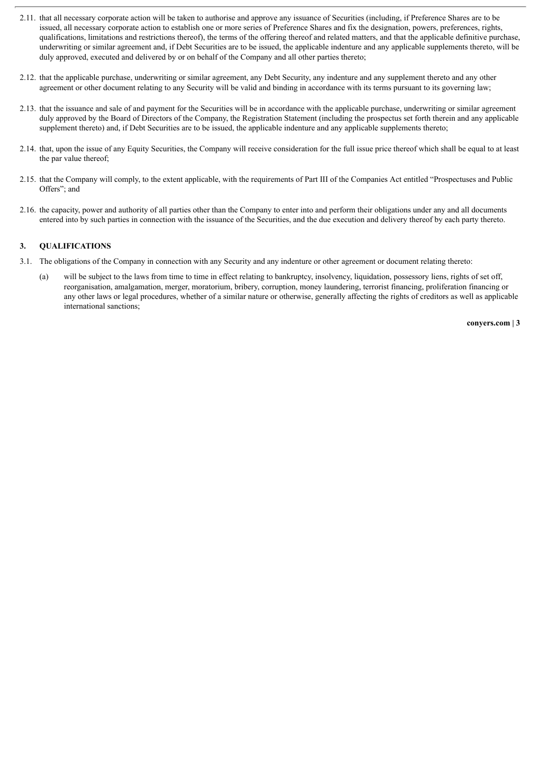- 2.11. that all necessary corporate action will be taken to authorise and approve any issuance of Securities (including, if Preference Shares are to be issued, all necessary corporate action to establish one or more series of Preference Shares and fix the designation, powers, preferences, rights, qualifications, limitations and restrictions thereof), the terms of the offering thereof and related matters, and that the applicable definitive purchase, underwriting or similar agreement and, if Debt Securities are to be issued, the applicable indenture and any applicable supplements thereto, will be duly approved, executed and delivered by or on behalf of the Company and all other parties thereto;
- 2.12. that the applicable purchase, underwriting or similar agreement, any Debt Security, any indenture and any supplement thereto and any other agreement or other document relating to any Security will be valid and binding in accordance with its terms pursuant to its governing law;
- 2.13. that the issuance and sale of and payment for the Securities will be in accordance with the applicable purchase, underwriting or similar agreement duly approved by the Board of Directors of the Company, the Registration Statement (including the prospectus set forth therein and any applicable supplement thereto) and, if Debt Securities are to be issued, the applicable indenture and any applicable supplements thereto;
- 2.14. that, upon the issue of any Equity Securities, the Company will receive consideration for the full issue price thereof which shall be equal to at least the par value thereof;
- 2.15. that the Company will comply, to the extent applicable, with the requirements of Part III of the Companies Act entitled "Prospectuses and Public Offers"; and
- 2.16. the capacity, power and authority of all parties other than the Company to enter into and perform their obligations under any and all documents entered into by such parties in connection with the issuance of the Securities, and the due execution and delivery thereof by each party thereto.

#### **3. QUALIFICATIONS**

- 3.1. The obligations of the Company in connection with any Security and any indenture or other agreement or document relating thereto:
	- (a) will be subject to the laws from time to time in effect relating to bankruptcy, insolvency, liquidation, possessory liens, rights of set off, reorganisation, amalgamation, merger, moratorium, bribery, corruption, money laundering, terrorist financing, proliferation financing or any other laws or legal procedures, whether of a similar nature or otherwise, generally affecting the rights of creditors as well as applicable international sanctions;

**conyers.com | 3**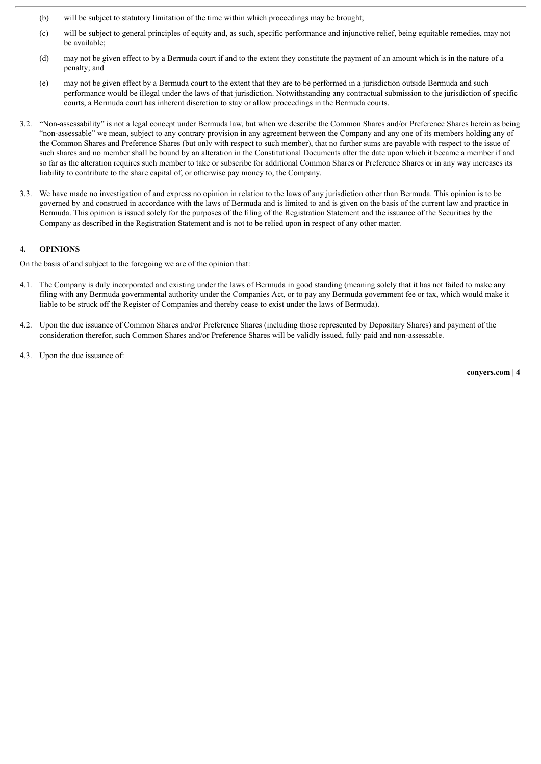- (b) will be subject to statutory limitation of the time within which proceedings may be brought;
- (c) will be subject to general principles of equity and, as such, specific performance and injunctive relief, being equitable remedies, may not be available;
- (d) may not be given effect to by a Bermuda court if and to the extent they constitute the payment of an amount which is in the nature of a penalty; and
- (e) may not be given effect by a Bermuda court to the extent that they are to be performed in a jurisdiction outside Bermuda and such performance would be illegal under the laws of that jurisdiction. Notwithstanding any contractual submission to the jurisdiction of specific courts, a Bermuda court has inherent discretion to stay or allow proceedings in the Bermuda courts.
- 3.2. "Non-assessability" is not a legal concept under Bermuda law, but when we describe the Common Shares and/or Preference Shares herein as being "non-assessable" we mean, subject to any contrary provision in any agreement between the Company and any one of its members holding any of the Common Shares and Preference Shares (but only with respect to such member), that no further sums are payable with respect to the issue of such shares and no member shall be bound by an alteration in the Constitutional Documents after the date upon which it became a member if and so far as the alteration requires such member to take or subscribe for additional Common Shares or Preference Shares or in any way increases its liability to contribute to the share capital of, or otherwise pay money to, the Company.
- 3.3. We have made no investigation of and express no opinion in relation to the laws of any jurisdiction other than Bermuda. This opinion is to be governed by and construed in accordance with the laws of Bermuda and is limited to and is given on the basis of the current law and practice in Bermuda. This opinion is issued solely for the purposes of the filing of the Registration Statement and the issuance of the Securities by the Company as described in the Registration Statement and is not to be relied upon in respect of any other matter.

#### **4. OPINIONS**

On the basis of and subject to the foregoing we are of the opinion that:

- 4.1. The Company is duly incorporated and existing under the laws of Bermuda in good standing (meaning solely that it has not failed to make any filing with any Bermuda governmental authority under the Companies Act, or to pay any Bermuda government fee or tax, which would make it liable to be struck off the Register of Companies and thereby cease to exist under the laws of Bermuda).
- 4.2. Upon the due issuance of Common Shares and/or Preference Shares (including those represented by Depositary Shares) and payment of the consideration therefor, such Common Shares and/or Preference Shares will be validly issued, fully paid and non-assessable.
- 4.3. Upon the due issuance of: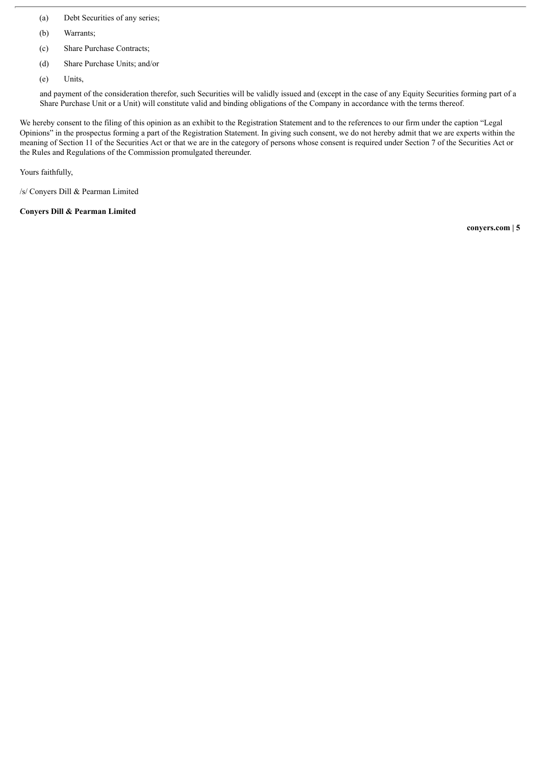- (a) Debt Securities of any series;
- (b) Warrants;
- (c) Share Purchase Contracts;
- (d) Share Purchase Units; and/or
- (e) Units,

and payment of the consideration therefor, such Securities will be validly issued and (except in the case of any Equity Securities forming part of a Share Purchase Unit or a Unit) will constitute valid and binding obligations of the Company in accordance with the terms thereof.

We hereby consent to the filing of this opinion as an exhibit to the Registration Statement and to the references to our firm under the caption "Legal Opinions" in the prospectus forming a part of the Registration Statement. In giving such consent, we do not hereby admit that we are experts within the meaning of Section 11 of the Securities Act or that we are in the category of persons whose consent is required under Section 7 of the Securities Act or the Rules and Regulations of the Commission promulgated thereunder.

Yours faithfully,

/s/ Conyers Dill & Pearman Limited

**Conyers Dill & Pearman Limited**

**conyers.com | 5**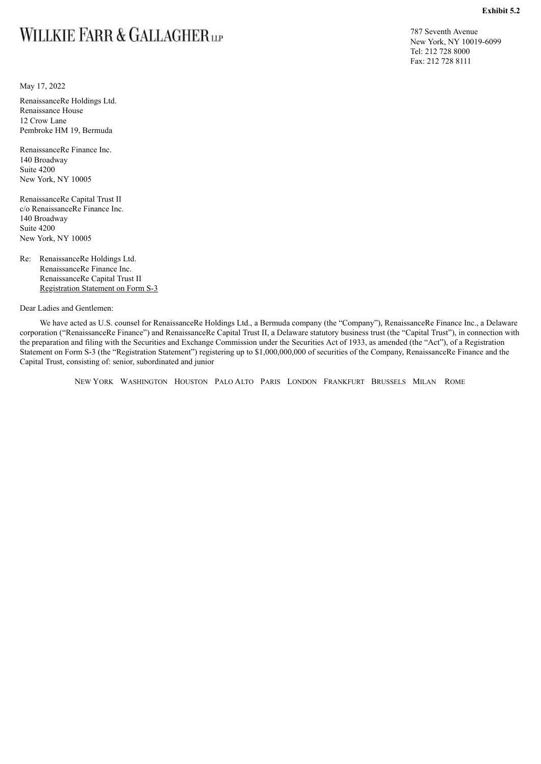## <span id="page-86-0"></span>WILLKIE FARR & GALLAGHERLP

May 17, 2022

RenaissanceRe Holdings Ltd. Renaissance House 12 Crow Lane Pembroke HM 19, Bermuda

RenaissanceRe Finance Inc. 140 Broadway Suite 4200 New York, NY 10005

RenaissanceRe Capital Trust II c/o RenaissanceRe Finance Inc. 140 Broadway Suite 4200 New York, NY 10005

Re: RenaissanceRe Holdings Ltd. RenaissanceRe Finance Inc. RenaissanceRe Capital Trust II Registration Statement on Form S-3

Dear Ladies and Gentlemen:

We have acted as U.S. counsel for RenaissanceRe Holdings Ltd., a Bermuda company (the "Company"), RenaissanceRe Finance Inc., a Delaware corporation ("RenaissanceRe Finance") and RenaissanceRe Capital Trust II, a Delaware statutory business trust (the "Capital Trust"), in connection with the preparation and filing with the Securities and Exchange Commission under the Securities Act of 1933, as amended (the "Act"), of a Registration Statement on Form S-3 (the "Registration Statement") registering up to \$1,000,000,000 of securities of the Company, RenaissanceRe Finance and the Capital Trust, consisting of: senior, subordinated and junior

NEW YORK WASHINGTON HOUSTON PALO ALTO PARIS LONDON FRANKFURT BRUSSELS MILAN ROME

787 Seventh Avenue New York, NY 10019-6099 Tel: 212 728 8000 Fax: 212 728 8111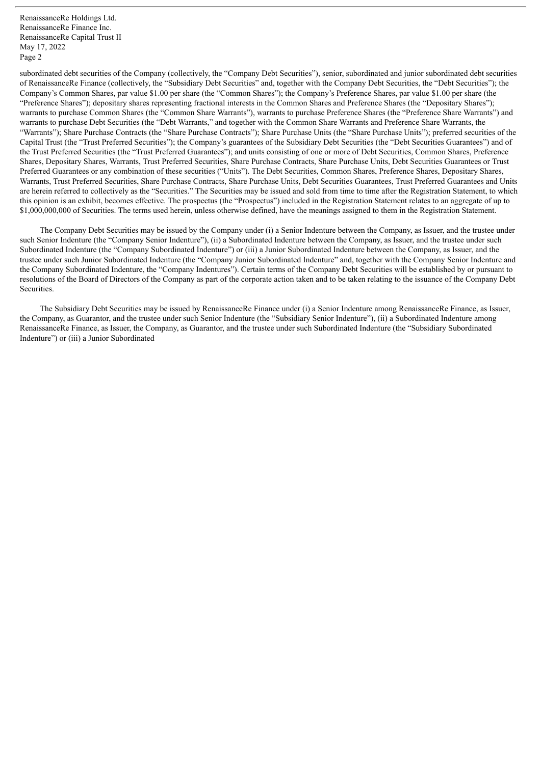subordinated debt securities of the Company (collectively, the "Company Debt Securities"), senior, subordinated and junior subordinated debt securities of RenaissanceRe Finance (collectively, the "Subsidiary Debt Securities" and, together with the Company Debt Securities, the "Debt Securities"); the Company's Common Shares, par value \$1.00 per share (the "Common Shares"); the Company's Preference Shares, par value \$1.00 per share (the "Preference Shares"); depositary shares representing fractional interests in the Common Shares and Preference Shares (the "Depositary Shares"); warrants to purchase Common Shares (the "Common Share Warrants"), warrants to purchase Preference Shares (the "Preference Share Warrants") and warrants to purchase Debt Securities (the "Debt Warrants," and together with the Common Share Warrants and Preference Share Warrants, the "Warrants"); Share Purchase Contracts (the "Share Purchase Contracts"); Share Purchase Units (the "Share Purchase Units"); preferred securities of the Capital Trust (the "Trust Preferred Securities"); the Company's guarantees of the Subsidiary Debt Securities (the "Debt Securities Guarantees") and of the Trust Preferred Securities (the "Trust Preferred Guarantees"); and units consisting of one or more of Debt Securities, Common Shares, Preference Shares, Depositary Shares, Warrants, Trust Preferred Securities, Share Purchase Contracts, Share Purchase Units, Debt Securities Guarantees or Trust Preferred Guarantees or any combination of these securities ("Units"). The Debt Securities, Common Shares, Preference Shares, Depositary Shares, Warrants, Trust Preferred Securities, Share Purchase Contracts, Share Purchase Units, Debt Securities Guarantees, Trust Preferred Guarantees and Units are herein referred to collectively as the "Securities." The Securities may be issued and sold from time to time after the Registration Statement, to which this opinion is an exhibit, becomes effective. The prospectus (the "Prospectus") included in the Registration Statement relates to an aggregate of up to \$1,000,000,000 of Securities. The terms used herein, unless otherwise defined, have the meanings assigned to them in the Registration Statement.

The Company Debt Securities may be issued by the Company under (i) a Senior Indenture between the Company, as Issuer, and the trustee under such Senior Indenture (the "Company Senior Indenture"), (ii) a Subordinated Indenture between the Company, as Issuer, and the trustee under such Subordinated Indenture (the "Company Subordinated Indenture") or (iii) a Junior Subordinated Indenture between the Company, as Issuer, and the trustee under such Junior Subordinated Indenture (the "Company Junior Subordinated Indenture" and, together with the Company Senior Indenture and the Company Subordinated Indenture, the "Company Indentures"). Certain terms of the Company Debt Securities will be established by or pursuant to resolutions of the Board of Directors of the Company as part of the corporate action taken and to be taken relating to the issuance of the Company Debt Securities.

The Subsidiary Debt Securities may be issued by RenaissanceRe Finance under (i) a Senior Indenture among RenaissanceRe Finance, as Issuer, the Company, as Guarantor, and the trustee under such Senior Indenture (the "Subsidiary Senior Indenture"), (ii) a Subordinated Indenture among RenaissanceRe Finance, as Issuer, the Company, as Guarantor, and the trustee under such Subordinated Indenture (the "Subsidiary Subordinated Indenture") or (iii) a Junior Subordinated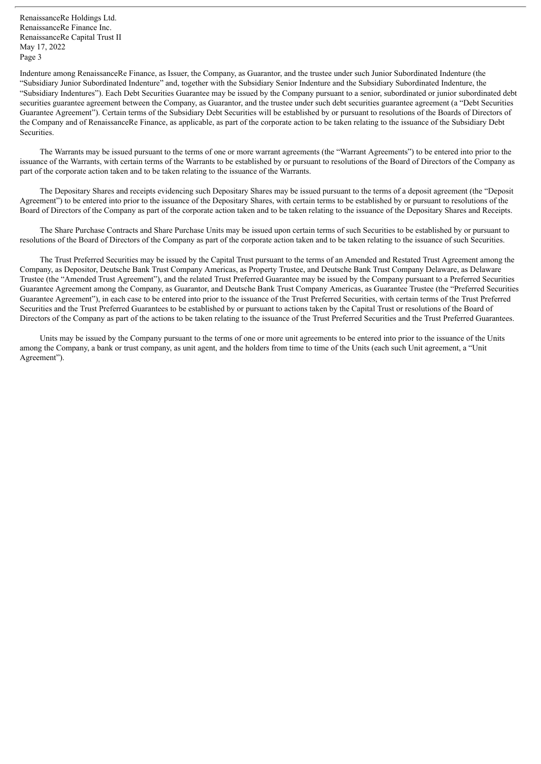Indenture among RenaissanceRe Finance, as Issuer, the Company, as Guarantor, and the trustee under such Junior Subordinated Indenture (the "Subsidiary Junior Subordinated Indenture" and, together with the Subsidiary Senior Indenture and the Subsidiary Subordinated Indenture, the "Subsidiary Indentures"). Each Debt Securities Guarantee may be issued by the Company pursuant to a senior, subordinated or junior subordinated debt securities guarantee agreement between the Company, as Guarantor, and the trustee under such debt securities guarantee agreement (a "Debt Securities") Guarantee Agreement"). Certain terms of the Subsidiary Debt Securities will be established by or pursuant to resolutions of the Boards of Directors of the Company and of RenaissanceRe Finance, as applicable, as part of the corporate action to be taken relating to the issuance of the Subsidiary Debt Securities.

The Warrants may be issued pursuant to the terms of one or more warrant agreements (the "Warrant Agreements") to be entered into prior to the issuance of the Warrants, with certain terms of the Warrants to be established by or pursuant to resolutions of the Board of Directors of the Company as part of the corporate action taken and to be taken relating to the issuance of the Warrants.

The Depositary Shares and receipts evidencing such Depositary Shares may be issued pursuant to the terms of a deposit agreement (the "Deposit Agreement") to be entered into prior to the issuance of the Depositary Shares, with certain terms to be established by or pursuant to resolutions of the Board of Directors of the Company as part of the corporate action taken and to be taken relating to the issuance of the Depositary Shares and Receipts.

The Share Purchase Contracts and Share Purchase Units may be issued upon certain terms of such Securities to be established by or pursuant to resolutions of the Board of Directors of the Company as part of the corporate action taken and to be taken relating to the issuance of such Securities.

The Trust Preferred Securities may be issued by the Capital Trust pursuant to the terms of an Amended and Restated Trust Agreement among the Company, as Depositor, Deutsche Bank Trust Company Americas, as Property Trustee, and Deutsche Bank Trust Company Delaware, as Delaware Trustee (the "Amended Trust Agreement"), and the related Trust Preferred Guarantee may be issued by the Company pursuant to a Preferred Securities Guarantee Agreement among the Company, as Guarantor, and Deutsche Bank Trust Company Americas, as Guarantee Trustee (the "Preferred Securities Guarantee Agreement"), in each case to be entered into prior to the issuance of the Trust Preferred Securities, with certain terms of the Trust Preferred Securities and the Trust Preferred Guarantees to be established by or pursuant to actions taken by the Capital Trust or resolutions of the Board of Directors of the Company as part of the actions to be taken relating to the issuance of the Trust Preferred Securities and the Trust Preferred Guarantees.

Units may be issued by the Company pursuant to the terms of one or more unit agreements to be entered into prior to the issuance of the Units among the Company, a bank or trust company, as unit agent, and the holders from time to time of the Units (each such Unit agreement, a "Unit Agreement").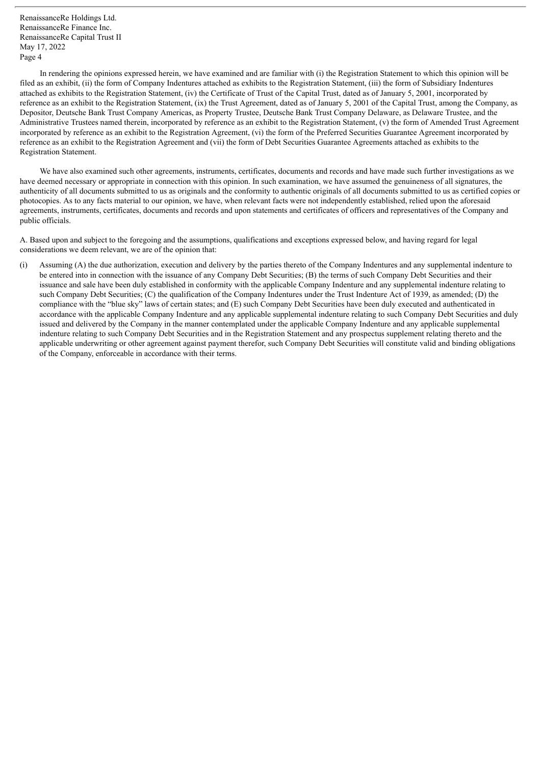In rendering the opinions expressed herein, we have examined and are familiar with (i) the Registration Statement to which this opinion will be filed as an exhibit, (ii) the form of Company Indentures attached as exhibits to the Registration Statement, (iii) the form of Subsidiary Indentures attached as exhibits to the Registration Statement, (iv) the Certificate of Trust of the Capital Trust, dated as of January 5, 2001, incorporated by reference as an exhibit to the Registration Statement, (ix) the Trust Agreement, dated as of January 5, 2001 of the Capital Trust, among the Company, as Depositor, Deutsche Bank Trust Company Americas, as Property Trustee, Deutsche Bank Trust Company Delaware, as Delaware Trustee, and the Administrative Trustees named therein, incorporated by reference as an exhibit to the Registration Statement, (v) the form of Amended Trust Agreement incorporated by reference as an exhibit to the Registration Agreement, (vi) the form of the Preferred Securities Guarantee Agreement incorporated by reference as an exhibit to the Registration Agreement and (vii) the form of Debt Securities Guarantee Agreements attached as exhibits to the Registration Statement.

We have also examined such other agreements, instruments, certificates, documents and records and have made such further investigations as we have deemed necessary or appropriate in connection with this opinion. In such examination, we have assumed the genuineness of all signatures, the authenticity of all documents submitted to us as originals and the conformity to authentic originals of all documents submitted to us as certified copies or photocopies. As to any facts material to our opinion, we have, when relevant facts were not independently established, relied upon the aforesaid agreements, instruments, certificates, documents and records and upon statements and certificates of officers and representatives of the Company and public officials.

A. Based upon and subject to the foregoing and the assumptions, qualifications and exceptions expressed below, and having regard for legal considerations we deem relevant, we are of the opinion that:

(i) Assuming (A) the due authorization, execution and delivery by the parties thereto of the Company Indentures and any supplemental indenture to be entered into in connection with the issuance of any Company Debt Securities; (B) the terms of such Company Debt Securities and their issuance and sale have been duly established in conformity with the applicable Company Indenture and any supplemental indenture relating to such Company Debt Securities; (C) the qualification of the Company Indentures under the Trust Indenture Act of 1939, as amended; (D) the compliance with the "blue sky" laws of certain states; and (E) such Company Debt Securities have been duly executed and authenticated in accordance with the applicable Company Indenture and any applicable supplemental indenture relating to such Company Debt Securities and duly issued and delivered by the Company in the manner contemplated under the applicable Company Indenture and any applicable supplemental indenture relating to such Company Debt Securities and in the Registration Statement and any prospectus supplement relating thereto and the applicable underwriting or other agreement against payment therefor, such Company Debt Securities will constitute valid and binding obligations of the Company, enforceable in accordance with their terms.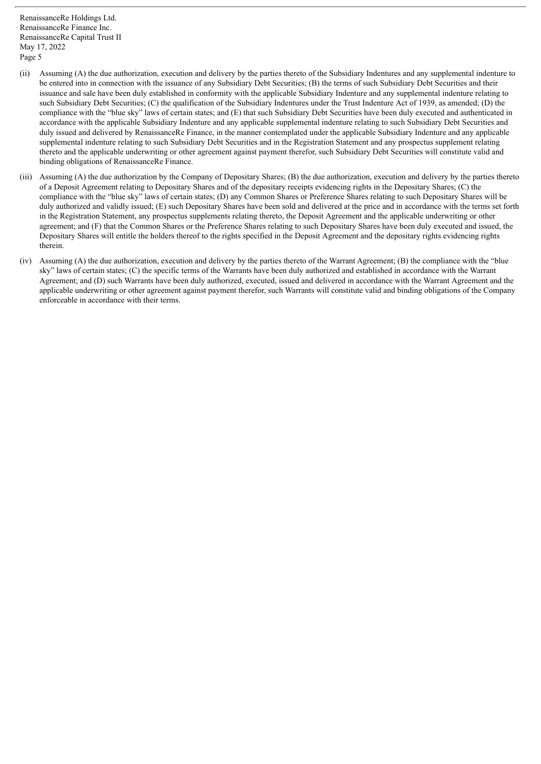- (ii) Assuming (A) the due authorization, execution and delivery by the parties thereto of the Subsidiary Indentures and any supplemental indenture to be entered into in connection with the issuance of any Subsidiary Debt Securities; (B) the terms of such Subsidiary Debt Securities and their issuance and sale have been duly established in conformity with the applicable Subsidiary Indenture and any supplemental indenture relating to such Subsidiary Debt Securities; (C) the qualification of the Subsidiary Indentures under the Trust Indenture Act of 1939, as amended; (D) the compliance with the "blue sky" laws of certain states; and (E) that such Subsidiary Debt Securities have been duly executed and authenticated in accordance with the applicable Subsidiary Indenture and any applicable supplemental indenture relating to such Subsidiary Debt Securities and duly issued and delivered by RenaissanceRe Finance, in the manner contemplated under the applicable Subsidiary Indenture and any applicable supplemental indenture relating to such Subsidiary Debt Securities and in the Registration Statement and any prospectus supplement relating thereto and the applicable underwriting or other agreement against payment therefor, such Subsidiary Debt Securities will constitute valid and binding obligations of RenaissanceRe Finance.
- (iii) Assuming (A) the due authorization by the Company of Depositary Shares; (B) the due authorization, execution and delivery by the parties thereto of a Deposit Agreement relating to Depositary Shares and of the depositary receipts evidencing rights in the Depositary Shares; (C) the compliance with the "blue sky" laws of certain states; (D) any Common Shares or Preference Shares relating to such Depositary Shares will be duly authorized and validly issued; (E) such Depositary Shares have been sold and delivered at the price and in accordance with the terms set forth in the Registration Statement, any prospectus supplements relating thereto, the Deposit Agreement and the applicable underwriting or other agreement; and (F) that the Common Shares or the Preference Shares relating to such Depositary Shares have been duly executed and issued, the Depositary Shares will entitle the holders thereof to the rights specified in the Deposit Agreement and the depositary rights evidencing rights therein.
- (iv) Assuming (A) the due authorization, execution and delivery by the parties thereto of the Warrant Agreement; (B) the compliance with the "blue sky" laws of certain states; (C) the specific terms of the Warrants have been duly authorized and established in accordance with the Warrant Agreement; and (D) such Warrants have been duly authorized, executed, issued and delivered in accordance with the Warrant Agreement and the applicable underwriting or other agreement against payment therefor, such Warrants will constitute valid and binding obligations of the Company enforceable in accordance with their terms.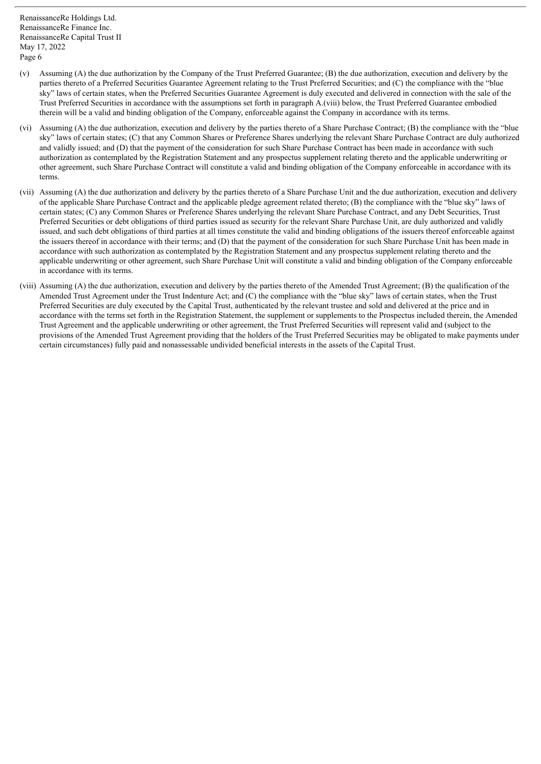- (v) Assuming (A) the due authorization by the Company of the Trust Preferred Guarantee; (B) the due authorization, execution and delivery by the parties thereto of a Preferred Securities Guarantee Agreement relating to the Trust Preferred Securities; and (C) the compliance with the "blue sky" laws of certain states, when the Preferred Securities Guarantee Agreement is duly executed and delivered in connection with the sale of the Trust Preferred Securities in accordance with the assumptions set forth in paragraph A.(viii) below, the Trust Preferred Guarantee embodied therein will be a valid and binding obligation of the Company, enforceable against the Company in accordance with its terms.
- (vi) Assuming (A) the due authorization, execution and delivery by the parties thereto of a Share Purchase Contract; (B) the compliance with the "blue sky" laws of certain states; (C) that any Common Shares or Preference Shares underlying the relevant Share Purchase Contract are duly authorized and validly issued; and (D) that the payment of the consideration for such Share Purchase Contract has been made in accordance with such authorization as contemplated by the Registration Statement and any prospectus supplement relating thereto and the applicable underwriting or other agreement, such Share Purchase Contract will constitute a valid and binding obligation of the Company enforceable in accordance with its terms.
- (vii) Assuming (A) the due authorization and delivery by the parties thereto of a Share Purchase Unit and the due authorization, execution and delivery of the applicable Share Purchase Contract and the applicable pledge agreement related thereto; (B) the compliance with the "blue sky" laws of certain states; (C) any Common Shares or Preference Shares underlying the relevant Share Purchase Contract, and any Debt Securities, Trust Preferred Securities or debt obligations of third parties issued as security for the relevant Share Purchase Unit, are duly authorized and validly issued, and such debt obligations of third parties at all times constitute the valid and binding obligations of the issuers thereof enforceable against the issuers thereof in accordance with their terms; and (D) that the payment of the consideration for such Share Purchase Unit has been made in accordance with such authorization as contemplated by the Registration Statement and any prospectus supplement relating thereto and the applicable underwriting or other agreement, such Share Purchase Unit will constitute a valid and binding obligation of the Company enforceable in accordance with its terms.
- (viii) Assuming (A) the due authorization, execution and delivery by the parties thereto of the Amended Trust Agreement; (B) the qualification of the Amended Trust Agreement under the Trust Indenture Act; and (C) the compliance with the "blue sky" laws of certain states, when the Trust Preferred Securities are duly executed by the Capital Trust, authenticated by the relevant trustee and sold and delivered at the price and in accordance with the terms set forth in the Registration Statement, the supplement or supplements to the Prospectus included therein, the Amended Trust Agreement and the applicable underwriting or other agreement, the Trust Preferred Securities will represent valid and (subject to the provisions of the Amended Trust Agreement providing that the holders of the Trust Preferred Securities may be obligated to make payments under certain circumstances) fully paid and nonassessable undivided beneficial interests in the assets of the Capital Trust.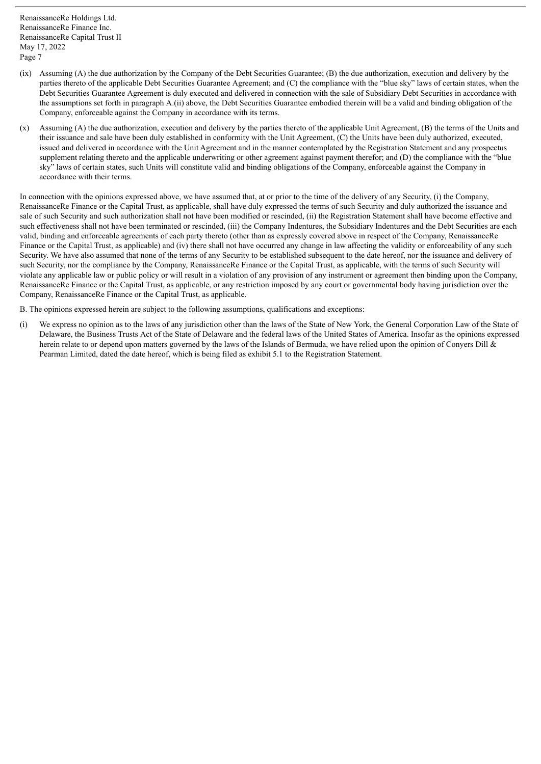- (ix) Assuming (A) the due authorization by the Company of the Debt Securities Guarantee; (B) the due authorization, execution and delivery by the parties thereto of the applicable Debt Securities Guarantee Agreement; and (C) the compliance with the "blue sky" laws of certain states, when the Debt Securities Guarantee Agreement is duly executed and delivered in connection with the sale of Subsidiary Debt Securities in accordance with the assumptions set forth in paragraph A.(ii) above, the Debt Securities Guarantee embodied therein will be a valid and binding obligation of the Company, enforceable against the Company in accordance with its terms.
- (x) Assuming (A) the due authorization, execution and delivery by the parties thereto of the applicable Unit Agreement, (B) the terms of the Units and their issuance and sale have been duly established in conformity with the Unit Agreement, (C) the Units have been duly authorized, executed, issued and delivered in accordance with the Unit Agreement and in the manner contemplated by the Registration Statement and any prospectus supplement relating thereto and the applicable underwriting or other agreement against payment therefor; and (D) the compliance with the "blue sky" laws of certain states, such Units will constitute valid and binding obligations of the Company, enforceable against the Company in accordance with their terms.

In connection with the opinions expressed above, we have assumed that, at or prior to the time of the delivery of any Security, (i) the Company, RenaissanceRe Finance or the Capital Trust, as applicable, shall have duly expressed the terms of such Security and duly authorized the issuance and sale of such Security and such authorization shall not have been modified or rescinded, (ii) the Registration Statement shall have become effective and such effectiveness shall not have been terminated or rescinded, (iii) the Company Indentures, the Subsidiary Indentures and the Debt Securities are each valid, binding and enforceable agreements of each party thereto (other than as expressly covered above in respect of the Company, RenaissanceRe Finance or the Capital Trust, as applicable) and (iv) there shall not have occurred any change in law affecting the validity or enforceability of any such Security. We have also assumed that none of the terms of any Security to be established subsequent to the date hereof, nor the issuance and delivery of such Security, nor the compliance by the Company, RenaissanceRe Finance or the Capital Trust, as applicable, with the terms of such Security will violate any applicable law or public policy or will result in a violation of any provision of any instrument or agreement then binding upon the Company, RenaissanceRe Finance or the Capital Trust, as applicable, or any restriction imposed by any court or governmental body having jurisdiction over the Company, RenaissanceRe Finance or the Capital Trust, as applicable.

B. The opinions expressed herein are subject to the following assumptions, qualifications and exceptions:

(i) We express no opinion as to the laws of any jurisdiction other than the laws of the State of New York, the General Corporation Law of the State of Delaware, the Business Trusts Act of the State of Delaware and the federal laws of the United States of America. Insofar as the opinions expressed herein relate to or depend upon matters governed by the laws of the Islands of Bermuda, we have relied upon the opinion of Convers Dill & Pearman Limited, dated the date hereof, which is being filed as exhibit 5.1 to the Registration Statement.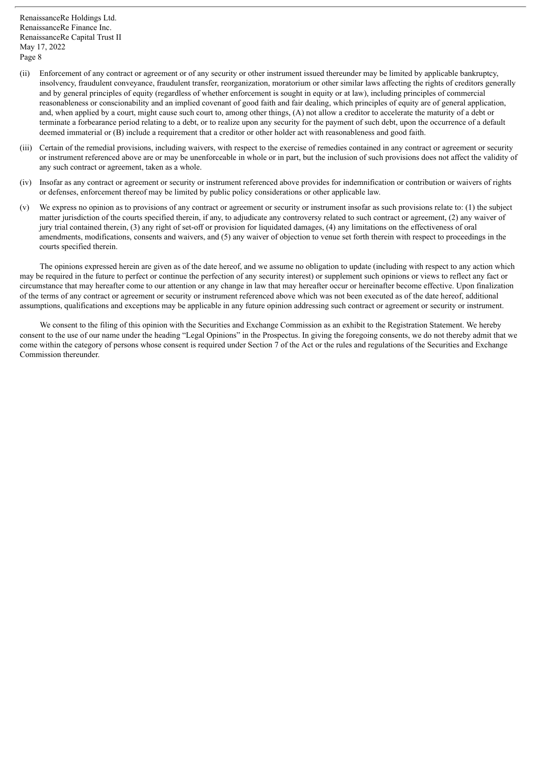- (ii) Enforcement of any contract or agreement or of any security or other instrument issued thereunder may be limited by applicable bankruptcy, insolvency, fraudulent conveyance, fraudulent transfer, reorganization, moratorium or other similar laws affecting the rights of creditors generally and by general principles of equity (regardless of whether enforcement is sought in equity or at law), including principles of commercial reasonableness or conscionability and an implied covenant of good faith and fair dealing, which principles of equity are of general application, and, when applied by a court, might cause such court to, among other things, (A) not allow a creditor to accelerate the maturity of a debt or terminate a forbearance period relating to a debt, or to realize upon any security for the payment of such debt, upon the occurrence of a default deemed immaterial or (B) include a requirement that a creditor or other holder act with reasonableness and good faith.
- (iii) Certain of the remedial provisions, including waivers, with respect to the exercise of remedies contained in any contract or agreement or security or instrument referenced above are or may be unenforceable in whole or in part, but the inclusion of such provisions does not affect the validity of any such contract or agreement, taken as a whole.
- (iv) Insofar as any contract or agreement or security or instrument referenced above provides for indemnification or contribution or waivers of rights or defenses, enforcement thereof may be limited by public policy considerations or other applicable law.
- (v) We express no opinion as to provisions of any contract or agreement or security or instrument insofar as such provisions relate to: (1) the subject matter jurisdiction of the courts specified therein, if any, to adjudicate any controversy related to such contract or agreement, (2) any waiver of jury trial contained therein, (3) any right of set-off or provision for liquidated damages, (4) any limitations on the effectiveness of oral amendments, modifications, consents and waivers, and (5) any waiver of objection to venue set forth therein with respect to proceedings in the courts specified therein.

The opinions expressed herein are given as of the date hereof, and we assume no obligation to update (including with respect to any action which may be required in the future to perfect or continue the perfection of any security interest) or supplement such opinions or views to reflect any fact or circumstance that may hereafter come to our attention or any change in law that may hereafter occur or hereinafter become effective. Upon finalization of the terms of any contract or agreement or security or instrument referenced above which was not been executed as of the date hereof, additional assumptions, qualifications and exceptions may be applicable in any future opinion addressing such contract or agreement or security or instrument.

We consent to the filing of this opinion with the Securities and Exchange Commission as an exhibit to the Registration Statement. We hereby consent to the use of our name under the heading "Legal Opinions" in the Prospectus. In giving the foregoing consents, we do not thereby admit that we come within the category of persons whose consent is required under Section  $\overline{7}$  of the Act or the rules and regulations of the Securities and Exchange Commission thereunder.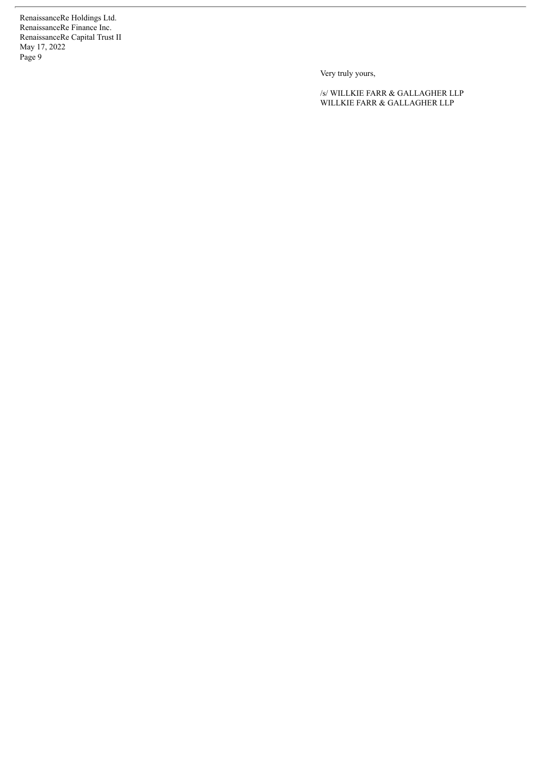Very truly yours,

/s/ WILLKIE FARR & GALLAGHER LLP WILLKIE FARR & GALLAGHER LLP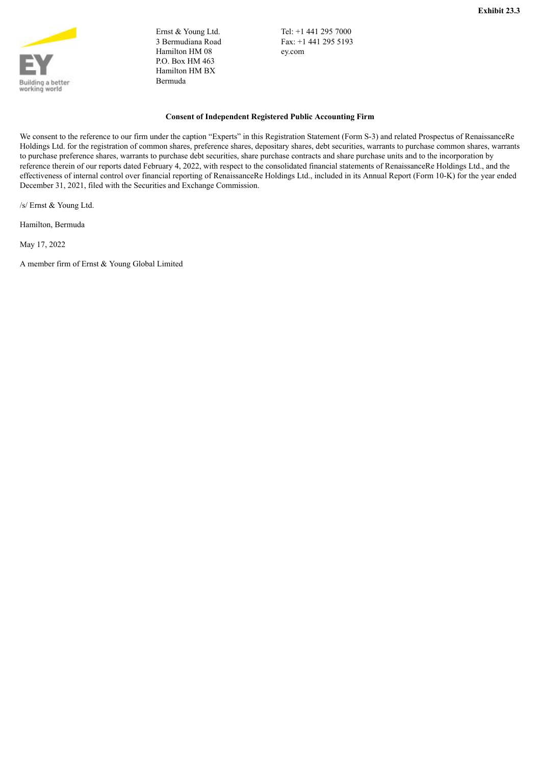<span id="page-95-0"></span>

Ernst & Young Ltd. 3 Bermudiana Road Hamilton HM 08 P.O. Box HM 463 Hamilton HM BX Bermuda

Tel: +1 441 295 7000 Fax: +1 441 295 5193 ey.com

#### **Consent of Independent Registered Public Accounting Firm**

We consent to the reference to our firm under the caption "Experts" in this Registration Statement (Form S-3) and related Prospectus of RenaissanceRe Holdings Ltd. for the registration of common shares, preference shares, depositary shares, debt securities, warrants to purchase common shares, warrants to purchase preference shares, warrants to purchase debt securities, share purchase contracts and share purchase units and to the incorporation by reference therein of our reports dated February 4, 2022, with respect to the consolidated financial statements of RenaissanceRe Holdings Ltd., and the effectiveness of internal control over financial reporting of RenaissanceRe Holdings Ltd., included in its Annual Report (Form 10-K) for the year ended December 31, 2021, filed with the Securities and Exchange Commission.

/s/ Ernst & Young Ltd.

Hamilton, Bermuda

May 17, 2022

A member firm of Ernst & Young Global Limited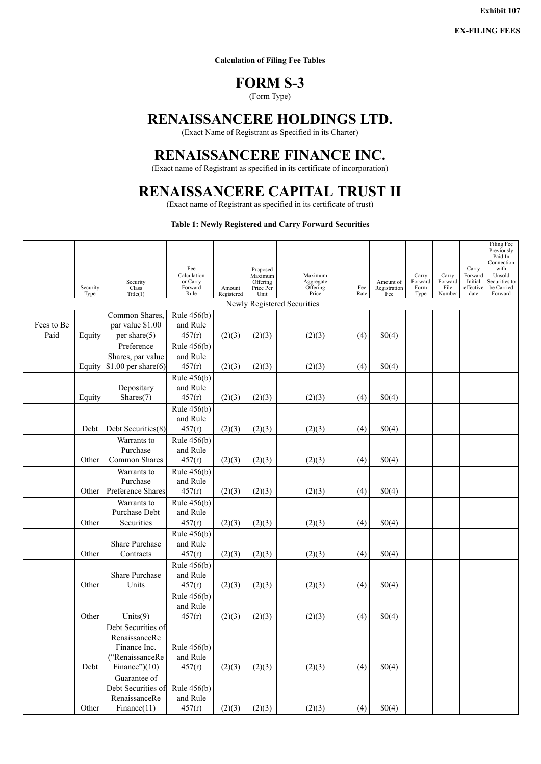**Exhibit 107**

**EX-FILING FEES**

**Calculation of Filing Fee Tables**

### **FORM S-3**

(Form Type)

## <span id="page-96-0"></span>**RENAISSANCERE HOLDINGS LTD.**

(Exact Name of Registrant as Specified in its Charter)

## **RENAISSANCERE FINANCE INC.**

(Exact name of Registrant as specified in its certificate of incorporation)

## **RENAISSANCERE CAPITAL TRUST II**

(Exact name of Registrant as specified in its certificate of trust)

#### **Table 1: Newly Registered and Carry Forward Securities**

|                    | Security<br>Type | Security<br>Class<br>Title(1)                                                              | Fee<br>Calculation<br>or Carry<br>Forward<br>Rule | Amount<br>Registered | Proposed<br>Maximum<br>Offering<br>Price Per<br>Unit | Maximum<br>Aggregate<br>Offering<br>Price | Fee<br>Rate | Amount of<br>Registration<br>Fee | Carry<br>Forward<br>Form<br>Type | Carry<br>Forward<br>File<br>Number | Carry<br>Forward<br>Initial<br>effective<br>date | Filing Fee<br>Previously<br>Paid In<br>Connection<br>with<br>Unsold<br>Securities to<br>be Carried<br>Forward |
|--------------------|------------------|--------------------------------------------------------------------------------------------|---------------------------------------------------|----------------------|------------------------------------------------------|-------------------------------------------|-------------|----------------------------------|----------------------------------|------------------------------------|--------------------------------------------------|---------------------------------------------------------------------------------------------------------------|
|                    |                  |                                                                                            |                                                   |                      |                                                      | Newly Registered Securities               |             |                                  |                                  |                                    |                                                  |                                                                                                               |
| Fees to Be<br>Paid | Equity           | Common Shares,<br>par value \$1.00<br>per share $(5)$                                      | Rule 456(b)<br>and Rule<br>457(r)                 | (2)(3)               | (2)(3)                                               | (2)(3)                                    | (4)         | \$0(4)                           |                                  |                                    |                                                  |                                                                                                               |
|                    | Equity           | Preference<br>Shares, par value<br>\$1.00 per share $(6)$                                  | Rule 456(b)<br>and Rule<br>457(r)                 | (2)(3)               | (2)(3)                                               | (2)(3)                                    | (4)         | \$0(4)                           |                                  |                                    |                                                  |                                                                                                               |
|                    | Equity           | Depositary<br>Shares $(7)$                                                                 | Rule 456(b)<br>and Rule<br>457(r)                 | (2)(3)               | (2)(3)                                               | (2)(3)                                    | (4)         | \$0(4)                           |                                  |                                    |                                                  |                                                                                                               |
|                    | Debt             | Debt Securities(8)                                                                         | Rule 456(b)<br>and Rule<br>457(r)                 | (2)(3)               | (2)(3)                                               | (2)(3)                                    | (4)         | \$0(4)                           |                                  |                                    |                                                  |                                                                                                               |
|                    | Other            | Warrants to<br>Purchase<br>Common Shares                                                   | Rule 456(b)<br>and Rule<br>457(r)                 | (2)(3)               | (2)(3)                                               | (2)(3)                                    | (4)         | \$0(4)                           |                                  |                                    |                                                  |                                                                                                               |
|                    | Other            | Warrants to<br>Purchase<br>Preference Shares                                               | Rule 456(b)<br>and Rule<br>457(r)                 | (2)(3)               | (2)(3)                                               | (2)(3)                                    | (4)         | \$0(4)                           |                                  |                                    |                                                  |                                                                                                               |
|                    | Other            | Warrants to<br>Purchase Debt<br>Securities                                                 | Rule 456(b)<br>and Rule<br>457(r)                 | (2)(3)               | (2)(3)                                               | (2)(3)                                    | (4)         | \$0(4)                           |                                  |                                    |                                                  |                                                                                                               |
|                    | Other            | Share Purchase<br>Contracts                                                                | Rule 456(b)<br>and Rule<br>457(r)                 | (2)(3)               | (2)(3)                                               | (2)(3)                                    | (4)         | \$0(4)                           |                                  |                                    |                                                  |                                                                                                               |
|                    | Other            | Share Purchase<br>Units                                                                    | Rule $456(b)$<br>and Rule<br>457(r)               | (2)(3)               | (2)(3)                                               | (2)(3)                                    | (4)         | \$0(4)                           |                                  |                                    |                                                  |                                                                                                               |
|                    | Other            | Units $(9)$                                                                                | Rule $456(b)$<br>and Rule<br>457(r)               | (2)(3)               | (2)(3)                                               | (2)(3)                                    | (4)         | \$0(4)                           |                                  |                                    |                                                  |                                                                                                               |
|                    | Debt             | Debt Securities of<br>RenaissanceRe<br>Finance Inc.<br>("RenaissanceRe<br>Finance" $)(10)$ | Rule $456(b)$<br>and Rule<br>457(r)               | (2)(3)               | (2)(3)                                               | (2)(3)                                    | (4)         | \$0(4)                           |                                  |                                    |                                                  |                                                                                                               |
|                    | Other            | Guarantee of<br>Debt Securities of<br>RenaissanceRe<br>Finance(11)                         | Rule $456(b)$<br>and Rule<br>457(r)               | (2)(3)               | (2)(3)                                               | (2)(3)                                    | (4)         | \$0(4)                           |                                  |                                    |                                                  |                                                                                                               |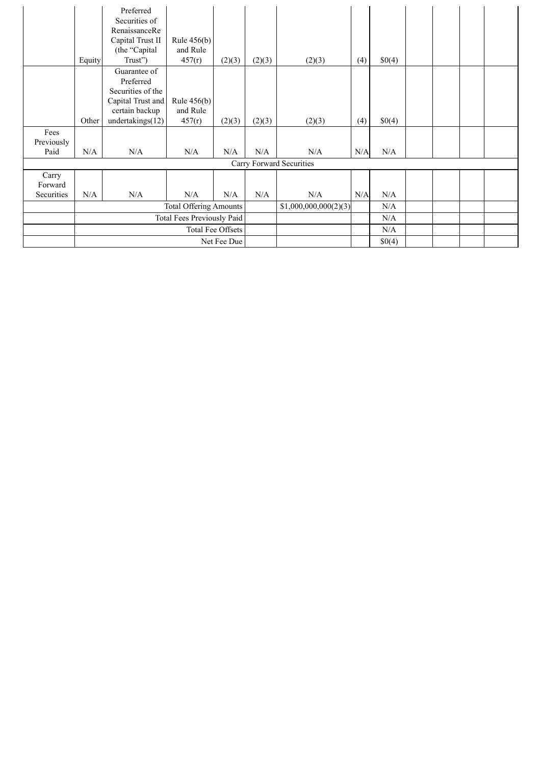|            |                               | Preferred         |               |        |                       |                          |        |        |  |  |
|------------|-------------------------------|-------------------|---------------|--------|-----------------------|--------------------------|--------|--------|--|--|
|            |                               | Securities of     |               |        |                       |                          |        |        |  |  |
|            |                               | RenaissanceRe     |               |        |                       |                          |        |        |  |  |
|            |                               | Capital Trust II  | Rule $456(b)$ |        |                       |                          |        |        |  |  |
|            |                               | (the "Capital     | and Rule      |        |                       |                          |        |        |  |  |
|            | Equity                        | Trust")           | 457(r)        | (2)(3) | (2)(3)                | (2)(3)                   | (4)    | \$0(4) |  |  |
|            |                               | Guarantee of      |               |        |                       |                          |        |        |  |  |
|            |                               | Preferred         |               |        |                       |                          |        |        |  |  |
|            |                               | Securities of the |               |        |                       |                          |        |        |  |  |
|            |                               | Capital Trust and | Rule $456(b)$ |        |                       |                          |        |        |  |  |
|            |                               | certain backup    | and Rule      |        |                       |                          |        |        |  |  |
|            | Other                         | undertakings(12)  | 457(r)        | (2)(3) | (2)(3)                | (2)(3)                   | (4)    | \$0(4) |  |  |
| Fees       |                               |                   |               |        |                       |                          |        |        |  |  |
| Previously |                               |                   |               |        |                       |                          |        |        |  |  |
| Paid       | N/A                           | N/A               | N/A           | N/A    | N/A                   | N/A                      | N/A    | N/A    |  |  |
|            |                               |                   |               |        |                       | Carry Forward Securities |        |        |  |  |
| Carry      |                               |                   |               |        |                       |                          |        |        |  |  |
| Forward    |                               |                   |               |        |                       |                          |        |        |  |  |
| Securities | N/A                           | N/A               | N/A           | N/A    | N/A                   | N/A                      | N/A    | N/A    |  |  |
|            | <b>Total Offering Amounts</b> |                   |               |        | \$1,000,000,000(2)(3) |                          | N/A    |        |  |  |
|            | Total Fees Previously Paid    |                   |               |        |                       |                          |        | N/A    |  |  |
|            | Total Fee Offsets             |                   |               |        |                       |                          |        | N/A    |  |  |
|            |                               |                   | Net Fee Due   |        |                       |                          | \$0(4) |        |  |  |